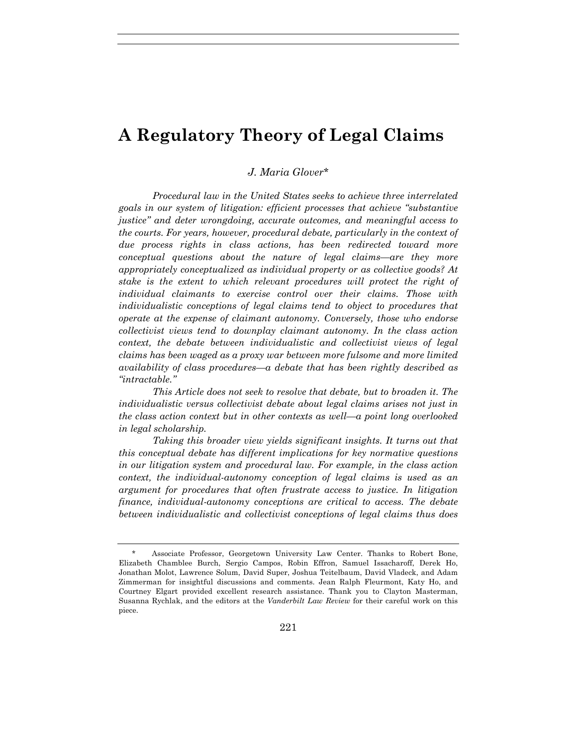# **A Regulatory Theory of Legal Claims**

*J. Maria Glover*\*

*Procedural law in the United States seeks to achieve three interrelated goals in our system of litigation: efficient processes that achieve "substantive justice" and deter wrongdoing, accurate outcomes, and meaningful access to the courts. For years, however, procedural debate, particularly in the context of due process rights in class actions, has been redirected toward more conceptual questions about the nature of legal claims—are they more appropriately conceptualized as individual property or as collective goods? At stake is the extent to which relevant procedures will protect the right of individual claimants to exercise control over their claims. Those with individualistic conceptions of legal claims tend to object to procedures that operate at the expense of claimant autonomy. Conversely, those who endorse collectivist views tend to downplay claimant autonomy. In the class action context, the debate between individualistic and collectivist views of legal claims has been waged as a proxy war between more fulsome and more limited availability of class procedures—a debate that has been rightly described as "intractable."*

*This Article does not seek to resolve that debate, but to broaden it. The individualistic versus collectivist debate about legal claims arises not just in the class action context but in other contexts as well—a point long overlooked in legal scholarship.*

*Taking this broader view yields significant insights. It turns out that this conceptual debate has different implications for key normative questions in our litigation system and procedural law. For example, in the class action context, the individual-autonomy conception of legal claims is used as an argument for procedures that often frustrate access to justice. In litigation finance, individual-autonomy conceptions are critical to access. The debate between individualistic and collectivist conceptions of legal claims thus does* 

Associate Professor, Georgetown University Law Center. Thanks to Robert Bone, Elizabeth Chamblee Burch, Sergio Campos, Robin Effron, Samuel Issacharoff, Derek Ho, Jonathan Molot, Lawrence Solum, David Super, Joshua Teitelbaum, David Vladeck, and Adam Zimmerman for insightful discussions and comments. Jean Ralph Fleurmont, Katy Ho, and Courtney Elgart provided excellent research assistance. Thank you to Clayton Masterman, Susanna Rychlak, and the editors at the *Vanderbilt Law Review* for their careful work on this piece.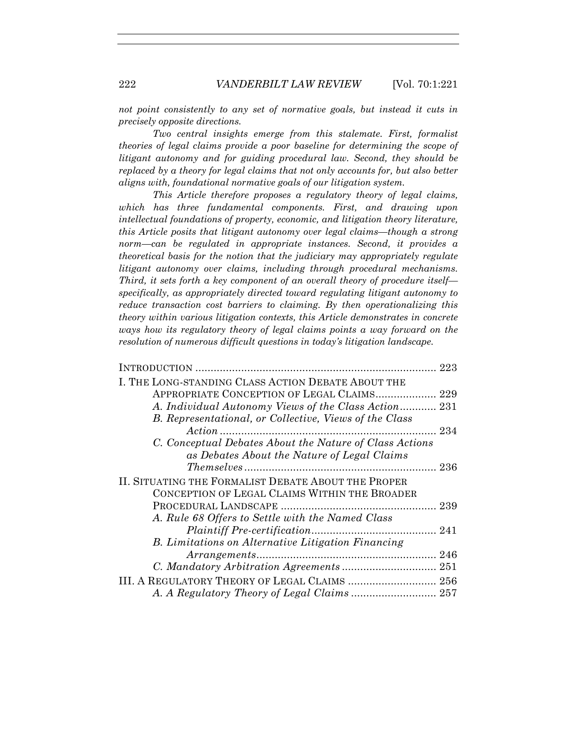*not point consistently to any set of normative goals, but instead it cuts in precisely opposite directions.*

*Two central insights emerge from this stalemate. First, formalist theories of legal claims provide a poor baseline for determining the scope of litigant autonomy and for guiding procedural law. Second, they should be replaced by a theory for legal claims that not only accounts for, but also better aligns with, foundational normative goals of our litigation system.* 

*This Article therefore proposes a regulatory theory of legal claims, which has three fundamental components. First, and drawing upon intellectual foundations of property, economic, and litigation theory literature, this Article posits that litigant autonomy over legal claims—though a strong norm—can be regulated in appropriate instances. Second, it provides a theoretical basis for the notion that the judiciary may appropriately regulate litigant autonomy over claims, including through procedural mechanisms. Third, it sets forth a key component of an overall theory of procedure itself specifically, as appropriately directed toward regulating litigant autonomy to reduce transaction cost barriers to claiming. By then operationalizing this theory within various litigation contexts, this Article demonstrates in concrete ways how its regulatory theory of legal claims points a way forward on the resolution of numerous difficult questions in today's litigation landscape.* 

| I. THE LONG-STANDING CLASS ACTION DEBATE ABOUT THE        |  |
|-----------------------------------------------------------|--|
| APPROPRIATE CONCEPTION OF LEGAL CLAIMS 229                |  |
| A. Individual Autonomy Views of the Class Action 231      |  |
| B. Representational, or Collective, Views of the Class    |  |
|                                                           |  |
| C. Conceptual Debates About the Nature of Class Actions   |  |
| as Debates About the Nature of Legal Claims               |  |
|                                                           |  |
| II. SITUATING THE FORMALIST DEBATE ABOUT THE PROPER       |  |
| CONCEPTION OF LEGAL CLAIMS WITHIN THE BROADER             |  |
|                                                           |  |
| A. Rule 68 Offers to Settle with the Named Class          |  |
|                                                           |  |
| <b>B.</b> Limitations on Alternative Litigation Financing |  |
|                                                           |  |
|                                                           |  |
| III. A REGULATORY THEORY OF LEGAL CLAIMS  256             |  |
|                                                           |  |
|                                                           |  |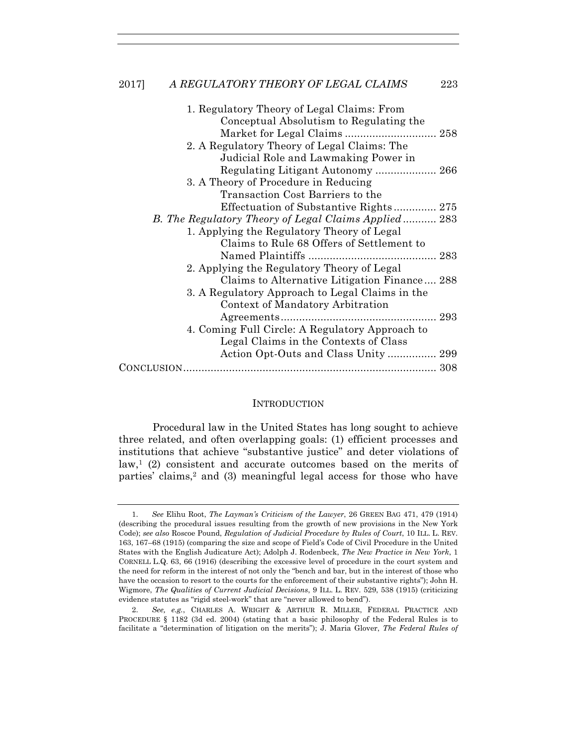| 1. Regulatory Theory of Legal Claims: From           |  |
|------------------------------------------------------|--|
| Conceptual Absolutism to Regulating the              |  |
|                                                      |  |
| 2. A Regulatory Theory of Legal Claims: The          |  |
| Judicial Role and Lawmaking Power in                 |  |
|                                                      |  |
| 3. A Theory of Procedure in Reducing                 |  |
| Transaction Cost Barriers to the                     |  |
| Effectuation of Substantive Rights 275               |  |
| B. The Regulatory Theory of Legal Claims Applied 283 |  |
| 1. Applying the Regulatory Theory of Legal           |  |
| Claims to Rule 68 Offers of Settlement to            |  |
|                                                      |  |
| 2. Applying the Regulatory Theory of Legal           |  |
| Claims to Alternative Litigation Finance 288         |  |
| 3. A Regulatory Approach to Legal Claims in the      |  |
| Context of Mandatory Arbitration                     |  |
|                                                      |  |
| 4. Coming Full Circle: A Regulatory Approach to      |  |
| Legal Claims in the Contexts of Class                |  |
|                                                      |  |
|                                                      |  |
|                                                      |  |

#### **INTRODUCTION**

Procedural law in the United States has long sought to achieve three related, and often overlapping goals: (1) efficient processes and institutions that achieve "substantive justice" and deter violations of  $law<sup>1</sup>$  (2) consistent and accurate outcomes based on the merits of parties' claims,2 and (3) meaningful legal access for those who have

 <sup>1.</sup> *See* Elihu Root, *The Layman's Criticism of the Lawyer*, 26 GREEN BAG 471, 479 (1914) (describing the procedural issues resulting from the growth of new provisions in the New York Code); *see also* Roscoe Pound, *Regulation of Judicial Procedure by Rules of Court*, 10 ILL. L. REV. 163, 167–68 (1915) (comparing the size and scope of Field's Code of Civil Procedure in the United States with the English Judicature Act); Adolph J. Rodenbeck, *The New Practice in New York*, 1 CORNELL L.Q. 63, 66 (1916) (describing the excessive level of procedure in the court system and the need for reform in the interest of not only the "bench and bar, but in the interest of those who have the occasion to resort to the courts for the enforcement of their substantive rights"); John H. Wigmore, *The Qualities of Current Judicial Decisions*, 9 ILL. L. REV. 529, 538 (1915) (criticizing evidence statutes as "rigid steel-work" that are "never allowed to bend").

 <sup>2.</sup> *See, e.g.*, CHARLES A. WRIGHT & ARTHUR R. MILLER, FEDERAL PRACTICE AND PROCEDURE § 1182 (3d ed. 2004) (stating that a basic philosophy of the Federal Rules is to facilitate a "determination of litigation on the merits"); J. Maria Glover, *The Federal Rules of*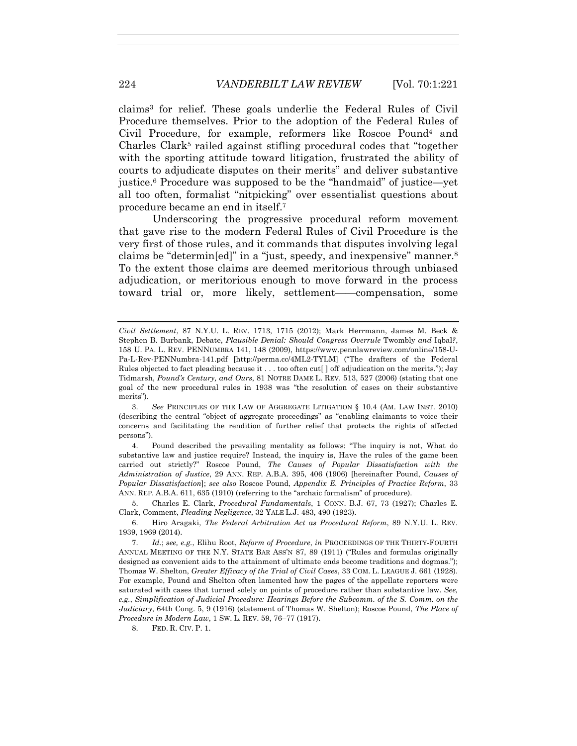claims3 for relief. These goals underlie the Federal Rules of Civil Procedure themselves. Prior to the adoption of the Federal Rules of Civil Procedure, for example, reformers like Roscoe Pound4 and Charles Clark5 railed against stifling procedural codes that "together with the sporting attitude toward litigation, frustrated the ability of courts to adjudicate disputes on their merits" and deliver substantive justice.6 Procedure was supposed to be the "handmaid" of justice—yet all too often, formalist "nitpicking" over essentialist questions about procedure became an end in itself.7

Underscoring the progressive procedural reform movement that gave rise to the modern Federal Rules of Civil Procedure is the very first of those rules, and it commands that disputes involving legal claims be "determin[ed]" in a "just, speedy, and inexpensive" manner.8 To the extent those claims are deemed meritorious through unbiased adjudication, or meritorious enough to move forward in the process toward trial or, more likely, settlement——compensation, some

 3. *See* PRINCIPLES OF THE LAW OF AGGREGATE LITIGATION § 10.4 (AM. LAW INST. 2010) (describing the central "object of aggregate proceedings" as "enabling claimants to voice their concerns and facilitating the rendition of further relief that protects the rights of affected persons").

 4. Pound described the prevailing mentality as follows: "The inquiry is not, What do substantive law and justice require? Instead, the inquiry is, Have the rules of the game been carried out strictly?" Roscoe Pound, *The Causes of Popular Dissatisfaction with the Administration of Justice*, 29 ANN. REP. A.B.A. 395, 406 (1906) [hereinafter Pound, *Causes of Popular Dissatisfaction*]; *see also* Roscoe Pound, *Appendix E. Principles of Practice Reform*, 33 ANN. REP. A.B.A. 611, 635 (1910) (referring to the "archaic formalism" of procedure).

 5. Charles E. Clark, *Procedural Fundamentals*, 1 CONN. B.J. 67, 73 (1927); Charles E. Clark, Comment, *Pleading Negligence*, 32 YALE L.J. 483, 490 (1923).

 6. Hiro Aragaki, *The Federal Arbitration Act as Procedural Reform*, 89 N.Y.U. L. REV. 1939, 1969 (2014).

 7. *Id.*; *see, e.g.*, Elihu Root, *Reform of Procedure*, *in* PROCEEDINGS OF THE THIRTY-FOURTH ANNUAL MEETING OF THE N.Y. STATE BAR ASS'N 87, 89 (1911) ("Rules and formulas originally designed as convenient aids to the attainment of ultimate ends become traditions and dogmas."); Thomas W. Shelton, *Greater Efficacy of the Trial of Civil Cases*, 33 COM. L. LEAGUE J. 661 (1928). For example, Pound and Shelton often lamented how the pages of the appellate reporters were saturated with cases that turned solely on points of procedure rather than substantive law. *See, e.g.*, *Simplification of Judicial Procedure: Hearings Before the Subcomm. of the S. Comm. on the Judiciary*, 64th Cong. 5, 9 (1916) (statement of Thomas W. Shelton); Roscoe Pound, *The Place of Procedure in Modern Law*, 1 SW. L. REV. 59, 76–77 (1917).

8. FED. R. CIV. P. 1.

*Civil Settlement*, 87 N.Y.U. L. REV. 1713, 1715 (2012); Mark Herrmann, James M. Beck & Stephen B. Burbank, Debate, *Plausible Denial: Should Congress Overrule* Twombly *and* Iqbal*?*, 158 U. PA. L. REV. PENNUMBRA 141, 148 (2009), https://www.pennlawreview.com/online/158-U-Pa-L-Rev-PENNumbra-141.pdf [http://perma.cc/4ML2-TYLM] ("The drafters of the Federal Rules objected to fact pleading because it . . . too often cut[ ] off adjudication on the merits."); Jay Tidmarsh, *Pound's Century, and Ours*, 81 NOTRE DAME L. REV. 513, 527 (2006) (stating that one goal of the new procedural rules in 1938 was "the resolution of cases on their substantive merits").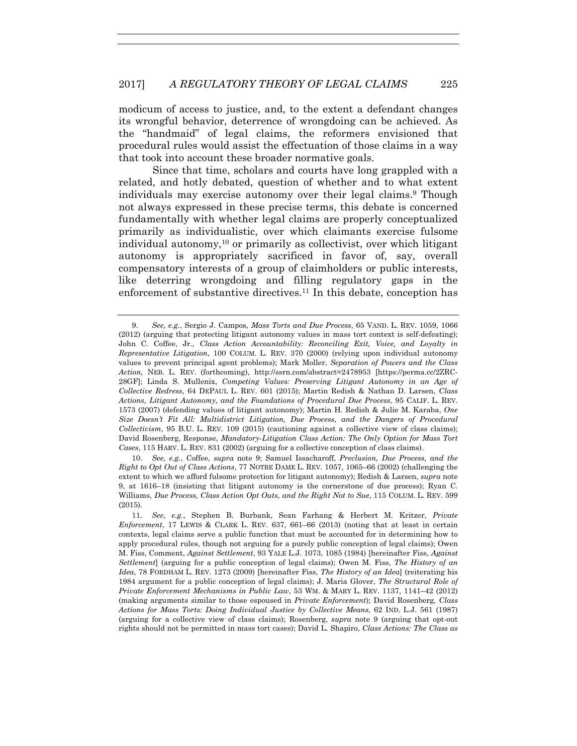modicum of access to justice, and, to the extent a defendant changes its wrongful behavior, deterrence of wrongdoing can be achieved. As the "handmaid" of legal claims, the reformers envisioned that procedural rules would assist the effectuation of those claims in a way that took into account these broader normative goals.

Since that time, scholars and courts have long grappled with a related, and hotly debated, question of whether and to what extent individuals may exercise autonomy over their legal claims.9 Though not always expressed in these precise terms, this debate is concerned fundamentally with whether legal claims are properly conceptualized primarily as individualistic, over which claimants exercise fulsome individual autonomy,<sup>10</sup> or primarily as collectivist, over which litigant autonomy is appropriately sacrificed in favor of, say, overall compensatory interests of a group of claimholders or public interests, like deterring wrongdoing and filling regulatory gaps in the enforcement of substantive directives.11 In this debate, conception has

 <sup>9.</sup> *See, e.g.*, Sergio J. Campos, *Mass Torts and Due Process*, 65 VAND. L. REV. 1059, 1066 (2012) (arguing that protecting litigant autonomy values in mass tort context is self-defeating); John C. Coffee, Jr., *Class Action Accountability: Reconciling Exit, Voice, and Loyalty in Representative Litigation*, 100 COLUM. L. REV. 370 (2000) (relying upon individual autonomy values to prevent principal agent problems); Mark Moller, *Separation of Powers and the Class Action*, NEB. L. REV. (forthcoming), http://ssrn.com/abstract=2478953 [https://perma.cc/2ZRC-28GF]; Linda S. Mullenix, *Competing Values: Preserving Litigant Autonomy in an Age of Collective Redress*, 64 DEPAUL L. REV. 601 (2015); Martin Redish & Nathan D. Larsen, *Class Actions, Litigant Autonomy, and the Foundations of Procedural Due Process*, 95 CALIF. L. REV. 1573 (2007) (defending values of litigant autonomy); Martin H. Redish & Julie M. Karaba, *One Size Doesn't Fit All: Multidistrict Litigation, Due Process, and the Dangers of Procedural Collectivism*, 95 B.U. L. REV. 109 (2015) (cautioning against a collective view of class claims); David Rosenberg, Response, *Mandatory-Litigation Class Action: The Only Option for Mass Tort Cases*, 115 HARV. L. REV. 831 (2002) (arguing for a collective conception of class claims).

 <sup>10.</sup> *See, e.g.*, Coffee, *supra* note 9; Samuel Issacharoff, *Preclusion, Due Process, and the Right to Opt Out of Class Actions*, 77 NOTRE DAME L. REV. 1057, 1065–66 (2002) (challenging the extent to which we afford fulsome protection for litigant autonomy); Redish & Larsen, *supra* note 9, at 1616–18 (insisting that litigant autonomy is the cornerstone of due process); Ryan C. Williams, *Due Process, Class Action Opt Outs, and the Right Not to Sue*, 115 COLUM. L. REV. 599 (2015).

 <sup>11.</sup> *See, e.g.*, Stephen B. Burbank, Sean Farhang & Herbert M. Kritzer, *Private Enforcement*, 17 LEWIS & CLARK L. REV. 637, 661–66 (2013) (noting that at least in certain contexts, legal claims serve a public function that must be accounted for in determining how to apply procedural rules, though not arguing for a purely public conception of legal claims); Owen M. Fiss, Comment, *Against Settlement*, 93 YALE L.J. 1073, 1085 (1984) [hereinafter Fiss, *Against Settlement*] (arguing for a public conception of legal claims); Owen M. Fiss, *The History of an Idea*, 78 FORDHAM L. REV. 1273 (2009) [hereinafter Fiss, *The History of an Idea*] (reiterating his 1984 argument for a public conception of legal claims); J. Maria Glover, *The Structural Role of Private Enforcement Mechanisms in Public Law*, 53 WM. & MARY L. REV. 1137, 1141–42 (2012) (making arguments similar to those espoused in *Private Enforcement*); David Rosenberg, *Class Actions for Mass Torts: Doing Individual Justice by Collective Means*, 62 IND. L.J. 561 (1987) (arguing for a collective view of class claims); Rosenberg, *supra* note 9 (arguing that opt-out rights should not be permitted in mass tort cases); David L. Shapiro, *Class Actions: The Class as*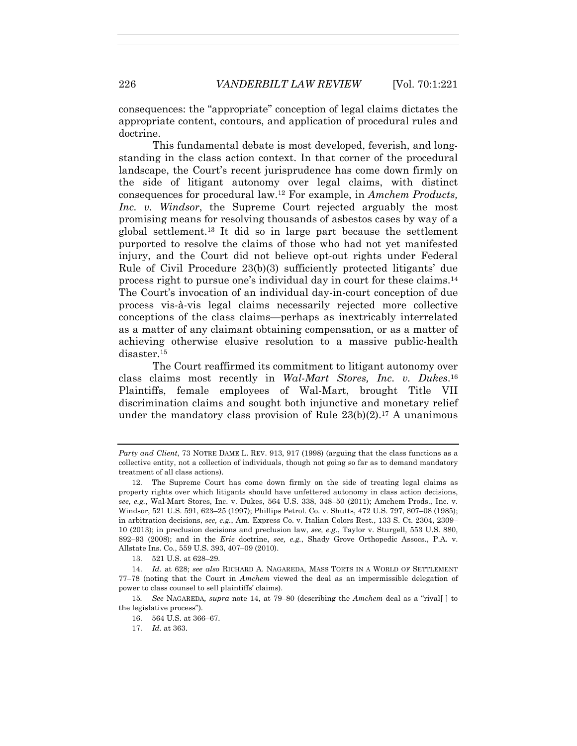consequences: the "appropriate" conception of legal claims dictates the appropriate content, contours, and application of procedural rules and doctrine.

This fundamental debate is most developed, feverish, and longstanding in the class action context. In that corner of the procedural landscape, the Court's recent jurisprudence has come down firmly on the side of litigant autonomy over legal claims, with distinct consequences for procedural law.12 For example, in *Amchem Products, Inc. v. Windsor*, the Supreme Court rejected arguably the most promising means for resolving thousands of asbestos cases by way of a global settlement.13 It did so in large part because the settlement purported to resolve the claims of those who had not yet manifested injury, and the Court did not believe opt-out rights under Federal Rule of Civil Procedure 23(b)(3) sufficiently protected litigants' due process right to pursue one's individual day in court for these claims.14 The Court's invocation of an individual day-in-court conception of due process vis-à-vis legal claims necessarily rejected more collective conceptions of the class claims—perhaps as inextricably interrelated as a matter of any claimant obtaining compensation, or as a matter of achieving otherwise elusive resolution to a massive public-health disaster.15

The Court reaffirmed its commitment to litigant autonomy over class claims most recently in *Wal-Mart Stores, Inc. v. Dukes*.16 Plaintiffs, female employees of Wal-Mart, brought Title VII discrimination claims and sought both injunctive and monetary relief under the mandatory class provision of Rule  $23(b)(2)$ .<sup>17</sup> A unanimous

13. 521 U.S. at 628–29.

*Party and Client*, 73 NOTRE DAME L. REV. 913, 917 (1998) (arguing that the class functions as a collective entity, not a collection of individuals, though not going so far as to demand mandatory treatment of all class actions).

 <sup>12.</sup> The Supreme Court has come down firmly on the side of treating legal claims as property rights over which litigants should have unfettered autonomy in class action decisions, *see, e.g.*, Wal-Mart Stores, Inc. v. Dukes, 564 U.S. 338, 348–50 (2011); Amchem Prods., Inc. v. Windsor, 521 U.S. 591, 623–25 (1997); Phillips Petrol. Co. v. Shutts, 472 U.S. 797, 807–08 (1985); in arbitration decisions, *see, e.g.*, Am. Express Co. v. Italian Colors Rest., 133 S. Ct. 2304, 2309– 10 (2013); in preclusion decisions and preclusion law, *see, e.g.*, Taylor v. Sturgell, 553 U.S. 880, 892–93 (2008); and in the *Erie* doctrine, *see, e.g.*, Shady Grove Orthopedic Assocs., P.A. v. Allstate Ins. Co., 559 U.S. 393, 407–09 (2010).

 <sup>14.</sup> *Id.* at 628; *see also* RICHARD A. NAGAREDA, MASS TORTS IN A WORLD OF SETTLEMENT 77–78 (noting that the Court in *Amchem* viewed the deal as an impermissible delegation of power to class counsel to sell plaintiffs' claims).

<sup>15</sup>*. See* NAGAREDA*, supra* note 14, at 79–80 (describing the *Amchem* deal as a "rival[ ] to the legislative process").

 <sup>16. 564</sup> U.S. at 366–67.

 <sup>17.</sup> *Id.* at 363.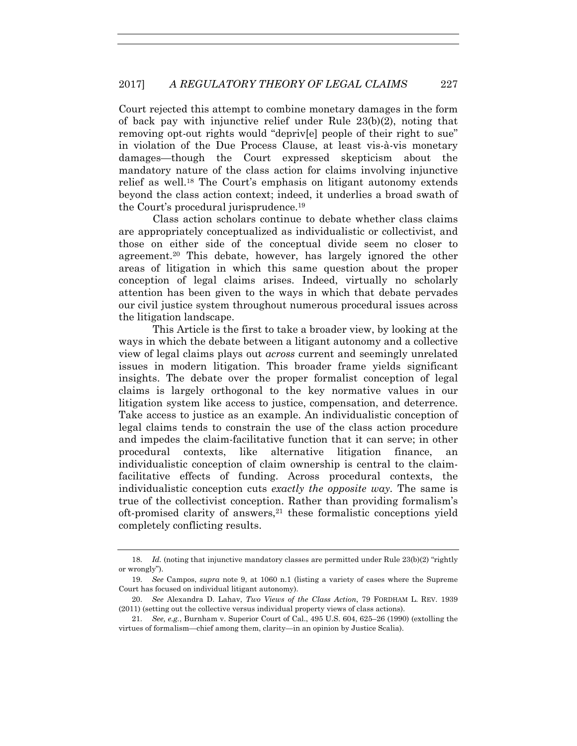Court rejected this attempt to combine monetary damages in the form of back pay with injunctive relief under Rule 23(b)(2), noting that removing opt-out rights would "depriv[e] people of their right to sue" in violation of the Due Process Clause, at least vis-à-vis monetary damages—though the Court expressed skepticism about the mandatory nature of the class action for claims involving injunctive relief as well.18 The Court's emphasis on litigant autonomy extends beyond the class action context; indeed, it underlies a broad swath of the Court's procedural jurisprudence.19

Class action scholars continue to debate whether class claims are appropriately conceptualized as individualistic or collectivist, and those on either side of the conceptual divide seem no closer to agreement.20 This debate, however, has largely ignored the other areas of litigation in which this same question about the proper conception of legal claims arises. Indeed, virtually no scholarly attention has been given to the ways in which that debate pervades our civil justice system throughout numerous procedural issues across the litigation landscape.

This Article is the first to take a broader view, by looking at the ways in which the debate between a litigant autonomy and a collective view of legal claims plays out *across* current and seemingly unrelated issues in modern litigation. This broader frame yields significant insights. The debate over the proper formalist conception of legal claims is largely orthogonal to the key normative values in our litigation system like access to justice, compensation, and deterrence. Take access to justice as an example. An individualistic conception of legal claims tends to constrain the use of the class action procedure and impedes the claim-facilitative function that it can serve; in other procedural contexts, like alternative litigation finance, an individualistic conception of claim ownership is central to the claimfacilitative effects of funding. Across procedural contexts, the individualistic conception cuts *exactly the opposite way.* The same is true of the collectivist conception. Rather than providing formalism's oft-promised clarity of answers,21 these formalistic conceptions yield completely conflicting results.

<sup>18.</sup> *Id.* (noting that injunctive mandatory classes are permitted under Rule 23(b)(2) "rightly or wrongly").

 <sup>19.</sup> *See* Campos, *supra* note 9, at 1060 n.1 (listing a variety of cases where the Supreme Court has focused on individual litigant autonomy).

 <sup>20.</sup> *See* Alexandra D. Lahav, *Two Views of the Class Action*, 79 FORDHAM L. REV. 1939 (2011) (setting out the collective versus individual property views of class actions).

 <sup>21.</sup> *See, e.g.*, Burnham v. Superior Court of Cal., 495 U.S. 604, 625–26 (1990) (extolling the virtues of formalism—chief among them, clarity—in an opinion by Justice Scalia).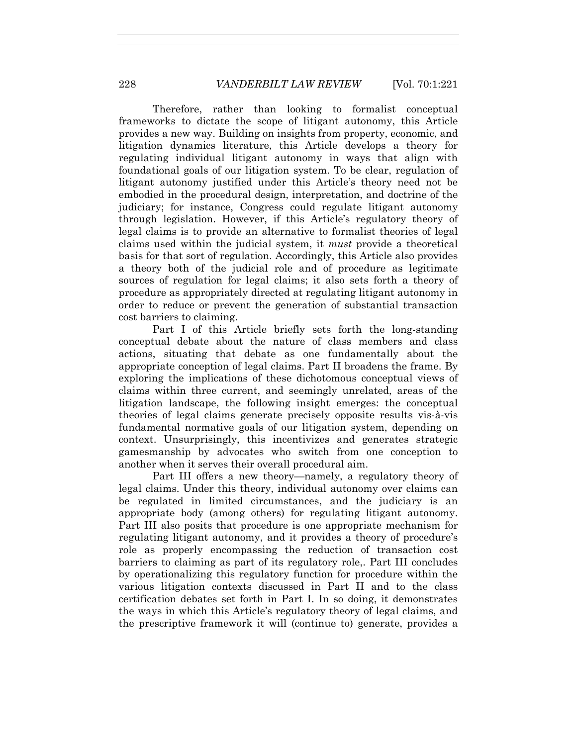Therefore, rather than looking to formalist conceptual frameworks to dictate the scope of litigant autonomy, this Article provides a new way. Building on insights from property, economic, and litigation dynamics literature, this Article develops a theory for regulating individual litigant autonomy in ways that align with foundational goals of our litigation system. To be clear, regulation of litigant autonomy justified under this Article's theory need not be embodied in the procedural design, interpretation, and doctrine of the judiciary; for instance, Congress could regulate litigant autonomy through legislation. However, if this Article's regulatory theory of legal claims is to provide an alternative to formalist theories of legal claims used within the judicial system, it *must* provide a theoretical basis for that sort of regulation. Accordingly, this Article also provides a theory both of the judicial role and of procedure as legitimate sources of regulation for legal claims; it also sets forth a theory of procedure as appropriately directed at regulating litigant autonomy in order to reduce or prevent the generation of substantial transaction cost barriers to claiming.

Part I of this Article briefly sets forth the long-standing conceptual debate about the nature of class members and class actions, situating that debate as one fundamentally about the appropriate conception of legal claims. Part II broadens the frame. By exploring the implications of these dichotomous conceptual views of claims within three current, and seemingly unrelated, areas of the litigation landscape, the following insight emerges: the conceptual theories of legal claims generate precisely opposite results vis-à-vis fundamental normative goals of our litigation system, depending on context. Unsurprisingly, this incentivizes and generates strategic gamesmanship by advocates who switch from one conception to another when it serves their overall procedural aim.

Part III offers a new theory—namely, a regulatory theory of legal claims. Under this theory, individual autonomy over claims can be regulated in limited circumstances, and the judiciary is an appropriate body (among others) for regulating litigant autonomy. Part III also posits that procedure is one appropriate mechanism for regulating litigant autonomy, and it provides a theory of procedure's role as properly encompassing the reduction of transaction cost barriers to claiming as part of its regulatory role,. Part III concludes by operationalizing this regulatory function for procedure within the various litigation contexts discussed in Part II and to the class certification debates set forth in Part I. In so doing, it demonstrates the ways in which this Article's regulatory theory of legal claims, and the prescriptive framework it will (continue to) generate, provides a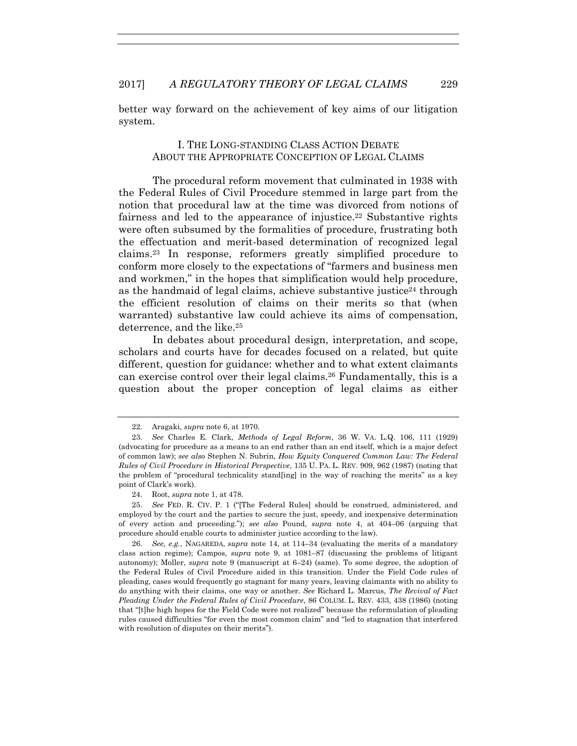better way forward on the achievement of key aims of our litigation system.

## I. THE LONG-STANDING CLASS ACTION DEBATE ABOUT THE APPROPRIATE CONCEPTION OF LEGAL CLAIMS

The procedural reform movement that culminated in 1938 with the Federal Rules of Civil Procedure stemmed in large part from the notion that procedural law at the time was divorced from notions of fairness and led to the appearance of injustice.<sup>22</sup> Substantive rights were often subsumed by the formalities of procedure, frustrating both the effectuation and merit-based determination of recognized legal claims.23 In response, reformers greatly simplified procedure to conform more closely to the expectations of "farmers and business men and workmen," in the hopes that simplification would help procedure, as the handmaid of legal claims, achieve substantive justice<sup>24</sup> through the efficient resolution of claims on their merits so that (when warranted) substantive law could achieve its aims of compensation, deterrence, and the like.25

In debates about procedural design, interpretation, and scope, scholars and courts have for decades focused on a related, but quite different, question for guidance: whether and to what extent claimants can exercise control over their legal claims.26 Fundamentally, this is a question about the proper conception of legal claims as either

 <sup>22.</sup> Aragaki, *supra* note 6, at 1970.

 <sup>23.</sup> *See* Charles E. Clark, *Methods of Legal Reform*, 36 W. VA. L.Q. 106, 111 (1929) (advocating for procedure as a means to an end rather than an end itself, which is a major defect of common law); *see also* Stephen N. Subrin, *How Equity Conquered Common Law: The Federal Rules of Civil Procedure in Historical Perspective*, 135 U. PA. L. REV. 909, 962 (1987) (noting that the problem of "procedural technicality stand[ing] in the way of reaching the merits" as a key point of Clark's work).

 <sup>24.</sup> Root, *supra* note 1, at 478.

 <sup>25.</sup> *See* FED. R. CIV. P. 1 ("[The Federal Rules] should be construed, administered, and employed by the court and the parties to secure the just, speedy, and inexpensive determination of every action and proceeding."); *see also* Pound, *supra* note 4, at 404–06 (arguing that procedure should enable courts to administer justice according to the law).

 <sup>26.</sup> *See, e.g.*, NAGAREDA, *supra* note 14, at 114–34 (evaluating the merits of a mandatory class action regime); Campos, *supra* note 9, at 1081–87 (discussing the problems of litigant autonomy); Moller, *supra* note 9 (manuscript at 6–24) (same). To some degree, the adoption of the Federal Rules of Civil Procedure aided in this transition. Under the Field Code rules of pleading, cases would frequently go stagnant for many years, leaving claimants with no ability to do anything with their claims, one way or another. *See* Richard L. Marcus, *The Revival of Fact Pleading Under the Federal Rules of Civil Procedure*, 86 COLUM. L. REV. 433, 438 (1986) (noting that "[t]he high hopes for the Field Code were not realized" because the reformulation of pleading rules caused difficulties "for even the most common claim" and "led to stagnation that interfered with resolution of disputes on their merits").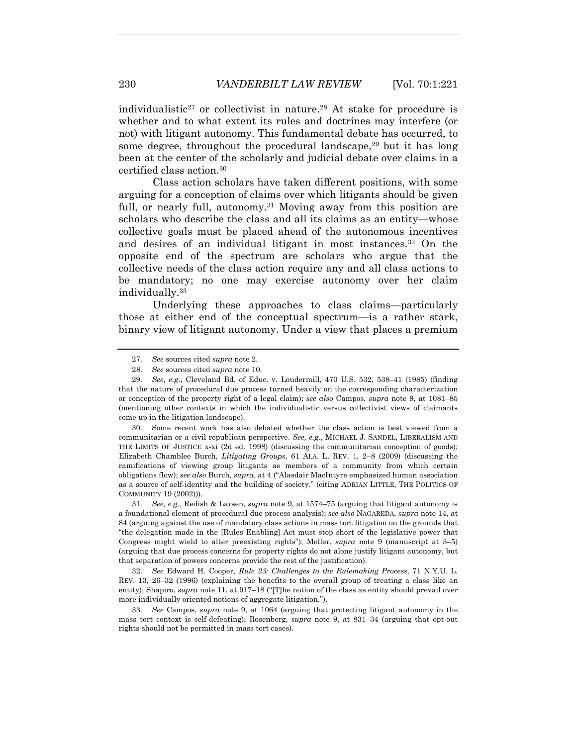individualistic<sup>27</sup> or collectivist in nature.<sup>28</sup> At stake for procedure is whether and to what extent its rules and doctrines may interfere (or not) with litigant autonomy. This fundamental debate has occurred, to some degree, throughout the procedural landscape,  $29$  but it has long been at the center of the scholarly and judicial debate over claims in a certified class action.30

Class action scholars have taken different positions, with some arguing for a conception of claims over which litigants should be given full, or nearly full, autonomy.<sup>31</sup> Moving away from this position are scholars who describe the class and all its claims as an entity—whose collective goals must be placed ahead of the autonomous incentives and desires of an individual litigant in most instances.32 On the opposite end of the spectrum are scholars who argue that the collective needs of the class action require any and all class actions to be mandatory; no one may exercise autonomy over her claim individually.33

Underlying these approaches to class claims—particularly those at either end of the conceptual spectrum—is a rather stark, binary view of litigant autonomy. Under a view that places a premium

 30. Some recent work has also debated whether the class action is best viewed from a communitarian or a civil republican perspective. *See, e.g.*, MICHAEL J. SANDEL, LIBERALISM AND THE LIMITS OF JUSTICE x-xi (2d ed. 1998) (discussing the communitarian conception of goods); Elizabeth Chamblee Burch, *Litigating Groups*, 61 ALA. L. REV. 1, 2–8 (2009) (discussing the ramifications of viewing group litigants as members of a community from which certain obligations flow); *see also* Burch, *supra*, at 4 ("Alasdair MacIntyre emphasized human association as a source of self-identity and the building of society." (citing ADRIAN LITTLE, THE POLITICS OF COMMUNITY 19 (2002))).

 31. *See, e.g.*, Redish & Larsen, *supra* note 9, at 1574–75 (arguing that litigant autonomy is a foundational element of procedural due process analysis); *see also* NAGAREDA, *supra* note 14, at 84 (arguing against the use of mandatory class actions in mass tort litigation on the grounds that "the delegation made in the [Rules Enabling] Act must stop short of the legislative power that Congress might wield to alter preexisting rights"); Moller, *supra* note 9 (manuscript at 3–5) (arguing that due process concerns for property rights do not alone justify litigant autonomy, but that separation of powers concerns provide the rest of the justification).

 32. *See* Edward H. Cooper, *Rule 23: Challenges to the Rulemaking Process*, 71 N.Y.U. L. REV. 13, 26–32 (1996) (explaining the benefits to the overall group of treating a class like an entity); Shapiro, *supra* note 11, at 917–18 ("[T]he notion of the class as entity should prevail over more individually oriented notions of aggregate litigation.").

 33. *See* Campos, *supra* note 9, at 1064 (arguing that protecting litigant autonomy in the mass tort context is self-defeating); Rosenberg, *supra* note 9, at 831–34 (arguing that opt-out rights should not be permitted in mass tort cases).

 <sup>27.</sup> *See* sources cited *supra* note 2.

 <sup>28.</sup> *See* sources cited *supra* note 10.

 <sup>29.</sup> *See, e.g.*, Cleveland Bd. of Educ. v. Loudermill, 470 U.S. 532, 538–41 (1985) (finding that the nature of procedural due process turned heavily on the corresponding characterization or conception of the property right of a legal claim); *see also* Campos, *supra* note 9, at 1081–85 (mentioning other contexts in which the individualistic versus collectivist views of claimants come up in the litigation landscape).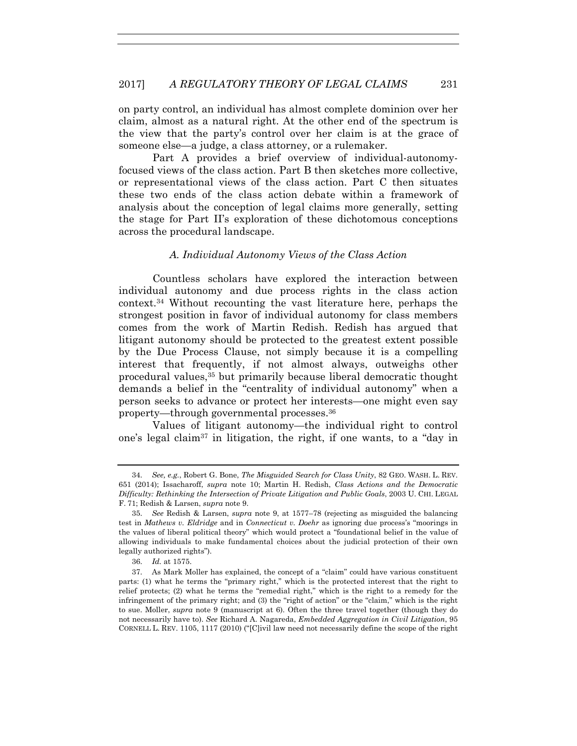on party control, an individual has almost complete dominion over her claim, almost as a natural right. At the other end of the spectrum is the view that the party's control over her claim is at the grace of someone else—a judge, a class attorney, or a rulemaker.

Part A provides a brief overview of individual-autonomyfocused views of the class action. Part B then sketches more collective, or representational views of the class action. Part C then situates these two ends of the class action debate within a framework of analysis about the conception of legal claims more generally, setting the stage for Part II's exploration of these dichotomous conceptions across the procedural landscape.

## *A. Individual Autonomy Views of the Class Action*

Countless scholars have explored the interaction between individual autonomy and due process rights in the class action context.34 Without recounting the vast literature here, perhaps the strongest position in favor of individual autonomy for class members comes from the work of Martin Redish. Redish has argued that litigant autonomy should be protected to the greatest extent possible by the Due Process Clause, not simply because it is a compelling interest that frequently, if not almost always, outweighs other procedural values,35 but primarily because liberal democratic thought demands a belief in the "centrality of individual autonomy" when a person seeks to advance or protect her interests—one might even say property—through governmental processes.36

Values of litigant autonomy—the individual right to control one's legal claim37 in litigation, the right, if one wants, to a "day in

 <sup>34.</sup> *See, e.g.*, Robert G. Bone, *The Misguided Search for Class Unity*, 82 GEO. WASH. L. REV. 651 (2014); Issacharoff, *supra* note 10; Martin H. Redish, *Class Actions and the Democratic Difficulty: Rethinking the Intersection of Private Litigation and Public Goals*, 2003 U. CHI. LEGAL F. 71; Redish & Larsen, *supra* note 9.

 <sup>35.</sup> *See* Redish & Larsen, *supra* note 9, at 1577–78 (rejecting as misguided the balancing test in *Mathews v. Eldridge* and in *Connecticut v. Doehr* as ignoring due process's "moorings in the values of liberal political theory" which would protect a "foundational belief in the value of allowing individuals to make fundamental choices about the judicial protection of their own legally authorized rights").

 <sup>36.</sup> *Id.* at 1575.

 <sup>37.</sup> As Mark Moller has explained, the concept of a "claim" could have various constituent parts: (1) what he terms the "primary right," which is the protected interest that the right to relief protects; (2) what he terms the "remedial right," which is the right to a remedy for the infringement of the primary right; and (3) the "right of action" or the "claim," which is the right to sue. Moller, *supra* note 9 (manuscript at 6). Often the three travel together (though they do not necessarily have to). *See* Richard A. Nagareda, *Embedded Aggregation in Civil Litigation*, 95 CORNELL L. REV. 1105, 1117 (2010) ("[C]ivil law need not necessarily define the scope of the right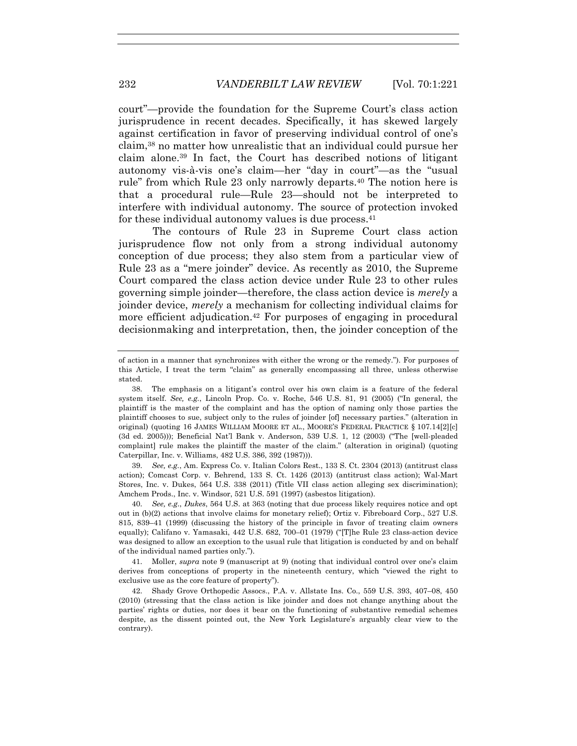court"—provide the foundation for the Supreme Court's class action jurisprudence in recent decades. Specifically, it has skewed largely against certification in favor of preserving individual control of one's claim,38 no matter how unrealistic that an individual could pursue her claim alone.39 In fact, the Court has described notions of litigant autonomy vis-à-vis one's claim—her "day in court"—as the "usual rule" from which Rule 23 only narrowly departs.40 The notion here is that a procedural rule—Rule 23—should not be interpreted to interfere with individual autonomy. The source of protection invoked for these individual autonomy values is due process.<sup>41</sup>

The contours of Rule 23 in Supreme Court class action jurisprudence flow not only from a strong individual autonomy conception of due process; they also stem from a particular view of Rule 23 as a "mere joinder" device. As recently as 2010, the Supreme Court compared the class action device under Rule 23 to other rules governing simple joinder—therefore, the class action device is *merely* a joinder device, *merely* a mechanism for collecting individual claims for more efficient adjudication.<sup>42</sup> For purposes of engaging in procedural decisionmaking and interpretation, then, the joinder conception of the

 39. *See, e.g.*, Am. Express Co. v. Italian Colors Rest., 133 S. Ct. 2304 (2013) (antitrust class action); Comcast Corp. v. Behrend, 133 S. Ct. 1426 (2013) (antitrust class action); Wal-Mart Stores, Inc. v. Dukes, 564 U.S. 338 (2011) (Title VII class action alleging sex discrimination); Amchem Prods., Inc. v. Windsor, 521 U.S. 591 (1997) (asbestos litigation).

 40. *See, e.g.*, *Dukes*, 564 U.S. at 363 (noting that due process likely requires notice and opt out in (b)(2) actions that involve claims for monetary relief); Ortiz v. Fibreboard Corp., 527 U.S. 815, 839–41 (1999) (discussing the history of the principle in favor of treating claim owners equally); Califano v. Yamasaki, 442 U.S. 682, 700–01 (1979) ("[T]he Rule 23 class-action device was designed to allow an exception to the usual rule that litigation is conducted by and on behalf of the individual named parties only.").

 41. Moller, *supra* note 9 (manuscript at 9) (noting that individual control over one's claim derives from conceptions of property in the nineteenth century, which "viewed the right to exclusive use as the core feature of property").

 42. Shady Grove Orthopedic Assocs., P.A. v. Allstate Ins. Co., 559 U.S. 393, 407–08, 450 (2010) (stressing that the class action is like joinder and does not change anything about the parties' rights or duties, nor does it bear on the functioning of substantive remedial schemes despite, as the dissent pointed out, the New York Legislature's arguably clear view to the contrary).

of action in a manner that synchronizes with either the wrong or the remedy."). For purposes of this Article, I treat the term "claim" as generally encompassing all three, unless otherwise stated.

 <sup>38.</sup> The emphasis on a litigant's control over his own claim is a feature of the federal system itself. *See, e.g.*, Lincoln Prop. Co. v. Roche, 546 U.S. 81, 91 (2005) ("In general, the plaintiff is the master of the complaint and has the option of naming only those parties the plaintiff chooses to sue, subject only to the rules of joinder [of] necessary parties." (alteration in original) (quoting 16 JAMES WILLIAM MOORE ET AL., MOORE'S FEDERAL PRACTICE § 107.14[2][c] (3d ed. 2005))); Beneficial Nat'l Bank v. Anderson, 539 U.S. 1, 12 (2003) ("The [well-pleaded complaint] rule makes the plaintiff the master of the claim." (alteration in original) (quoting Caterpillar, Inc. v. Williams, 482 U.S. 386, 392 (1987))).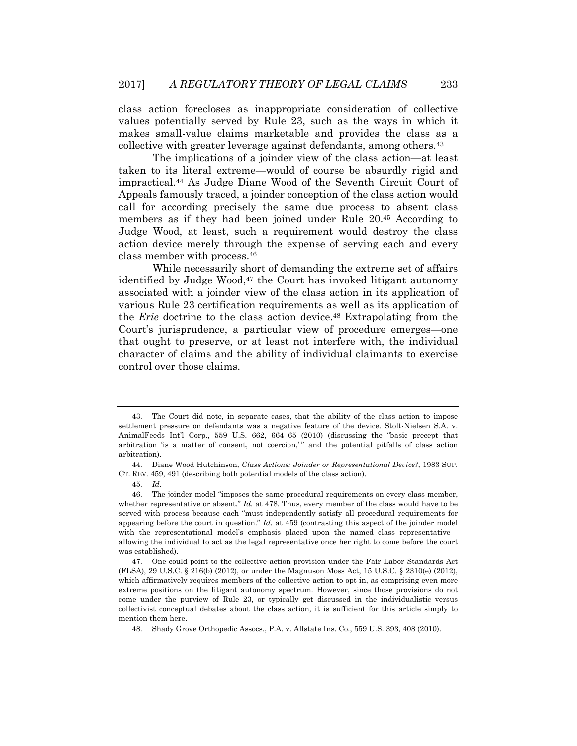class action forecloses as inappropriate consideration of collective values potentially served by Rule 23, such as the ways in which it makes small-value claims marketable and provides the class as a collective with greater leverage against defendants, among others.43

The implications of a joinder view of the class action—at least taken to its literal extreme—would of course be absurdly rigid and impractical.44 As Judge Diane Wood of the Seventh Circuit Court of Appeals famously traced, a joinder conception of the class action would call for according precisely the same due process to absent class members as if they had been joined under Rule 20.45 According to Judge Wood, at least, such a requirement would destroy the class action device merely through the expense of serving each and every class member with process.46

While necessarily short of demanding the extreme set of affairs identified by Judge Wood,<sup>47</sup> the Court has invoked litigant autonomy associated with a joinder view of the class action in its application of various Rule 23 certification requirements as well as its application of the *Erie* doctrine to the class action device.48 Extrapolating from the Court's jurisprudence, a particular view of procedure emerges—one that ought to preserve, or at least not interfere with, the individual character of claims and the ability of individual claimants to exercise control over those claims.

 <sup>43.</sup> The Court did note, in separate cases, that the ability of the class action to impose settlement pressure on defendants was a negative feature of the device. Stolt-Nielsen S.A. v. AnimalFeeds Int'l Corp., 559 U.S. 662, 664–65 (2010) (discussing the "basic precept that arbitration 'is a matter of consent, not coercion,' " and the potential pitfalls of class action arbitration).

 <sup>44.</sup> Diane Wood Hutchinson, *Class Actions: Joinder or Representational Device?*, 1983 SUP. CT. REV. 459, 491 (describing both potential models of the class action).

 <sup>45.</sup> *Id.*

 <sup>46.</sup> The joinder model "imposes the same procedural requirements on every class member, whether representative or absent." *Id.* at 478. Thus, every member of the class would have to be served with process because each "must independently satisfy all procedural requirements for appearing before the court in question." *Id.* at 459 (contrasting this aspect of the joinder model with the representational model's emphasis placed upon the named class representative allowing the individual to act as the legal representative once her right to come before the court was established).

 <sup>47.</sup> One could point to the collective action provision under the Fair Labor Standards Act (FLSA), 29 U.S.C. § 216(b) (2012), or under the Magnuson Moss Act, 15 U.S.C. § 2310(e) (2012), which affirmatively requires members of the collective action to opt in, as comprising even more extreme positions on the litigant autonomy spectrum. However, since those provisions do not come under the purview of Rule 23, or typically get discussed in the individualistic versus collectivist conceptual debates about the class action, it is sufficient for this article simply to mention them here.

 <sup>48.</sup> Shady Grove Orthopedic Assocs., P.A. v. Allstate Ins. Co., 559 U.S. 393, 408 (2010).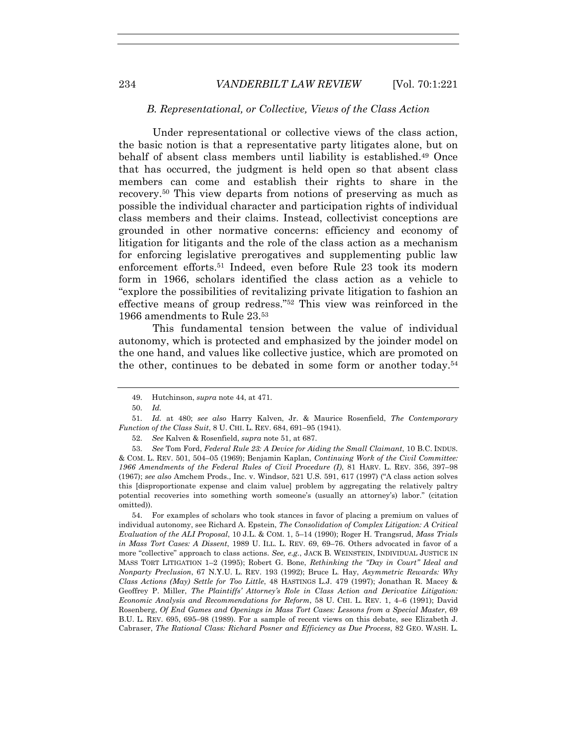#### *B. Representational, or Collective, Views of the Class Action*

Under representational or collective views of the class action, the basic notion is that a representative party litigates alone, but on behalf of absent class members until liability is established.49 Once that has occurred, the judgment is held open so that absent class members can come and establish their rights to share in the recovery.50 This view departs from notions of preserving as much as possible the individual character and participation rights of individual class members and their claims. Instead, collectivist conceptions are grounded in other normative concerns: efficiency and economy of litigation for litigants and the role of the class action as a mechanism for enforcing legislative prerogatives and supplementing public law enforcement efforts.51 Indeed, even before Rule 23 took its modern form in 1966, scholars identified the class action as a vehicle to "explore the possibilities of revitalizing private litigation to fashion an effective means of group redress."52 This view was reinforced in the 1966 amendments to Rule 23.53

This fundamental tension between the value of individual autonomy, which is protected and emphasized by the joinder model on the one hand, and values like collective justice, which are promoted on the other, continues to be debated in some form or another today.54

 53. *See* Tom Ford, *Federal Rule 23: A Device for Aiding the Small Claimant*, 10 B.C. INDUS. & COM. L. REV. 501, 504–05 (1969); Benjamin Kaplan, *Continuing Work of the Civil Committee: 1966 Amendments of the Federal Rules of Civil Procedure (I)*, 81 HARV. L. REV. 356, 397–98 (1967); *see also* Amchem Prods., Inc. v. Windsor, 521 U.S. 591, 617 (1997) ("A class action solves this [disproportionate expense and claim value] problem by aggregating the relatively paltry potential recoveries into something worth someone's (usually an attorney's) labor." (citation omitted)).

 54. For examples of scholars who took stances in favor of placing a premium on values of individual autonomy, see Richard A. Epstein, *The Consolidation of Complex Litigation: A Critical Evaluation of the ALI Proposal*, 10 J.L. & COM. 1, 5–14 (1990); Roger H. Trangsrud, *Mass Trials in Mass Tort Cases: A Dissent*, 1989 U. ILL. L. REV. 69, 69–76. Others advocated in favor of a more "collective" approach to class actions. *See, e.g.*, JACK B. WEINSTEIN, INDIVIDUAL JUSTICE IN MASS TORT LITIGATION 1–2 (1995); Robert G. Bone, *Rethinking the "Day in Court" Ideal and Nonparty Preclusion*, 67 N.Y.U. L. REV. 193 (1992); Bruce L. Hay, *Asymmetric Rewards: Why Class Actions (May) Settle for Too Little*, 48 HASTINGS L.J. 479 (1997); Jonathan R. Macey & Geoffrey P. Miller, *The Plaintiffs' Attorney's Role in Class Action and Derivative Litigation: Economic Analysis and Recommendations for Reform*, 58 U. CHI. L. REV. 1, 4–6 (1991); David Rosenberg, *Of End Games and Openings in Mass Tort Cases: Lessons from a Special Master*, 69 B.U. L. REV. 695, 695–98 (1989). For a sample of recent views on this debate, see Elizabeth J. Cabraser, *The Rational Class: Richard Posner and Efficiency as Due Process*, 82 GEO. WASH. L.

 <sup>49.</sup> Hutchinson, *supra* note 44, at 471.

 <sup>50.</sup> *Id.*

 <sup>51.</sup> *Id.* at 480; *see also* Harry Kalven, Jr. & Maurice Rosenfield, *The Contemporary Function of the Class Suit*, 8 U. CHI. L. REV. 684, 691–95 (1941).

 <sup>52.</sup> *See* Kalven & Rosenfield, *supra* note 51, at 687.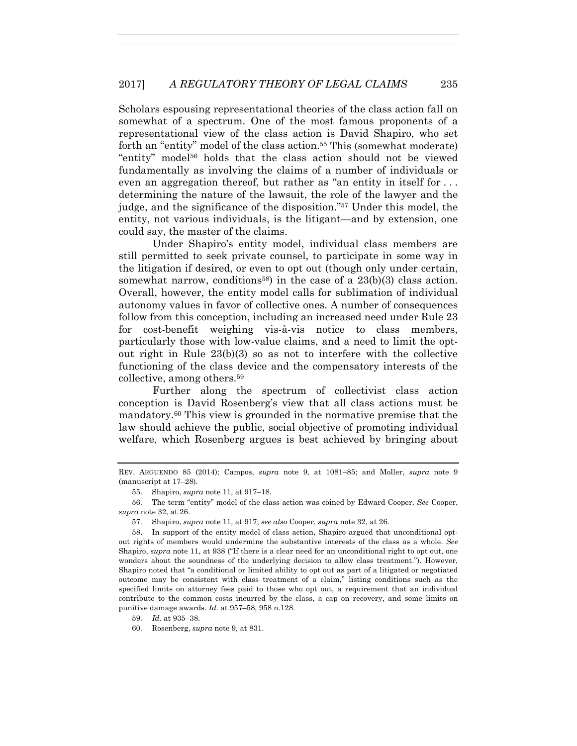Scholars espousing representational theories of the class action fall on somewhat of a spectrum. One of the most famous proponents of a representational view of the class action is David Shapiro, who set forth an "entity" model of the class action.<sup>55</sup> This (somewhat moderate) "entity" model<sup>56</sup> holds that the class action should not be viewed fundamentally as involving the claims of a number of individuals or even an aggregation thereof, but rather as "an entity in itself for . . . determining the nature of the lawsuit, the role of the lawyer and the judge, and the significance of the disposition."57 Under this model, the entity, not various individuals, is the litigant—and by extension, one could say, the master of the claims.

Under Shapiro's entity model, individual class members are still permitted to seek private counsel, to participate in some way in the litigation if desired, or even to opt out (though only under certain, somewhat narrow, conditions<sup>58</sup>) in the case of a  $23(b)(3)$  class action. Overall, however, the entity model calls for sublimation of individual autonomy values in favor of collective ones. A number of consequences follow from this conception, including an increased need under Rule 23 for cost-benefit weighing vis-à-vis notice to class members, particularly those with low-value claims, and a need to limit the optout right in Rule 23(b)(3) so as not to interfere with the collective functioning of the class device and the compensatory interests of the collective, among others.59

Further along the spectrum of collectivist class action conception is David Rosenberg's view that all class actions must be mandatory.60 This view is grounded in the normative premise that the law should achieve the public, social objective of promoting individual welfare, which Rosenberg argues is best achieved by bringing about

57. Shapiro, *supra* note 11, at 917; *see also* Cooper, *supra* note 32, at 26.

 58. In support of the entity model of class action, Shapiro argued that unconditional optout rights of members would undermine the substantive interests of the class as a whole. *See*  Shapiro, *supra* note 11, at 938 ("If there is a clear need for an unconditional right to opt out, one wonders about the soundness of the underlying decision to allow class treatment."). However, Shapiro noted that "a conditional or limited ability to opt out as part of a litigated or negotiated outcome may be consistent with class treatment of a claim," listing conditions such as the specified limits on attorney fees paid to those who opt out, a requirement that an individual contribute to the common costs incurred by the class, a cap on recovery, and some limits on punitive damage awards. *Id.* at 957–58, 958 n.128.

- 59. *Id.* at 935–38.
- 60. Rosenberg, *supra* note 9, at 831.

REV. ARGUENDO 85 (2014); Campos, *supra* note 9, at 1081–85; and Moller, *supra* note 9 (manuscript at 17–28).

 <sup>55.</sup> Shapiro, *supra* note 11, at 917–18.

 <sup>56.</sup> The term "entity" model of the class action was coined by Edward Cooper. *See* Cooper, *supra* note 32, at 26.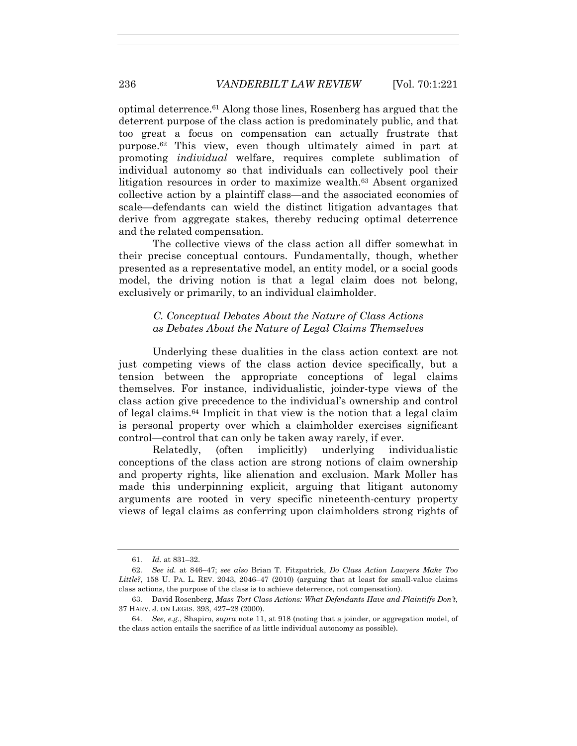optimal deterrence.61 Along those lines, Rosenberg has argued that the deterrent purpose of the class action is predominately public, and that too great a focus on compensation can actually frustrate that purpose.<sup>62</sup> This view, even though ultimately aimed in part at promoting *individual* welfare, requires complete sublimation of individual autonomy so that individuals can collectively pool their litigation resources in order to maximize wealth.<sup>63</sup> Absent organized collective action by a plaintiff class—and the associated economies of scale—defendants can wield the distinct litigation advantages that derive from aggregate stakes, thereby reducing optimal deterrence and the related compensation.

The collective views of the class action all differ somewhat in their precise conceptual contours. Fundamentally, though, whether presented as a representative model, an entity model, or a social goods model, the driving notion is that a legal claim does not belong, exclusively or primarily, to an individual claimholder.

### *C. Conceptual Debates About the Nature of Class Actions as Debates About the Nature of Legal Claims Themselves*

Underlying these dualities in the class action context are not just competing views of the class action device specifically, but a tension between the appropriate conceptions of legal claims themselves. For instance, individualistic, joinder-type views of the class action give precedence to the individual's ownership and control of legal claims.64 Implicit in that view is the notion that a legal claim is personal property over which a claimholder exercises significant control—control that can only be taken away rarely, if ever.

Relatedly, (often implicitly) underlying individualistic conceptions of the class action are strong notions of claim ownership and property rights, like alienation and exclusion. Mark Moller has made this underpinning explicit, arguing that litigant autonomy arguments are rooted in very specific nineteenth-century property views of legal claims as conferring upon claimholders strong rights of

 <sup>61.</sup> *Id.* at 831–32.

 <sup>62.</sup> *See id.* at 846–47; *see also* Brian T. Fitzpatrick, *Do Class Action Lawyers Make Too Little?*, 158 U. PA. L. REV. 2043, 2046–47 (2010) (arguing that at least for small-value claims class actions, the purpose of the class is to achieve deterrence, not compensation).

 <sup>63.</sup> David Rosenberg, *Mass Tort Class Actions: What Defendants Have and Plaintiffs Don't*, 37 HARV. J. ON LEGIS. 393, 427–28 (2000).

 <sup>64.</sup> *See, e.g.*, Shapiro, *supra* note 11, at 918 (noting that a joinder, or aggregation model, of the class action entails the sacrifice of as little individual autonomy as possible).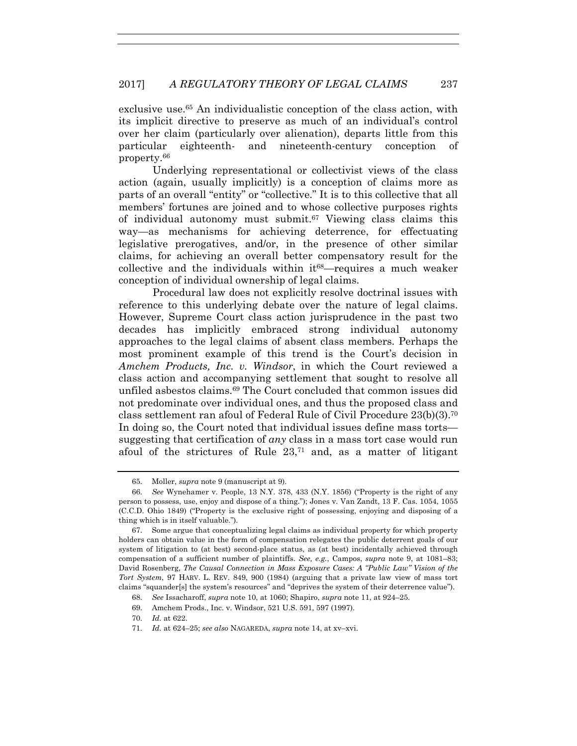exclusive use.65 An individualistic conception of the class action, with its implicit directive to preserve as much of an individual's control over her claim (particularly over alienation), departs little from this particular eighteenth- and nineteenth-century conception of property.66

Underlying representational or collectivist views of the class action (again, usually implicitly) is a conception of claims more as parts of an overall "entity" or "collective." It is to this collective that all members' fortunes are joined and to whose collective purposes rights of individual autonomy must submit.67 Viewing class claims this way—as mechanisms for achieving deterrence, for effectuating legislative prerogatives, and/or, in the presence of other similar claims, for achieving an overall better compensatory result for the collective and the individuals within  $it^{68}$ —requires a much weaker conception of individual ownership of legal claims.

Procedural law does not explicitly resolve doctrinal issues with reference to this underlying debate over the nature of legal claims. However, Supreme Court class action jurisprudence in the past two decades has implicitly embraced strong individual autonomy approaches to the legal claims of absent class members. Perhaps the most prominent example of this trend is the Court's decision in *Amchem Products, Inc. v. Windsor*, in which the Court reviewed a class action and accompanying settlement that sought to resolve all unfiled asbestos claims.69 The Court concluded that common issues did not predominate over individual ones, and thus the proposed class and class settlement ran afoul of Federal Rule of Civil Procedure 23(b)(3).70 In doing so, the Court noted that individual issues define mass torts suggesting that certification of *any* class in a mass tort case would run afoul of the strictures of Rule 23,71 and, as a matter of litigant

 <sup>65.</sup> Moller, *supra* note 9 (manuscript at 9).

 <sup>66.</sup> *See* Wynehamer v. People, 13 N.Y. 378, 433 (N.Y. 1856) ("Property is the right of any person to possess, use, enjoy and dispose of a thing."); Jones v. Van Zandt, 13 F. Cas. 1054, 1055 (C.C.D. Ohio 1849) ("Property is the exclusive right of possessing, enjoying and disposing of a thing which is in itself valuable.").

 <sup>67.</sup> Some argue that conceptualizing legal claims as individual property for which property holders can obtain value in the form of compensation relegates the public deterrent goals of our system of litigation to (at best) second-place status, as (at best) incidentally achieved through compensation of a sufficient number of plaintiffs. *See, e.g.*, Campos, *supra* note 9, at 1081–83; David Rosenberg, *The Causal Connection in Mass Exposure Cases: A "Public Law" Vision of the Tort System*, 97 HARV. L. REV. 849, 900 (1984) (arguing that a private law view of mass tort claims "squander[s] the system's resources" and "deprives the system of their deterrence value").

 <sup>68.</sup> *See* Issacharoff, *supra* note 10, at 1060; Shapiro, *supra* note 11, at 924–25.

 <sup>69.</sup> Amchem Prods., Inc. v. Windsor, 521 U.S. 591, 597 (1997).

 <sup>70.</sup> *Id.* at 622.

 <sup>71.</sup> *Id.* at 624–25; *see also* NAGAREDA, *supra* note 14, at xv–xvi.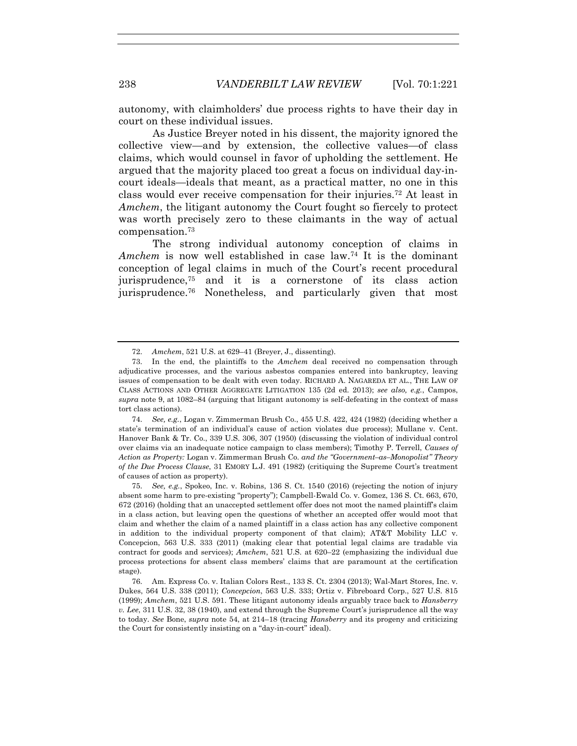autonomy, with claimholders' due process rights to have their day in court on these individual issues.

As Justice Breyer noted in his dissent, the majority ignored the collective view—and by extension, the collective values—of class claims, which would counsel in favor of upholding the settlement. He argued that the majority placed too great a focus on individual day-incourt ideals—ideals that meant, as a practical matter, no one in this class would ever receive compensation for their injuries.72 At least in *Amchem*, the litigant autonomy the Court fought so fiercely to protect was worth precisely zero to these claimants in the way of actual compensation.73

The strong individual autonomy conception of claims in *Amchem* is now well established in case law.74 It is the dominant conception of legal claims in much of the Court's recent procedural jurisprudence,75 and it is a cornerstone of its class action jurisprudence.76 Nonetheless, and particularly given that most

 74. *See, e.g.*, Logan v. Zimmerman Brush Co., 455 U.S. 422, 424 (1982) (deciding whether a state's termination of an individual's cause of action violates due process); Mullane v. Cent. Hanover Bank & Tr. Co., 339 U.S. 306, 307 (1950) (discussing the violation of individual control over claims via an inadequate notice campaign to class members); Timothy P. Terrell, *Causes of Action as Property:* Logan v. Zimmerman Brush Co. *and the "Government–as–Monopolist" Theory of the Due Process Clause*, 31 EMORY L.J. 491 (1982) (critiquing the Supreme Court's treatment of causes of action as property).

 75. *See, e.g.*, Spokeo, Inc. v. Robins, 136 S. Ct. 1540 (2016) (rejecting the notion of injury absent some harm to pre-existing "property"); Campbell-Ewald Co. v. Gomez, 136 S. Ct. 663, 670, 672 (2016) (holding that an unaccepted settlement offer does not moot the named plaintiff's claim in a class action, but leaving open the questions of whether an accepted offer would moot that claim and whether the claim of a named plaintiff in a class action has any collective component in addition to the individual property component of that claim); AT&T Mobility LLC v. Concepcion, 563 U.S. 333 (2011) (making clear that potential legal claims are tradable via contract for goods and services); *Amchem*, 521 U.S. at 620–22 (emphasizing the individual due process protections for absent class members' claims that are paramount at the certification stage).

 76. Am. Express Co. v. Italian Colors Rest., 133 S. Ct. 2304 (2013); Wal-Mart Stores, Inc. v. Dukes, 564 U.S. 338 (2011); *Concepcion*, 563 U.S. 333; Ortiz v. Fibreboard Corp., 527 U.S. 815 (1999); *Amchem*, 521 U.S. 591. These litigant autonomy ideals arguably trace back to *Hansberry v. Lee*, 311 U.S. 32, 38 (1940), and extend through the Supreme Court's jurisprudence all the way to today. *See* Bone, *supra* note 54, at 214–18 (tracing *Hansberry* and its progeny and criticizing the Court for consistently insisting on a "day-in-court" ideal).

 <sup>72.</sup> *Amchem*, 521 U.S. at 629–41 (Breyer, J., dissenting).

 <sup>73.</sup> In the end, the plaintiffs to the *Amchem* deal received no compensation through adjudicative processes, and the various asbestos companies entered into bankruptcy, leaving issues of compensation to be dealt with even today. RICHARD A. NAGAREDA ET AL., THE LAW OF CLASS ACTIONS AND OTHER AGGREGATE LITIGATION 135 (2d ed. 2013); *see also, e.g.*, Campos, *supra* note 9, at 1082–84 (arguing that litigant autonomy is self-defeating in the context of mass tort class actions).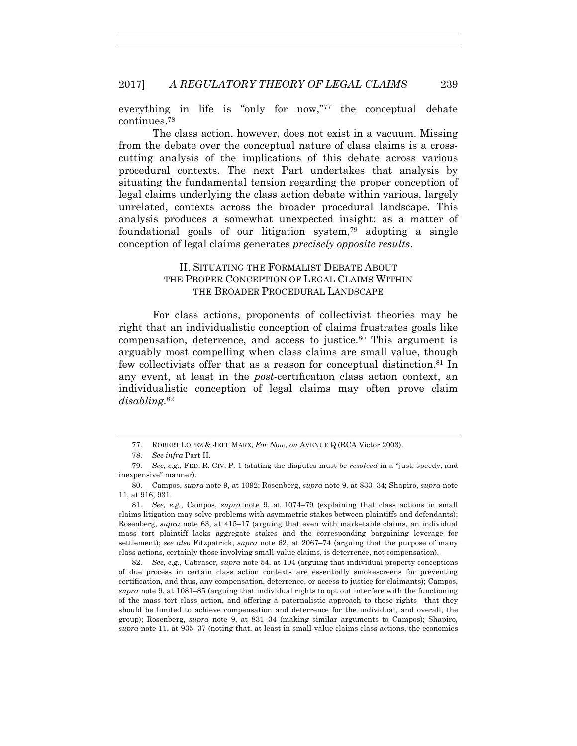everything in life is "only for now,"<sup>77</sup> the conceptual debate continues.78

The class action, however, does not exist in a vacuum. Missing from the debate over the conceptual nature of class claims is a crosscutting analysis of the implications of this debate across various procedural contexts. The next Part undertakes that analysis by situating the fundamental tension regarding the proper conception of legal claims underlying the class action debate within various, largely unrelated, contexts across the broader procedural landscape. This analysis produces a somewhat unexpected insight: as a matter of foundational goals of our litigation system,79 adopting a single conception of legal claims generates *precisely opposite results*.

## II. SITUATING THE FORMALIST DEBATE ABOUT THE PROPER CONCEPTION OF LEGAL CLAIMS WITHIN THE BROADER PROCEDURAL LANDSCAPE

For class actions, proponents of collectivist theories may be right that an individualistic conception of claims frustrates goals like compensation, deterrence, and access to justice.80 This argument is arguably most compelling when class claims are small value, though few collectivists offer that as a reason for conceptual distinction.81 In any event, at least in the *post*-certification class action context, an individualistic conception of legal claims may often prove claim *disabling*.82

 82. *See, e.g.*, Cabraser*, supra* note 54, at 104 (arguing that individual property conceptions of due process in certain class action contexts are essentially smokescreens for preventing certification, and thus, any compensation, deterrence, or access to justice for claimants); Campos, *supra* note 9, at 1081–85 (arguing that individual rights to opt out interfere with the functioning of the mass tort class action, and offering a paternalistic approach to those rights—that they should be limited to achieve compensation and deterrence for the individual, and overall, the group); Rosenberg, *supra* note 9, at 831–34 (making similar arguments to Campos); Shapiro, *supra* note 11, at 935–37 (noting that, at least in small-value claims class actions, the economies

 <sup>77.</sup> ROBERT LOPEZ & JEFF MARX, *For Now*, *on* AVENUE Q (RCA Victor 2003).

 <sup>78.</sup> *See infra* Part II.

 <sup>79.</sup> *See, e.g.*, FED. R. CIV. P. 1 (stating the disputes must be *resolved* in a "just, speedy, and inexpensive" manner).

 <sup>80.</sup> Campos, *supra* note 9, at 1092; Rosenberg, *supra* note 9, at 833–34; Shapiro, *supra* note 11, at 916, 931.

 <sup>81.</sup> *See, e.g.*, Campos, *supra* note 9, at 1074–79 (explaining that class actions in small claims litigation may solve problems with asymmetric stakes between plaintiffs and defendants); Rosenberg, *supra* note 63, at 415–17 (arguing that even with marketable claims, an individual mass tort plaintiff lacks aggregate stakes and the corresponding bargaining leverage for settlement); *see also* Fitzpatrick, *supra* note 62, at 2067–74 (arguing that the purpose of many class actions, certainly those involving small-value claims, is deterrence, not compensation).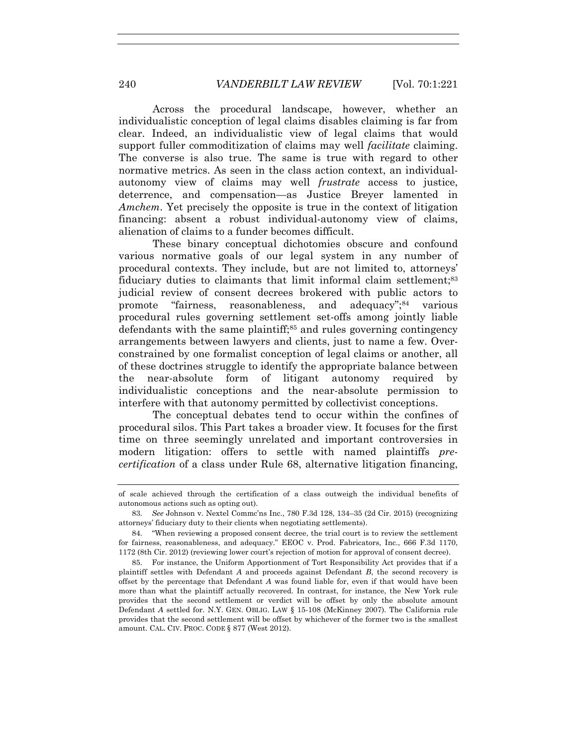Across the procedural landscape, however, whether an individualistic conception of legal claims disables claiming is far from clear. Indeed, an individualistic view of legal claims that would support fuller commoditization of claims may well *facilitate* claiming. The converse is also true. The same is true with regard to other normative metrics. As seen in the class action context, an individualautonomy view of claims may well *frustrate* access to justice, deterrence, and compensation—as Justice Breyer lamented in *Amchem*. Yet precisely the opposite is true in the context of litigation financing: absent a robust individual-autonomy view of claims, alienation of claims to a funder becomes difficult.

These binary conceptual dichotomies obscure and confound various normative goals of our legal system in any number of procedural contexts. They include, but are not limited to, attorneys' fiduciary duties to claimants that limit informal claim settlement:<sup>83</sup> judicial review of consent decrees brokered with public actors to promote "fairness, reasonableness, and adequacy";<sup>84</sup> various procedural rules governing settlement set-offs among jointly liable defendants with the same plaintiff;85 and rules governing contingency arrangements between lawyers and clients, just to name a few. Overconstrained by one formalist conception of legal claims or another, all of these doctrines struggle to identify the appropriate balance between the near-absolute form of litigant autonomy required by individualistic conceptions and the near-absolute permission to interfere with that autonomy permitted by collectivist conceptions.

The conceptual debates tend to occur within the confines of procedural silos. This Part takes a broader view. It focuses for the first time on three seemingly unrelated and important controversies in modern litigation: offers to settle with named plaintiffs *precertification* of a class under Rule 68, alternative litigation financing,

of scale achieved through the certification of a class outweigh the individual benefits of autonomous actions such as opting out).

 <sup>83.</sup> *See* Johnson v. Nextel Commc'ns Inc., 780 F.3d 128, 134–35 (2d Cir. 2015) (recognizing attorneys' fiduciary duty to their clients when negotiating settlements).

 <sup>84. &</sup>quot;When reviewing a proposed consent decree, the trial court is to review the settlement for fairness, reasonableness, and adequacy." EEOC v. Prod. Fabricators, Inc., 666 F.3d 1170, 1172 (8th Cir. 2012) (reviewing lower court's rejection of motion for approval of consent decree).

 <sup>85.</sup> For instance, the Uniform Apportionment of Tort Responsibility Act provides that if a plaintiff settles with Defendant *A* and proceeds against Defendant *B*, the second recovery is offset by the percentage that Defendant *A* was found liable for, even if that would have been more than what the plaintiff actually recovered. In contrast, for instance, the New York rule provides that the second settlement or verdict will be offset by only the absolute amount Defendant *A* settled for. N.Y. GEN. OBLIG. LAW § 15-108 (McKinney 2007). The California rule provides that the second settlement will be offset by whichever of the former two is the smallest amount. CAL. CIV. PROC. CODE § 877 (West 2012).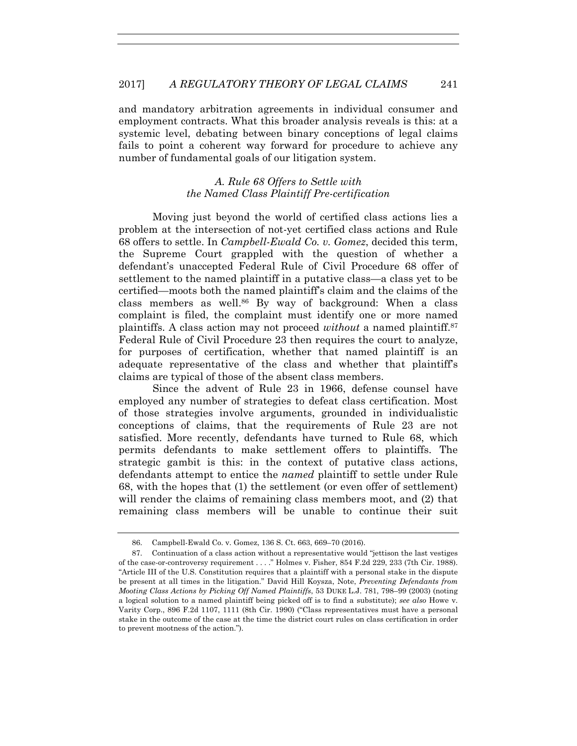and mandatory arbitration agreements in individual consumer and employment contracts. What this broader analysis reveals is this: at a systemic level, debating between binary conceptions of legal claims fails to point a coherent way forward for procedure to achieve any number of fundamental goals of our litigation system.

## *A. Rule 68 Offers to Settle with the Named Class Plaintiff Pre-certification*

Moving just beyond the world of certified class actions lies a problem at the intersection of not-yet certified class actions and Rule 68 offers to settle. In *Campbell-Ewald Co. v. Gomez*, decided this term, the Supreme Court grappled with the question of whether a defendant's unaccepted Federal Rule of Civil Procedure 68 offer of settlement to the named plaintiff in a putative class—a class yet to be certified—moots both the named plaintiff's claim and the claims of the class members as well.<sup>86</sup> By way of background: When a class complaint is filed, the complaint must identify one or more named plaintiffs. A class action may not proceed *without* a named plaintiff.87 Federal Rule of Civil Procedure 23 then requires the court to analyze, for purposes of certification, whether that named plaintiff is an adequate representative of the class and whether that plaintiff's claims are typical of those of the absent class members.

Since the advent of Rule 23 in 1966, defense counsel have employed any number of strategies to defeat class certification. Most of those strategies involve arguments, grounded in individualistic conceptions of claims, that the requirements of Rule 23 are not satisfied. More recently, defendants have turned to Rule 68, which permits defendants to make settlement offers to plaintiffs. The strategic gambit is this: in the context of putative class actions, defendants attempt to entice the *named* plaintiff to settle under Rule 68, with the hopes that (1) the settlement (or even offer of settlement) will render the claims of remaining class members moot, and (2) that remaining class members will be unable to continue their suit

 <sup>86.</sup> Campbell-Ewald Co. v. Gomez, 136 S. Ct. 663, 669–70 (2016).

 <sup>87.</sup> Continuation of a class action without a representative would "jettison the last vestiges of the case-or-controversy requirement . . . ." Holmes v. Fisher, 854 F.2d 229, 233 (7th Cir. 1988). "Article III of the U.S. Constitution requires that a plaintiff with a personal stake in the dispute be present at all times in the litigation." David Hill Koysza, Note, *Preventing Defendants from Mooting Class Actions by Picking Off Named Plaintiffs*, 53 DUKE L.J. 781, 798–99 (2003) (noting a logical solution to a named plaintiff being picked off is to find a substitute); *see also* Howe v. Varity Corp., 896 F.2d 1107, 1111 (8th Cir. 1990) ("Class representatives must have a personal stake in the outcome of the case at the time the district court rules on class certification in order to prevent mootness of the action.").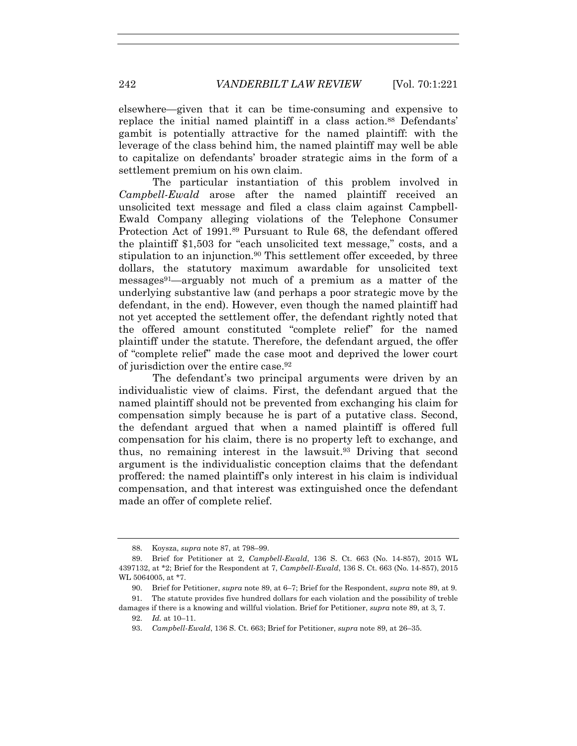elsewhere—given that it can be time-consuming and expensive to replace the initial named plaintiff in a class action.<sup>88</sup> Defendants' gambit is potentially attractive for the named plaintiff: with the leverage of the class behind him, the named plaintiff may well be able to capitalize on defendants' broader strategic aims in the form of a settlement premium on his own claim.

The particular instantiation of this problem involved in *Campbell-Ewald* arose after the named plaintiff received an unsolicited text message and filed a class claim against Campbell-Ewald Company alleging violations of the Telephone Consumer Protection Act of 1991.89 Pursuant to Rule 68, the defendant offered the plaintiff \$1,503 for "each unsolicited text message," costs, and a stipulation to an injunction.<sup>90</sup> This settlement offer exceeded, by three dollars, the statutory maximum awardable for unsolicited text messages91—arguably not much of a premium as a matter of the underlying substantive law (and perhaps a poor strategic move by the defendant, in the end). However, even though the named plaintiff had not yet accepted the settlement offer, the defendant rightly noted that the offered amount constituted "complete relief" for the named plaintiff under the statute. Therefore, the defendant argued, the offer of "complete relief" made the case moot and deprived the lower court of jurisdiction over the entire case.92

The defendant's two principal arguments were driven by an individualistic view of claims. First, the defendant argued that the named plaintiff should not be prevented from exchanging his claim for compensation simply because he is part of a putative class. Second, the defendant argued that when a named plaintiff is offered full compensation for his claim, there is no property left to exchange, and thus, no remaining interest in the lawsuit.93 Driving that second argument is the individualistic conception claims that the defendant proffered: the named plaintiff's only interest in his claim is individual compensation, and that interest was extinguished once the defendant made an offer of complete relief.

 <sup>88.</sup> Koysza, *supra* note 87, at 798–99.

 <sup>89.</sup> Brief for Petitioner at 2, *Campbell-Ewald*, 136 S. Ct. 663 (No. 14-857), 2015 WL 4397132, at \*2; Brief for the Respondent at 7, *Campbell-Ewald*, 136 S. Ct. 663 (No. 14-857), 2015 WL 5064005, at \*7.

 <sup>90.</sup> Brief for Petitioner, *supra* note 89, at 6–7; Brief for the Respondent, *supra* note 89, at 9.

 <sup>91.</sup> The statute provides five hundred dollars for each violation and the possibility of treble damages if there is a knowing and willful violation. Brief for Petitioner, *supra* note 89, at 3, 7.

 <sup>92.</sup> *Id.* at 10–11.

 <sup>93.</sup> *Campbell-Ewald*, 136 S. Ct. 663; Brief for Petitioner, *supra* note 89, at 26–35.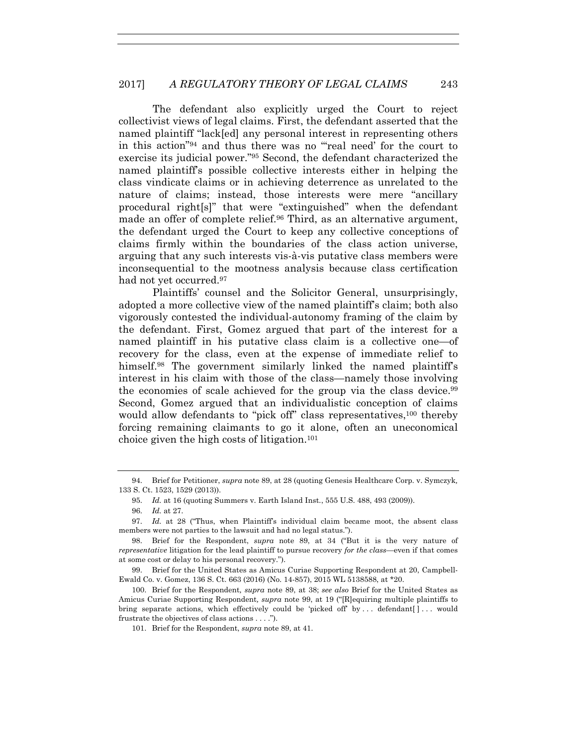The defendant also explicitly urged the Court to reject collectivist views of legal claims. First, the defendant asserted that the named plaintiff "lack[ed] any personal interest in representing others in this action"94 and thus there was no "'real need' for the court to exercise its judicial power."95 Second, the defendant characterized the named plaintiff's possible collective interests either in helping the class vindicate claims or in achieving deterrence as unrelated to the nature of claims; instead, those interests were mere "ancillary procedural right[s]" that were "extinguished" when the defendant made an offer of complete relief.96 Third, as an alternative argument, the defendant urged the Court to keep any collective conceptions of claims firmly within the boundaries of the class action universe, arguing that any such interests vis-à-vis putative class members were inconsequential to the mootness analysis because class certification had not yet occurred.<sup>97</sup>

Plaintiffs' counsel and the Solicitor General, unsurprisingly, adopted a more collective view of the named plaintiff's claim; both also vigorously contested the individual-autonomy framing of the claim by the defendant. First, Gomez argued that part of the interest for a named plaintiff in his putative class claim is a collective one—of recovery for the class, even at the expense of immediate relief to himself.<sup>98</sup> The government similarly linked the named plaintiff's interest in his claim with those of the class—namely those involving the economies of scale achieved for the group via the class device.<sup>99</sup> Second, Gomez argued that an individualistic conception of claims would allow defendants to "pick off" class representatives,<sup>100</sup> thereby forcing remaining claimants to go it alone, often an uneconomical choice given the high costs of litigation.101

101. Brief for the Respondent, *supra* note 89, at 41.

 <sup>94.</sup> Brief for Petitioner, *supra* note 89, at 28 (quoting Genesis Healthcare Corp. v. Symczyk*,* 133 S. Ct. 1523, 1529 (2013)).

 <sup>95.</sup> *Id.* at 16 (quoting Summers v. Earth Island Inst*.*, 555 U.S. 488, 493 (2009)).

 <sup>96.</sup> *Id.* at 27.

 <sup>97.</sup> *Id.* at 28 ("Thus, when Plaintiff's individual claim became moot, the absent class members were not parties to the lawsuit and had no legal status.").

 <sup>98.</sup> Brief for the Respondent, *supra* note 89, at 34 ("But it is the very nature of *representative* litigation for the lead plaintiff to pursue recovery *for the class*—even if that comes at some cost or delay to his personal recovery.").

 <sup>99.</sup> Brief for the United States as Amicus Curiae Supporting Respondent at 20, Campbell-Ewald Co. v. Gomez, 136 S. Ct. 663 (2016) (No. 14-857), 2015 WL 5138588, at \*20.

 <sup>100.</sup> Brief for the Respondent*, supra* note 89, at 38; *see also* Brief for the United States as Amicus Curiae Supporting Respondent*, supra* note 99, at 19 ("[R]equiring multiple plaintiffs to bring separate actions, which effectively could be 'picked off' by  $\dots$  defendant  $[\cdot \dots$  would frustrate the objectives of class actions . . . .").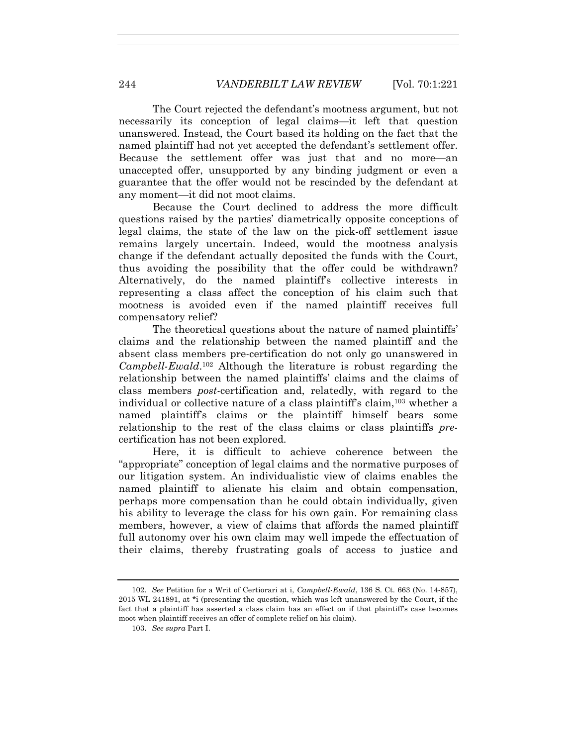The Court rejected the defendant's mootness argument, but not necessarily its conception of legal claims—it left that question unanswered. Instead, the Court based its holding on the fact that the named plaintiff had not yet accepted the defendant's settlement offer. Because the settlement offer was just that and no more—an unaccepted offer, unsupported by any binding judgment or even a guarantee that the offer would not be rescinded by the defendant at any moment—it did not moot claims.

Because the Court declined to address the more difficult questions raised by the parties' diametrically opposite conceptions of legal claims, the state of the law on the pick-off settlement issue remains largely uncertain. Indeed, would the mootness analysis change if the defendant actually deposited the funds with the Court, thus avoiding the possibility that the offer could be withdrawn? Alternatively, do the named plaintiff's collective interests in representing a class affect the conception of his claim such that mootness is avoided even if the named plaintiff receives full compensatory relief?

The theoretical questions about the nature of named plaintiffs' claims and the relationship between the named plaintiff and the absent class members pre-certification do not only go unanswered in *Campbell-Ewald*.102 Although the literature is robust regarding the relationship between the named plaintiffs' claims and the claims of class members *post-*certification and, relatedly, with regard to the individual or collective nature of a class plaintiff's claim,103 whether a named plaintiff's claims or the plaintiff himself bears some relationship to the rest of the class claims or class plaintiffs *pre*certification has not been explored.

Here, it is difficult to achieve coherence between the "appropriate" conception of legal claims and the normative purposes of our litigation system. An individualistic view of claims enables the named plaintiff to alienate his claim and obtain compensation, perhaps more compensation than he could obtain individually, given his ability to leverage the class for his own gain. For remaining class members, however, a view of claims that affords the named plaintiff full autonomy over his own claim may well impede the effectuation of their claims, thereby frustrating goals of access to justice and

 <sup>102.</sup> *See* Petition for a Writ of Certiorari at i, *Campbell-Ewald*, 136 S. Ct. 663 (No. 14-857), 2015 WL 241891, at \*i (presenting the question, which was left unanswered by the Court, if the fact that a plaintiff has asserted a class claim has an effect on if that plaintiff's case becomes moot when plaintiff receives an offer of complete relief on his claim).

 <sup>103.</sup> *See supra* Part I.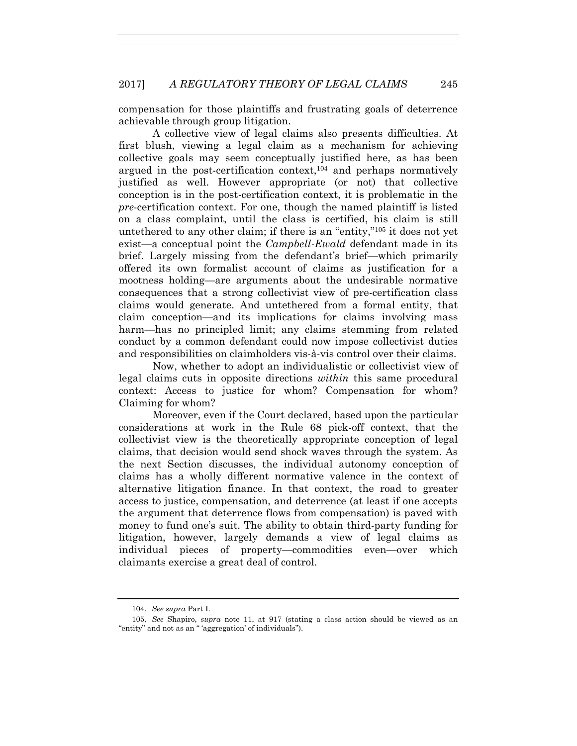compensation for those plaintiffs and frustrating goals of deterrence achievable through group litigation.

A collective view of legal claims also presents difficulties. At first blush, viewing a legal claim as a mechanism for achieving collective goals may seem conceptually justified here, as has been argued in the post-certification context,104 and perhaps normatively justified as well. However appropriate (or not) that collective conception is in the post-certification context, it is problematic in the *pre*-certification context. For one, though the named plaintiff is listed on a class complaint, until the class is certified, his claim is still untethered to any other claim; if there is an "entity,"105 it does not yet exist—a conceptual point the *Campbell-Ewald* defendant made in its brief. Largely missing from the defendant's brief—which primarily offered its own formalist account of claims as justification for a mootness holding—are arguments about the undesirable normative consequences that a strong collectivist view of pre-certification class claims would generate. And untethered from a formal entity, that claim conception—and its implications for claims involving mass harm—has no principled limit; any claims stemming from related conduct by a common defendant could now impose collectivist duties and responsibilities on claimholders vis-à-vis control over their claims.

Now, whether to adopt an individualistic or collectivist view of legal claims cuts in opposite directions *within* this same procedural context: Access to justice for whom? Compensation for whom? Claiming for whom?

Moreover, even if the Court declared, based upon the particular considerations at work in the Rule 68 pick-off context, that the collectivist view is the theoretically appropriate conception of legal claims, that decision would send shock waves through the system. As the next Section discusses, the individual autonomy conception of claims has a wholly different normative valence in the context of alternative litigation finance. In that context, the road to greater access to justice, compensation, and deterrence (at least if one accepts the argument that deterrence flows from compensation) is paved with money to fund one's suit. The ability to obtain third-party funding for litigation, however, largely demands a view of legal claims as individual pieces of property—commodities even—over which claimants exercise a great deal of control.

 <sup>104.</sup> *See supra* Part I.

 <sup>105.</sup> *See* Shapiro, *supra* note 11, at 917 (stating a class action should be viewed as an "entity" and not as an " 'aggregation' of individuals").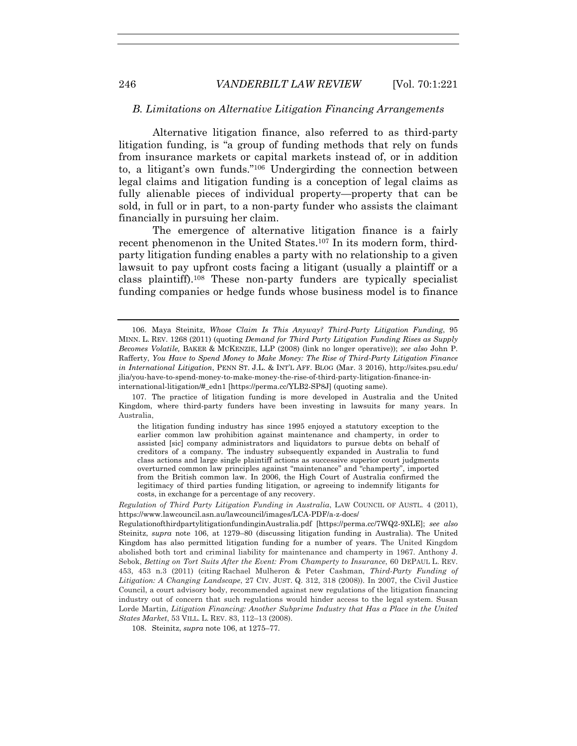#### *B. Limitations on Alternative Litigation Financing Arrangements*

Alternative litigation finance, also referred to as third-party litigation funding, is "a group of funding methods that rely on funds from insurance markets or capital markets instead of, or in addition to, a litigant's own funds."106 Undergirding the connection between legal claims and litigation funding is a conception of legal claims as fully alienable pieces of individual property—property that can be sold, in full or in part, to a non-party funder who assists the claimant financially in pursuing her claim.

The emergence of alternative litigation finance is a fairly recent phenomenon in the United States.<sup>107</sup> In its modern form, thirdparty litigation funding enables a party with no relationship to a given lawsuit to pay upfront costs facing a litigant (usually a plaintiff or a class plaintiff).108 These non-party funders are typically specialist funding companies or hedge funds whose business model is to finance

108. Steinitz, *supra* note 106, at 1275–77.

 <sup>106.</sup> Maya Steinitz, *Whose Claim Is This Anyway? Third-Party Litigation Funding*, 95 MINN. L. REV. 1268 (2011) (quoting *Demand for Third Party Litigation Funding Rises as Supply Becomes Volatile,* BAKER & MCKENZIE, LLP (2008) (link no longer operative)); *see also* John P. Rafferty, *You Have to Spend Money to Make Money: The Rise of Third-Party Litigation Finance in International Litigation*, PENN ST. J.L. & INT'L AFF. BLOG (Mar. 3 2016), http://sites.psu.edu/ jlia/you-have-to-spend-money-to-make-money-the-rise-of-third-party-litigation-finance-ininternational-litigation/#\_edn1 [https://perma.cc/YLB2-SP8J] (quoting same).

 <sup>107.</sup> The practice of litigation funding is more developed in Australia and the United Kingdom, where third-party funders have been investing in lawsuits for many years. In Australia,

the litigation funding industry has since 1995 enjoyed a statutory exception to the earlier common law prohibition against maintenance and champerty, in order to assisted [sic] company administrators and liquidators to pursue debts on behalf of creditors of a company. The industry subsequently expanded in Australia to fund class actions and large single plaintiff actions as successive superior court judgments overturned common law principles against "maintenance" and "champerty", imported from the British common law. In 2006, the High Court of Australia confirmed the legitimacy of third parties funding litigation, or agreeing to indemnify litigants for costs, in exchange for a percentage of any recovery.

*Regulation of Third Party Litigation Funding in Australia*, LAW COUNCIL OF AUSTL. 4 (2011), https://www.lawcouncil.asn.au/lawcouncil/images/LCA-PDF/a-z-docs/

RegulationofthirdpartylitigationfundinginAustralia.pdf [https://perma.cc/7WQ2-9XLE]; *see also* Steinitz, *supra* note 106, at 1279–80 (discussing litigation funding in Australia). The United Kingdom has also permitted litigation funding for a number of years. The United Kingdom abolished both tort and criminal liability for maintenance and champerty in 1967. Anthony J. Sebok, *Betting on Tort Suits After the Event: From Champerty to Insurance*, 60 DEPAUL L. REV. 453, 453 n.3 (2011) (citing Rachael Mulheron & Peter Cashman, *Third-Party Funding of Litigation: A Changing Landscape*, 27 CIV. JUST. Q. 312, 318 (2008)). In 2007, the Civil Justice Council, a court advisory body, recommended against new regulations of the litigation financing industry out of concern that such regulations would hinder access to the legal system. Susan Lorde Martin, *Litigation Financing: Another Subprime Industry that Has a Place in the United States Market*, 53 VILL. L. REV. 83, 112–13 (2008).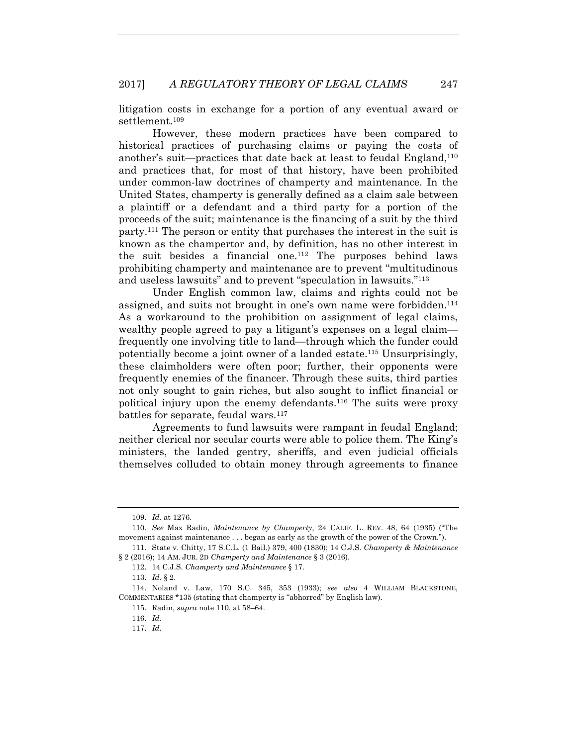litigation costs in exchange for a portion of any eventual award or settlement.<sup>109</sup>

However, these modern practices have been compared to historical practices of purchasing claims or paying the costs of another's suit—practices that date back at least to feudal England,110 and practices that, for most of that history, have been prohibited under common-law doctrines of champerty and maintenance. In the United States, champerty is generally defined as a claim sale between a plaintiff or a defendant and a third party for a portion of the proceeds of the suit; maintenance is the financing of a suit by the third party.111 The person or entity that purchases the interest in the suit is known as the champertor and, by definition, has no other interest in the suit besides a financial one.112 The purposes behind laws prohibiting champerty and maintenance are to prevent "multitudinous and useless lawsuits" and to prevent "speculation in lawsuits."113

Under English common law, claims and rights could not be assigned, and suits not brought in one's own name were forbidden.114 As a workaround to the prohibition on assignment of legal claims, wealthy people agreed to pay a litigant's expenses on a legal claim frequently one involving title to land—through which the funder could potentially become a joint owner of a landed estate.115 Unsurprisingly, these claimholders were often poor; further, their opponents were frequently enemies of the financer. Through these suits, third parties not only sought to gain riches, but also sought to inflict financial or political injury upon the enemy defendants.116 The suits were proxy battles for separate, feudal wars.117

Agreements to fund lawsuits were rampant in feudal England; neither clerical nor secular courts were able to police them. The King's ministers, the landed gentry, sheriffs, and even judicial officials themselves colluded to obtain money through agreements to finance

113. *Id.* § 2.

115. Radin, *supra* note 110, at 58–64.

117. *Id.*

 <sup>109.</sup> *Id.* at 1276.

 <sup>110.</sup> *See* Max Radin, *Maintenance by Champerty*, 24 CALIF. L. REV. 48, 64 (1935) ("The movement against maintenance . . . began as early as the growth of the power of the Crown.").

 <sup>111.</sup> State v. Chitty, 17 S.C.L. (1 Bail.) 379, 400 (1830); 14 C.J.S. *Champerty & Maintenance* § 2 (2016); 14 AM. JUR. 2D *Champerty and Maintenance* § 3 (2016).

 <sup>112. 14</sup> C.J.S. *Champerty and Maintenance* § 17.

 <sup>114.</sup> Noland v. Law, 170 S.C. 345, 353 (1933); *see also* 4 WILLIAM BLACKSTONE, COMMENTARIES \*135 (stating that champerty is "abhorred" by English law).

 <sup>116.</sup> *Id.*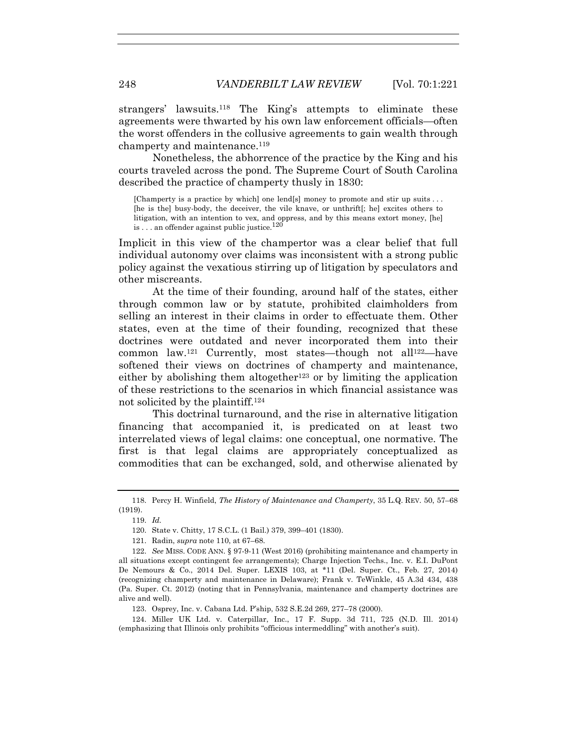strangers' lawsuits.118 The King's attempts to eliminate these agreements were thwarted by his own law enforcement officials—often the worst offenders in the collusive agreements to gain wealth through champerty and maintenance.<sup>119</sup>

Nonetheless, the abhorrence of the practice by the King and his courts traveled across the pond. The Supreme Court of South Carolina described the practice of champerty thusly in 1830:

[Champerty is a practice by which] one lend[s] money to promote and stir up suits . . . [he is the] busy-body, the deceiver, the vile knave, or unthrift[; he] excites others to litigation, with an intention to vex, and oppress, and by this means extort money, [he] is . . . an offender against public justice.<sup>120</sup>

Implicit in this view of the champertor was a clear belief that full individual autonomy over claims was inconsistent with a strong public policy against the vexatious stirring up of litigation by speculators and other miscreants.

At the time of their founding, around half of the states, either through common law or by statute, prohibited claimholders from selling an interest in their claims in order to effectuate them. Other states, even at the time of their founding, recognized that these doctrines were outdated and never incorporated them into their common law.<sup>121</sup> Currently, most states—though not all<sup>122</sup>—have softened their views on doctrines of champerty and maintenance, either by abolishing them altogether<sup>123</sup> or by limiting the application of these restrictions to the scenarios in which financial assistance was not solicited by the plaintiff.124

This doctrinal turnaround, and the rise in alternative litigation financing that accompanied it, is predicated on at least two interrelated views of legal claims: one conceptual, one normative. The first is that legal claims are appropriately conceptualized as commodities that can be exchanged, sold, and otherwise alienated by

 <sup>118.</sup> Percy H. Winfield, *The History of Maintenance and Champerty*, 35 L.Q. REV. 50, 57–68 (1919).

 <sup>119.</sup> *Id.*

 <sup>120.</sup> State v. Chitty, 17 S.C.L. (1 Bail.) 379, 399–401 (1830).

 <sup>121.</sup> Radin, *supra* note 110, at 67–68.

 <sup>122.</sup> *See* MISS. CODE ANN. § 97-9-11 (West 2016) (prohibiting maintenance and champerty in all situations except contingent fee arrangements); Charge Injection Techs., Inc. v. E.I. DuPont De Nemours & Co., 2014 Del. Super. LEXIS 103, at \*11 (Del. Super. Ct., Feb. 27, 2014) (recognizing champerty and maintenance in Delaware); Frank v. TeWinkle, 45 A.3d 434, 438 (Pa. Super. Ct. 2012) (noting that in Pennsylvania, maintenance and champerty doctrines are alive and well).

 <sup>123.</sup> Osprey, Inc. v. Cabana Ltd. P'ship, 532 S.E.2d 269, 277–78 (2000).

 <sup>124.</sup> Miller UK Ltd. v. Caterpillar, Inc., 17 F. Supp. 3d 711, 725 (N.D. Ill. 2014) (emphasizing that Illinois only prohibits "officious intermeddling" with another's suit).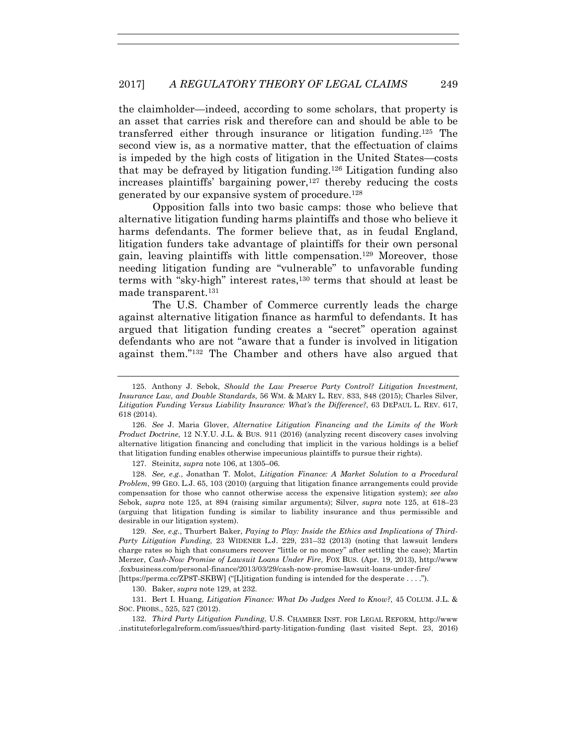the claimholder—indeed, according to some scholars, that property is an asset that carries risk and therefore can and should be able to be transferred either through insurance or litigation funding.125 The second view is, as a normative matter, that the effectuation of claims is impeded by the high costs of litigation in the United States—costs that may be defrayed by litigation funding.126 Litigation funding also increases plaintiffs' bargaining power,  $127$  thereby reducing the costs generated by our expansive system of procedure.128

Opposition falls into two basic camps: those who believe that alternative litigation funding harms plaintiffs and those who believe it harms defendants. The former believe that, as in feudal England, litigation funders take advantage of plaintiffs for their own personal gain, leaving plaintiffs with little compensation.129 Moreover, those needing litigation funding are "vulnerable" to unfavorable funding terms with "sky-high" interest rates,130 terms that should at least be made transparent.131

The U.S. Chamber of Commerce currently leads the charge against alternative litigation finance as harmful to defendants. It has argued that litigation funding creates a "secret" operation against defendants who are not "aware that a funder is involved in litigation against them."132 The Chamber and others have also argued that

127. Steinitz, *supra* note 106, at 1305–06.

 128. *See, e.g.*, Jonathan T. Molot, *Litigation Finance: A Market Solution to a Procedural Problem*, 99 GEO. L.J. 65, 103 (2010) (arguing that litigation finance arrangements could provide compensation for those who cannot otherwise access the expensive litigation system); *see also*  Sebok, *supra* note 125, at 894 (raising similar arguments); Silver, *supra* note 125, at 618–23 (arguing that litigation funding is similar to liability insurance and thus permissible and desirable in our litigation system).

 129. *See, e.g.*, Thurbert Baker, *Paying to Play: Inside the Ethics and Implications of Third-Party Litigation Funding*, 23 WIDENER L.J. 229, 231–32 (2013) (noting that lawsuit lenders charge rates so high that consumers recover "little or no money" after settling the case); Martin Merzer, *Cash-Now Promise of Lawsuit Loans Under Fire*, FOX BUS. (Apr. 19, 2013), http://www .foxbusiness.com/personal-finance/2013/03/29/cash-now-promise-lawsuit-loans-under-fire/

[https://perma.cc/ZP8T-SKBW] ("[L]itigation funding is intended for the desperate . . . .").

130. Baker, *supra* note 129, at 232.

 131. Bert I. Huang, *Litigation Finance: What Do Judges Need to Know?*, 45 COLUM. J.L. & SOC. PROBS., 525, 527 (2012).

 132. *Third Party Litigation Funding*, U.S. CHAMBER INST. FOR LEGAL REFORM, http://www .instituteforlegalreform.com/issues/third-party-litigation-funding (last visited Sept. 23, 2016)

 <sup>125.</sup> Anthony J. Sebok, *Should the Law Preserve Party Control? Litigation Investment, Insurance Law, and Double Standards*, 56 WM. & MARY L. REV. 833, 848 (2015); Charles Silver, *Litigation Funding Versus Liability Insurance: What's the Difference?*, 63 DEPAUL L. REV. 617, 618 (2014).

 <sup>126.</sup> *See* J. Maria Glover, *Alternative Litigation Financing and the Limits of the Work Product Doctrine*, 12 N.Y.U. J.L. & BUS. 911 (2016) (analyzing recent discovery cases involving alternative litigation financing and concluding that implicit in the various holdings is a belief that litigation funding enables otherwise impecunious plaintiffs to pursue their rights).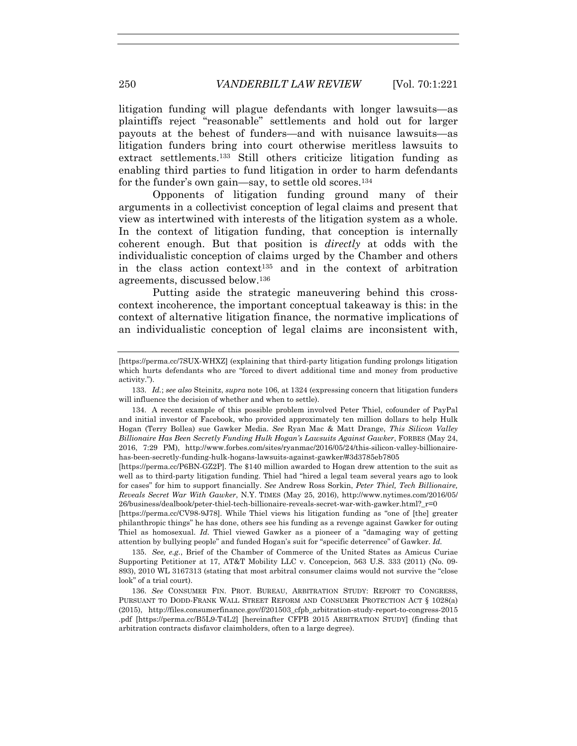litigation funding will plague defendants with longer lawsuits—as plaintiffs reject "reasonable" settlements and hold out for larger payouts at the behest of funders—and with nuisance lawsuits—as litigation funders bring into court otherwise meritless lawsuits to extract settlements.133 Still others criticize litigation funding as enabling third parties to fund litigation in order to harm defendants for the funder's own gain—say, to settle old scores.<sup>134</sup>

Opponents of litigation funding ground many of their arguments in a collectivist conception of legal claims and present that view as intertwined with interests of the litigation system as a whole. In the context of litigation funding, that conception is internally coherent enough. But that position is *directly* at odds with the individualistic conception of claims urged by the Chamber and others in the class action context135 and in the context of arbitration agreements, discussed below.136

Putting aside the strategic maneuvering behind this crosscontext incoherence, the important conceptual takeaway is this: in the context of alternative litigation finance, the normative implications of an individualistic conception of legal claims are inconsistent with,

[https://perma.cc/P6BN-GZ2P]. The \$140 million awarded to Hogan drew attention to the suit as well as to third-party litigation funding. Thiel had "hired a legal team several years ago to look for cases" for him to support financially. *See* Andrew Ross Sorkin, *Peter Thiel, Tech Billionaire, Reveals Secret War With Gawker*, N.Y. TIMES (May 25, 2016), http://www.nytimes.com/2016/05/  $26/b$ usiness/dealbook/peter-thiel-tech-billionaire-reveals-secret-war-with-gawker.html? $r=0$ 

[https://perma.cc/CV98-9J78]. While Thiel views his litigation funding as "one of [the] greater philanthropic things" he has done, others see his funding as a revenge against Gawker for outing Thiel as homosexual. *Id.* Thiel viewed Gawker as a pioneer of a "damaging way of getting attention by bullying people" and funded Hogan's suit for "specific deterrence" of Gawker. *Id.*

 135. *See, e.g.*, Brief of the Chamber of Commerce of the United States as Amicus Curiae Supporting Petitioner at 17, AT&T Mobility LLC v. Concepcion, 563 U.S. 333 (2011) (No. 09- 893), 2010 WL 3167313 (stating that most arbitral consumer claims would not survive the "close look" of a trial court).

 136. *See* CONSUMER FIN. PROT. BUREAU, ARBITRATION STUDY: REPORT TO CONGRESS, PURSUANT TO DODD-FRANK WALL STREET REFORM AND CONSUMER PROTECTION ACT § 1028(a) (2015), http://files.consumerfinance.gov/f/201503\_cfpb\_arbitration-study-report-to-congress-2015 .pdf [https://perma.cc/B5L9-T4L2] [hereinafter CFPB 2015 ARBITRATION STUDY] (finding that arbitration contracts disfavor claimholders, often to a large degree).

<sup>[</sup>https://perma.cc/7SUX-WHXZ] (explaining that third-party litigation funding prolongs litigation which hurts defendants who are "forced to divert additional time and money from productive activity.").

 <sup>133.</sup> *Id.*; *see also* Steinitz, *supra* note 106, at 1324 (expressing concern that litigation funders will influence the decision of whether and when to settle).

 <sup>134.</sup> A recent example of this possible problem involved Peter Thiel, cofounder of PayPal and initial investor of Facebook, who provided approximately ten million dollars to help Hulk Hogan (Terry Bollea) sue Gawker Media. *See* Ryan Mac & Matt Drange, *This Silicon Valley Billionaire Has Been Secretly Funding Hulk Hogan's Lawsuits Against Gawker*, FORBES (May 24, 2016, 7:29 PM), http://www.forbes.com/sites/ryanmac/2016/05/24/this-silicon-valley-billionairehas-been-secretly-funding-hulk-hogans-lawsuits-against-gawker/#3d3785eb7805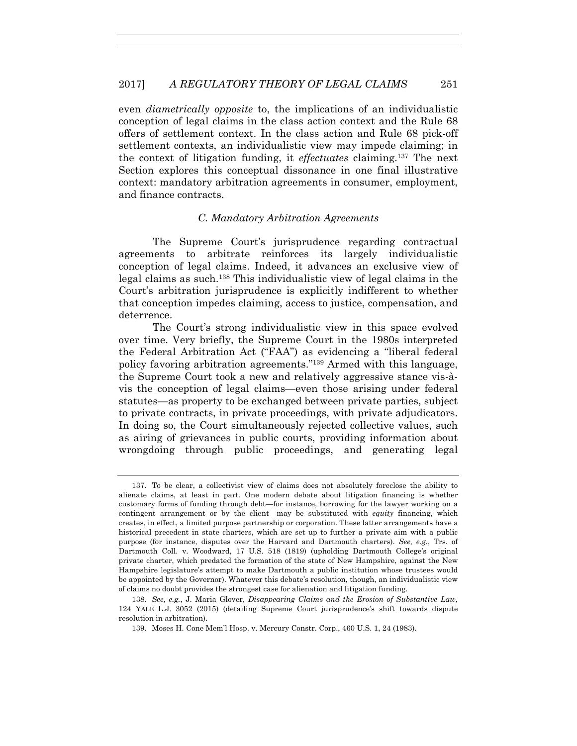even *diametrically opposite* to, the implications of an individualistic conception of legal claims in the class action context and the Rule 68 offers of settlement context. In the class action and Rule 68 pick-off settlement contexts, an individualistic view may impede claiming; in the context of litigation funding, it *effectuates* claiming.137 The next Section explores this conceptual dissonance in one final illustrative context: mandatory arbitration agreements in consumer, employment, and finance contracts.

#### *C. Mandatory Arbitration Agreements*

The Supreme Court's jurisprudence regarding contractual agreements to arbitrate reinforces its largely individualistic conception of legal claims. Indeed, it advances an exclusive view of legal claims as such.138 This individualistic view of legal claims in the Court's arbitration jurisprudence is explicitly indifferent to whether that conception impedes claiming, access to justice, compensation, and deterrence.

The Court's strong individualistic view in this space evolved over time. Very briefly, the Supreme Court in the 1980s interpreted the Federal Arbitration Act ("FAA") as evidencing a "liberal federal policy favoring arbitration agreements."139 Armed with this language, the Supreme Court took a new and relatively aggressive stance vis-àvis the conception of legal claims—even those arising under federal statutes—as property to be exchanged between private parties, subject to private contracts, in private proceedings, with private adjudicators. In doing so, the Court simultaneously rejected collective values, such as airing of grievances in public courts, providing information about wrongdoing through public proceedings, and generating legal

 <sup>137.</sup> To be clear, a collectivist view of claims does not absolutely foreclose the ability to alienate claims, at least in part. One modern debate about litigation financing is whether customary forms of funding through debt—for instance, borrowing for the lawyer working on a contingent arrangement or by the client—may be substituted with *equity* financing, which creates, in effect, a limited purpose partnership or corporation. These latter arrangements have a historical precedent in state charters, which are set up to further a private aim with a public purpose (for instance, disputes over the Harvard and Dartmouth charters). *See, e.g.*, Trs. of Dartmouth Coll. v. Woodward, 17 U.S. 518 (1819) (upholding Dartmouth College's original private charter, which predated the formation of the state of New Hampshire, against the New Hampshire legislature's attempt to make Dartmouth a public institution whose trustees would be appointed by the Governor). Whatever this debate's resolution, though, an individualistic view of claims no doubt provides the strongest case for alienation and litigation funding.

 <sup>138.</sup> *See, e.g.*, J. Maria Glover, *Disappearing Claims and the Erosion of Substantive Law*, 124 YALE L.J. 3052 (2015) (detailing Supreme Court jurisprudence's shift towards dispute resolution in arbitration).

 <sup>139.</sup> Moses H. Cone Mem'l Hosp. v. Mercury Constr. Corp., 460 U.S. 1, 24 (1983).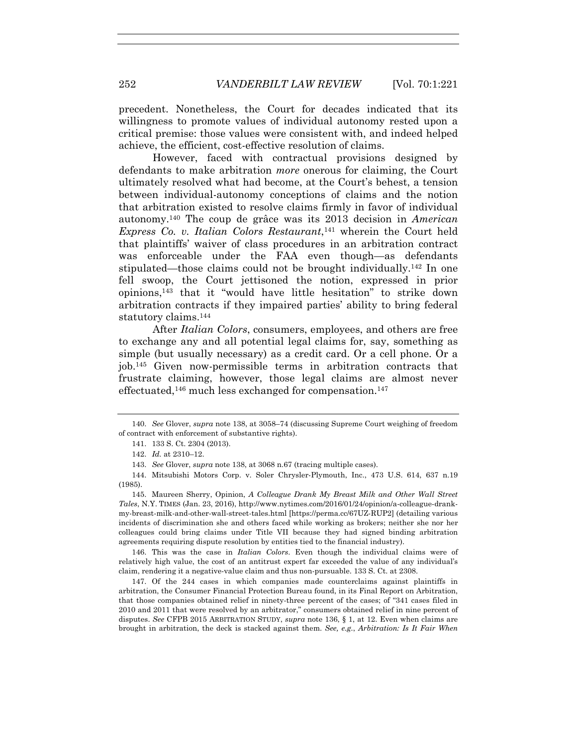precedent. Nonetheless, the Court for decades indicated that its willingness to promote values of individual autonomy rested upon a critical premise: those values were consistent with, and indeed helped achieve, the efficient, cost-effective resolution of claims.

However, faced with contractual provisions designed by defendants to make arbitration *more* onerous for claiming, the Court ultimately resolved what had become, at the Court's behest, a tension between individual-autonomy conceptions of claims and the notion that arbitration existed to resolve claims firmly in favor of individual autonomy.140 The coup de grâce was its 2013 decision in *American Express Co. v. Italian Colors Restaurant*,141 wherein the Court held that plaintiffs' waiver of class procedures in an arbitration contract was enforceable under the FAA even though—as defendants stipulated—those claims could not be brought individually.142 In one fell swoop, the Court jettisoned the notion, expressed in prior opinions,143 that it "would have little hesitation" to strike down arbitration contracts if they impaired parties' ability to bring federal statutory claims.144

After *Italian Colors*, consumers, employees, and others are free to exchange any and all potential legal claims for, say, something as simple (but usually necessary) as a credit card. Or a cell phone. Or a job.145 Given now-permissible terms in arbitration contracts that frustrate claiming, however, those legal claims are almost never effectuated,<sup>146</sup> much less exchanged for compensation.<sup>147</sup>

 146. This was the case in *Italian Colors*. Even though the individual claims were of relatively high value, the cost of an antitrust expert far exceeded the value of any individual's claim, rendering it a negative-value claim and thus non-pursuable. 133 S. Ct. at 2308.

 147. Of the 244 cases in which companies made counterclaims against plaintiffs in arbitration, the Consumer Financial Protection Bureau found, in its Final Report on Arbitration, that those companies obtained relief in ninety-three percent of the cases; of "341 cases filed in 2010 and 2011 that were resolved by an arbitrator," consumers obtained relief in nine percent of disputes. *See* CFPB 2015 ARBITRATION STUDY, *supra* note 136, § 1, at 12. Even when claims are brought in arbitration, the deck is stacked against them. *See, e.g.*, *Arbitration: Is It Fair When* 

 <sup>140.</sup> *See* Glover, *supra* note 138, at 3058–74 (discussing Supreme Court weighing of freedom of contract with enforcement of substantive rights).

 <sup>141. 133</sup> S. Ct. 2304 (2013).

 <sup>142.</sup> *Id.* at 2310–12.

 <sup>143.</sup> *See* Glover, *supra* note 138, at 3068 n.67 (tracing multiple cases).

 <sup>144.</sup> Mitsubishi Motors Corp. v. Soler Chrysler-Plymouth, Inc., 473 U.S. 614, 637 n.19 (1985).

 <sup>145.</sup> Maureen Sherry, Opinion, *A Colleague Drank My Breast Milk and Other Wall Street Tales*, N.Y. TIMES (Jan. 23, 2016), http://www.nytimes.com/2016/01/24/opinion/a-colleague-drankmy-breast-milk-and-other-wall-street-tales.html [https://perma.cc/67UZ-RUP2] (detailing various incidents of discrimination she and others faced while working as brokers; neither she nor her colleagues could bring claims under Title VII because they had signed binding arbitration agreements requiring dispute resolution by entities tied to the financial industry).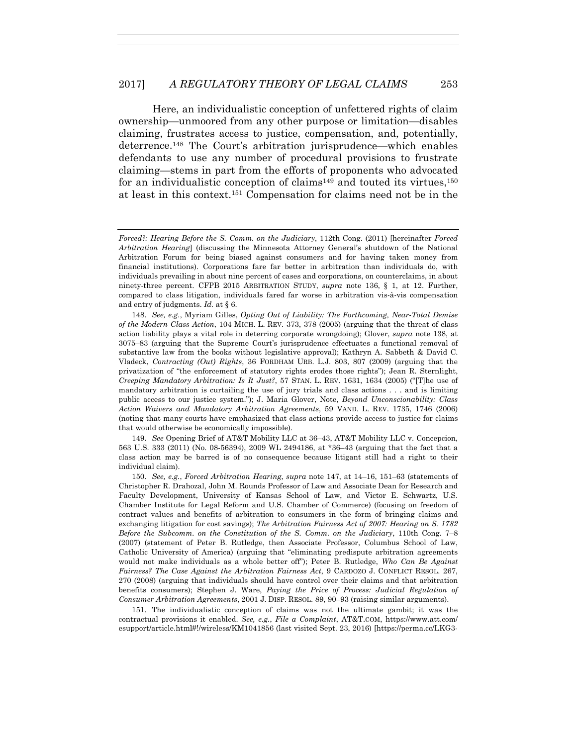Here, an individualistic conception of unfettered rights of claim ownership—unmoored from any other purpose or limitation—disables claiming, frustrates access to justice, compensation, and, potentially, deterrence.148 The Court's arbitration jurisprudence—which enables defendants to use any number of procedural provisions to frustrate claiming—stems in part from the efforts of proponents who advocated for an individualistic conception of claims<sup>149</sup> and touted its virtues, $150$ at least in this context.151 Compensation for claims need not be in the

 148. *See, e.g.*, Myriam Gilles, *Opting Out of Liability: The Forthcoming, Near-Total Demise of the Modern Class Action*, 104 MICH. L. REV. 373, 378 (2005) (arguing that the threat of class action liability plays a vital role in deterring corporate wrongdoing); Glover, *supra* note 138, at 3075–83 (arguing that the Supreme Court's jurisprudence effectuates a functional removal of substantive law from the books without legislative approval); Kathryn A. Sabbeth & David C. Vladeck, *Contracting (Out) Rights*, 36 FORDHAM URB. L.J. 803, 807 (2009) (arguing that the privatization of "the enforcement of statutory rights erodes those rights"); Jean R. Sternlight, *Creeping Mandatory Arbitration: Is It Just?*, 57 STAN. L. REV. 1631, 1634 (2005) ("[T]he use of mandatory arbitration is curtailing the use of jury trials and class actions . . . and is limiting public access to our justice system."); J. Maria Glover, Note, *Beyond Unconscionability: Class Action Waivers and Mandatory Arbitration Agreements*, 59 VAND. L. REV. 1735, 1746 (2006) (noting that many courts have emphasized that class actions provide access to justice for claims that would otherwise be economically impossible).

 149. *See* Opening Brief of AT&T Mobility LLC at 36–43, AT&T Mobility LLC v. Concepcion, 563 U.S. 333 (2011) (No. 08-56394), 2009 WL 2494186, at \*36–43 (arguing that the fact that a class action may be barred is of no consequence because litigant still had a right to their individual claim).

 150. *See, e.g.*, *Forced Arbitration Hearing*, *supra* note 147, at 14–16, 151–63 (statements of Christopher R. Drahozal, John M. Rounds Professor of Law and Associate Dean for Research and Faculty Development, University of Kansas School of Law, and Victor E. Schwartz, U.S. Chamber Institute for Legal Reform and U.S. Chamber of Commerce) (focusing on freedom of contract values and benefits of arbitration to consumers in the form of bringing claims and exchanging litigation for cost savings); *The Arbitration Fairness Act of 2007: Hearing on S. 1782 Before the Subcomm. on the Constitution of the S. Comm. on the Judiciary*, 110th Cong. 7–8 (2007) (statement of Peter B. Rutledge, then Associate Professor, Columbus School of Law, Catholic University of America) (arguing that "eliminating predispute arbitration agreements would not make individuals as a whole better off"); Peter B. Rutledge, *Who Can Be Against Fairness? The Case Against the Arbitration Fairness Act*, 9 CARDOZO J. CONFLICT RESOL. 267, 270 (2008) (arguing that individuals should have control over their claims and that arbitration benefits consumers); Stephen J. Ware, *Paying the Price of Process: Judicial Regulation of Consumer Arbitration Agreements*, 2001 J. DISP. RESOL. 89, 90–93 (raising similar arguments).

 151. The individualistic conception of claims was not the ultimate gambit; it was the contractual provisions it enabled. *See, e.g.*, *File a Complaint*, AT&T.COM, https://www.att.com/ esupport/article.html#!/wireless/KM1041856 (last visited Sept. 23, 2016) [https://perma.cc/LKG3-

*Forced?: Hearing Before the S. Comm. on the Judiciary*, 112th Cong. (2011) [hereinafter *Forced Arbitration Hearing*] (discussing the Minnesota Attorney General's shutdown of the National Arbitration Forum for being biased against consumers and for having taken money from financial institutions). Corporations fare far better in arbitration than individuals do, with individuals prevailing in about nine percent of cases and corporations, on counterclaims, in about ninety-three percent. CFPB 2015 ARBITRATION STUDY, *supra* note 136, § 1, at 12. Further, compared to class litigation, individuals fared far worse in arbitration vis-à-vis compensation and entry of judgments. *Id.* at § 6.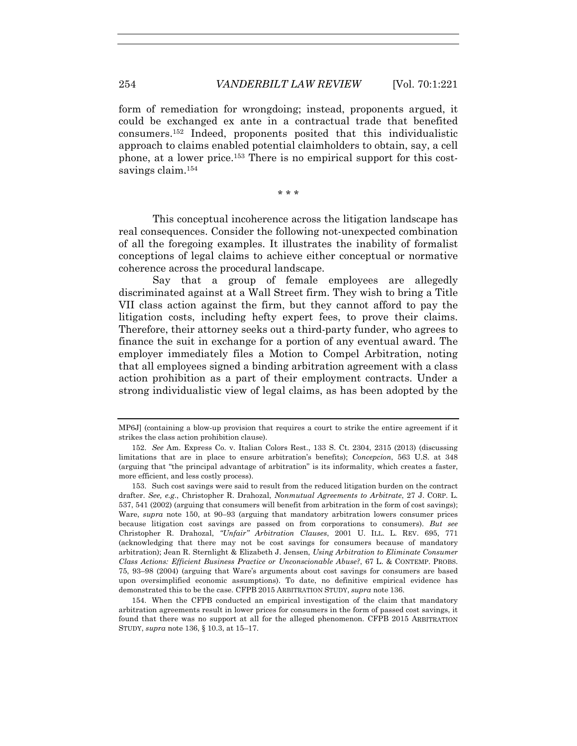form of remediation for wrongdoing; instead, proponents argued, it could be exchanged ex ante in a contractual trade that benefited consumers.152 Indeed, proponents posited that this individualistic approach to claims enabled potential claimholders to obtain, say, a cell phone, at a lower price.153 There is no empirical support for this costsavings claim.<sup>154</sup>

\* \* \*

This conceptual incoherence across the litigation landscape has real consequences. Consider the following not-unexpected combination of all the foregoing examples. It illustrates the inability of formalist conceptions of legal claims to achieve either conceptual or normative coherence across the procedural landscape.

Say that a group of female employees are allegedly discriminated against at a Wall Street firm. They wish to bring a Title VII class action against the firm, but they cannot afford to pay the litigation costs, including hefty expert fees, to prove their claims. Therefore, their attorney seeks out a third-party funder, who agrees to finance the suit in exchange for a portion of any eventual award. The employer immediately files a Motion to Compel Arbitration, noting that all employees signed a binding arbitration agreement with a class action prohibition as a part of their employment contracts. Under a strong individualistic view of legal claims, as has been adopted by the

MP6J] (containing a blow-up provision that requires a court to strike the entire agreement if it strikes the class action prohibition clause).

 <sup>152.</sup> *See* Am. Express Co. v. Italian Colors Rest., 133 S. Ct. 2304, 2315 (2013) (discussing limitations that are in place to ensure arbitration's benefits); *Concepcion*, 563 U.S. at 348 (arguing that "the principal advantage of arbitration" is its informality, which creates a faster, more efficient, and less costly process).

 <sup>153.</sup> Such cost savings were said to result from the reduced litigation burden on the contract drafter. *See, e.g.*, Christopher R. Drahozal, *Nonmutual Agreements to Arbitrate*, 27 J. CORP. L. 537, 541 (2002) (arguing that consumers will benefit from arbitration in the form of cost savings); Ware, *supra* note 150, at 90–93 (arguing that mandatory arbitration lowers consumer prices because litigation cost savings are passed on from corporations to consumers). *But see*  Christopher R. Drahozal, *"Unfair" Arbitration Clauses*, 2001 U. ILL. L. REV. 695, 771 (acknowledging that there may not be cost savings for consumers because of mandatory arbitration); Jean R. Sternlight & Elizabeth J. Jensen, *Using Arbitration to Eliminate Consumer Class Actions: Efficient Business Practice or Unconscionable Abuse?*, 67 L. & CONTEMP. PROBS. 75, 93–98 (2004) (arguing that Ware's arguments about cost savings for consumers are based upon oversimplified economic assumptions). To date, no definitive empirical evidence has demonstrated this to be the case. CFPB 2015 ARBITRATION STUDY, *supra* note 136.

 <sup>154.</sup> When the CFPB conducted an empirical investigation of the claim that mandatory arbitration agreements result in lower prices for consumers in the form of passed cost savings, it found that there was no support at all for the alleged phenomenon. CFPB 2015 ARBITRATION STUDY, *supra* note 136, § 10.3, at 15–17.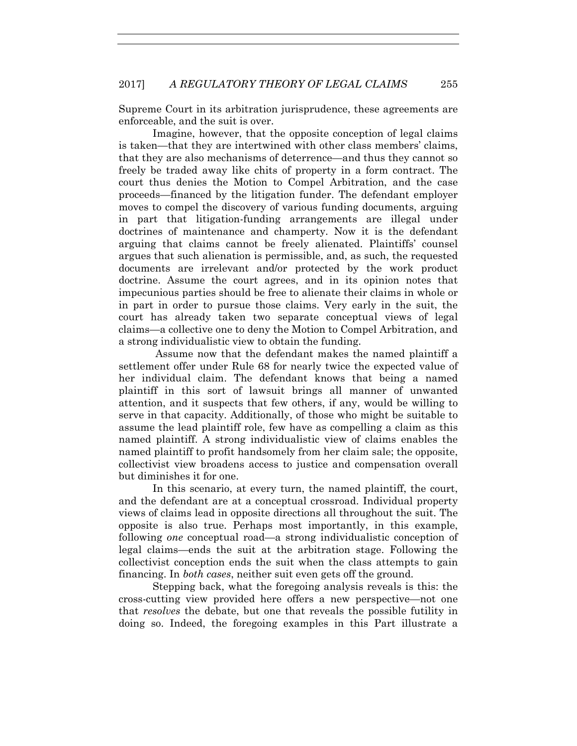Supreme Court in its arbitration jurisprudence, these agreements are enforceable, and the suit is over.

Imagine, however, that the opposite conception of legal claims is taken—that they are intertwined with other class members' claims, that they are also mechanisms of deterrence—and thus they cannot so freely be traded away like chits of property in a form contract. The court thus denies the Motion to Compel Arbitration, and the case proceeds—financed by the litigation funder. The defendant employer moves to compel the discovery of various funding documents, arguing in part that litigation-funding arrangements are illegal under doctrines of maintenance and champerty. Now it is the defendant arguing that claims cannot be freely alienated. Plaintiffs' counsel argues that such alienation is permissible, and, as such, the requested documents are irrelevant and/or protected by the work product doctrine. Assume the court agrees, and in its opinion notes that impecunious parties should be free to alienate their claims in whole or in part in order to pursue those claims. Very early in the suit, the court has already taken two separate conceptual views of legal claims—a collective one to deny the Motion to Compel Arbitration, and a strong individualistic view to obtain the funding.

 Assume now that the defendant makes the named plaintiff a settlement offer under Rule 68 for nearly twice the expected value of her individual claim. The defendant knows that being a named plaintiff in this sort of lawsuit brings all manner of unwanted attention, and it suspects that few others, if any, would be willing to serve in that capacity. Additionally, of those who might be suitable to assume the lead plaintiff role, few have as compelling a claim as this named plaintiff. A strong individualistic view of claims enables the named plaintiff to profit handsomely from her claim sale; the opposite, collectivist view broadens access to justice and compensation overall but diminishes it for one.

In this scenario, at every turn, the named plaintiff, the court, and the defendant are at a conceptual crossroad. Individual property views of claims lead in opposite directions all throughout the suit. The opposite is also true. Perhaps most importantly, in this example, following *one* conceptual road—a strong individualistic conception of legal claims—ends the suit at the arbitration stage. Following the collectivist conception ends the suit when the class attempts to gain financing. In *both cases*, neither suit even gets off the ground.

Stepping back, what the foregoing analysis reveals is this: the cross-cutting view provided here offers a new perspective—not one that *resolves* the debate, but one that reveals the possible futility in doing so. Indeed, the foregoing examples in this Part illustrate a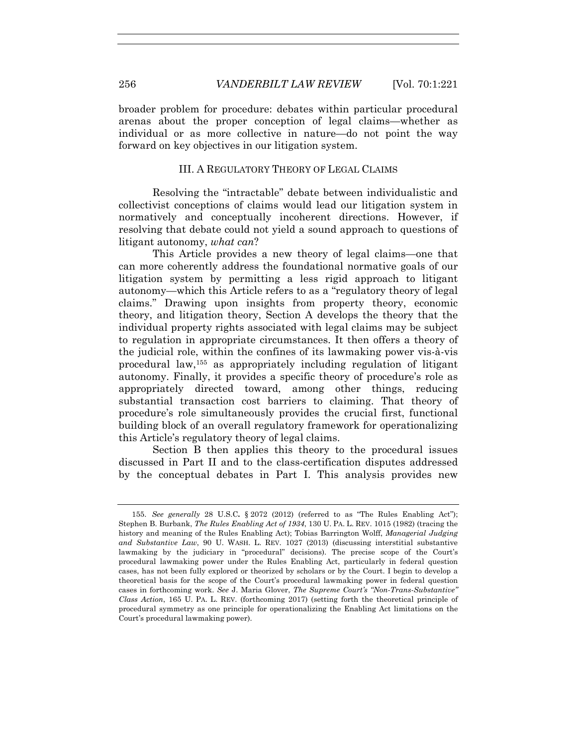broader problem for procedure: debates within particular procedural arenas about the proper conception of legal claims—whether as individual or as more collective in nature—do not point the way forward on key objectives in our litigation system.

#### III. A REGULATORY THEORY OF LEGAL CLAIMS

Resolving the "intractable" debate between individualistic and collectivist conceptions of claims would lead our litigation system in normatively and conceptually incoherent directions. However, if resolving that debate could not yield a sound approach to questions of litigant autonomy, *what can*?

This Article provides a new theory of legal claims—one that can more coherently address the foundational normative goals of our litigation system by permitting a less rigid approach to litigant autonomy—which this Article refers to as a "regulatory theory of legal claims." Drawing upon insights from property theory, economic theory, and litigation theory, Section A develops the theory that the individual property rights associated with legal claims may be subject to regulation in appropriate circumstances. It then offers a theory of the judicial role, within the confines of its lawmaking power vis-à-vis procedural law,155 as appropriately including regulation of litigant autonomy. Finally, it provides a specific theory of procedure's role as appropriately directed toward, among other things, reducing substantial transaction cost barriers to claiming. That theory of procedure's role simultaneously provides the crucial first, functional building block of an overall regulatory framework for operationalizing this Article's regulatory theory of legal claims.

Section B then applies this theory to the procedural issues discussed in Part II and to the class-certification disputes addressed by the conceptual debates in Part I. This analysis provides new

 <sup>155.</sup> *See generally* 28 U.S.C**.** § 2072 (2012) (referred to as "The Rules Enabling Act"); Stephen B. Burbank, *The Rules Enabling Act of 1934*, 130 U. PA. L. REV. 1015 (1982) (tracing the history and meaning of the Rules Enabling Act); Tobias Barrington Wolff, *Managerial Judging and Substantive Law*, 90 U. WASH. L. REV. 1027 (2013) (discussing interstitial substantive lawmaking by the judiciary in "procedural" decisions). The precise scope of the Court's procedural lawmaking power under the Rules Enabling Act, particularly in federal question cases, has not been fully explored or theorized by scholars or by the Court. I begin to develop a theoretical basis for the scope of the Court's procedural lawmaking power in federal question cases in forthcoming work. *See* J. Maria Glover, *The Supreme Court's "Non-Trans-Substantive" Class Action*, 165 U. PA. L. REV. (forthcoming 2017) (setting forth the theoretical principle of procedural symmetry as one principle for operationalizing the Enabling Act limitations on the Court's procedural lawmaking power).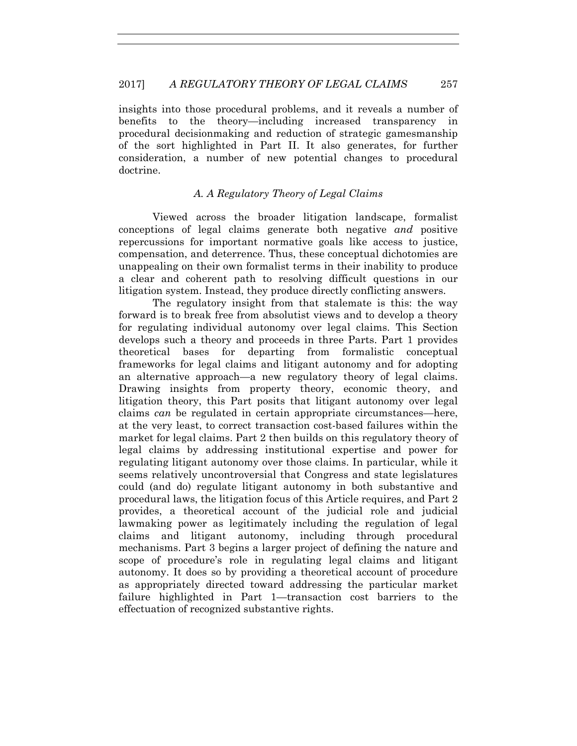insights into those procedural problems, and it reveals a number of benefits to the theory—including increased transparency in procedural decisionmaking and reduction of strategic gamesmanship of the sort highlighted in Part II. It also generates, for further consideration, a number of new potential changes to procedural doctrine.

# *A. A Regulatory Theory of Legal Claims*

Viewed across the broader litigation landscape, formalist conceptions of legal claims generate both negative *and* positive repercussions for important normative goals like access to justice, compensation, and deterrence. Thus, these conceptual dichotomies are unappealing on their own formalist terms in their inability to produce a clear and coherent path to resolving difficult questions in our litigation system. Instead, they produce directly conflicting answers.

The regulatory insight from that stalemate is this: the way forward is to break free from absolutist views and to develop a theory for regulating individual autonomy over legal claims. This Section develops such a theory and proceeds in three Parts. Part 1 provides theoretical bases for departing from formalistic conceptual frameworks for legal claims and litigant autonomy and for adopting an alternative approach—a new regulatory theory of legal claims. Drawing insights from property theory, economic theory, and litigation theory, this Part posits that litigant autonomy over legal claims *can* be regulated in certain appropriate circumstances—here, at the very least, to correct transaction cost-based failures within the market for legal claims. Part 2 then builds on this regulatory theory of legal claims by addressing institutional expertise and power for regulating litigant autonomy over those claims. In particular, while it seems relatively uncontroversial that Congress and state legislatures could (and do) regulate litigant autonomy in both substantive and procedural laws, the litigation focus of this Article requires, and Part 2 provides, a theoretical account of the judicial role and judicial lawmaking power as legitimately including the regulation of legal claims and litigant autonomy, including through procedural mechanisms. Part 3 begins a larger project of defining the nature and scope of procedure's role in regulating legal claims and litigant autonomy. It does so by providing a theoretical account of procedure as appropriately directed toward addressing the particular market failure highlighted in Part 1—transaction cost barriers to the effectuation of recognized substantive rights.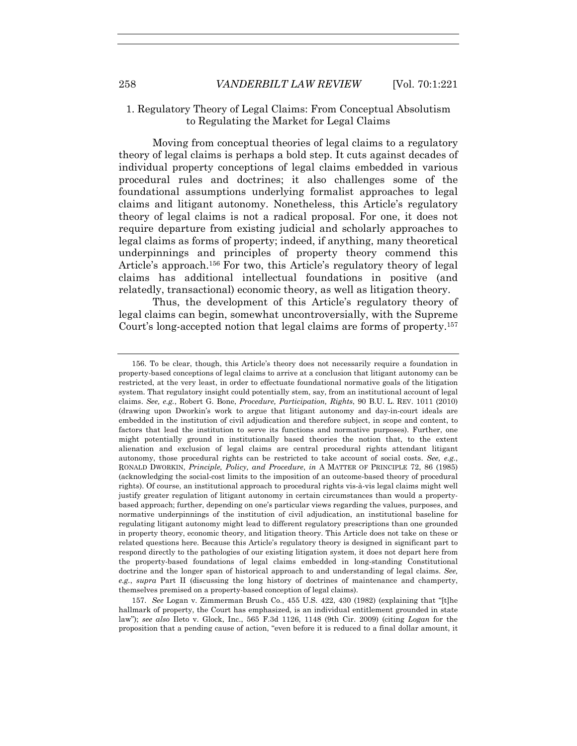### 1. Regulatory Theory of Legal Claims: From Conceptual Absolutism to Regulating the Market for Legal Claims

Moving from conceptual theories of legal claims to a regulatory theory of legal claims is perhaps a bold step. It cuts against decades of individual property conceptions of legal claims embedded in various procedural rules and doctrines; it also challenges some of the foundational assumptions underlying formalist approaches to legal claims and litigant autonomy. Nonetheless, this Article's regulatory theory of legal claims is not a radical proposal. For one, it does not require departure from existing judicial and scholarly approaches to legal claims as forms of property; indeed, if anything, many theoretical underpinnings and principles of property theory commend this Article's approach.156 For two, this Article's regulatory theory of legal claims has additional intellectual foundations in positive (and relatedly, transactional) economic theory, as well as litigation theory.

Thus, the development of this Article's regulatory theory of legal claims can begin, somewhat uncontroversially, with the Supreme Court's long-accepted notion that legal claims are forms of property.157

 157. *See* Logan v. Zimmerman Brush Co., 455 U.S. 422, 430 (1982) (explaining that "[t]he hallmark of property, the Court has emphasized, is an individual entitlement grounded in state law"); *see also* Ileto v. Glock, Inc., 565 F.3d 1126, 1148 (9th Cir. 2009) (citing *Logan* for the proposition that a pending cause of action, "even before it is reduced to a final dollar amount, it

 <sup>156.</sup> To be clear, though, this Article's theory does not necessarily require a foundation in property-based conceptions of legal claims to arrive at a conclusion that litigant autonomy can be restricted, at the very least, in order to effectuate foundational normative goals of the litigation system. That regulatory insight could potentially stem, say, from an institutional account of legal claims. *See, e.g.*, Robert G. Bone, *Procedure, Participation, Rights*, 90 B.U. L. REV. 1011 (2010) (drawing upon Dworkin's work to argue that litigant autonomy and day-in-court ideals are embedded in the institution of civil adjudication and therefore subject, in scope and content, to factors that lead the institution to serve its functions and normative purposes). Further, one might potentially ground in institutionally based theories the notion that, to the extent alienation and exclusion of legal claims are central procedural rights attendant litigant autonomy, those procedural rights can be restricted to take account of social costs. *See, e.g.*, RONALD DWORKIN, *Principle, Policy, and Procedure*, *in* A MATTER OF PRINCIPLE 72, 86 (1985) (acknowledging the social-cost limits to the imposition of an outcome-based theory of procedural rights). Of course, an institutional approach to procedural rights vis-à-vis legal claims might well justify greater regulation of litigant autonomy in certain circumstances than would a propertybased approach; further, depending on one's particular views regarding the values, purposes, and normative underpinnings of the institution of civil adjudication, an institutional baseline for regulating litigant autonomy might lead to different regulatory prescriptions than one grounded in property theory, economic theory, and litigation theory. This Article does not take on these or related questions here. Because this Article's regulatory theory is designed in significant part to respond directly to the pathologies of our existing litigation system, it does not depart here from the property-based foundations of legal claims embedded in long-standing Constitutional doctrine and the longer span of historical approach to and understanding of legal claims. *See, e.g.*, *supra* Part II (discussing the long history of doctrines of maintenance and champerty, themselves premised on a property-based conception of legal claims).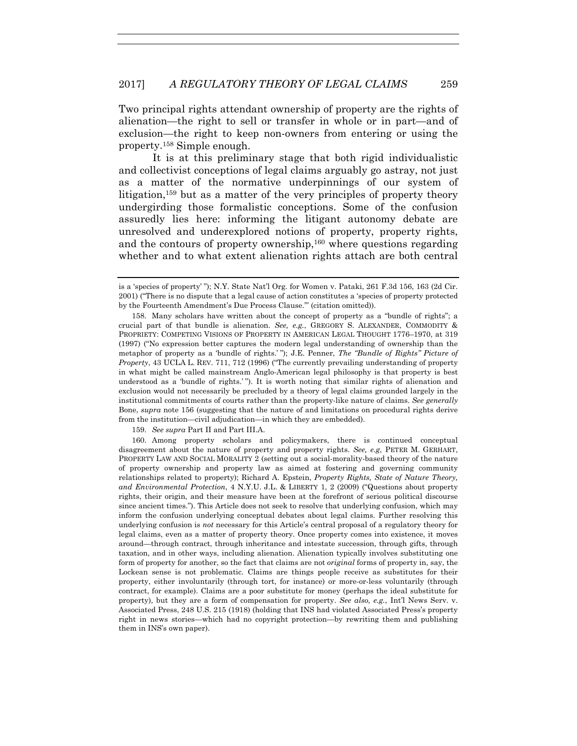Two principal rights attendant ownership of property are the rights of alienation—the right to sell or transfer in whole or in part—and of exclusion—the right to keep non-owners from entering or using the property.158 Simple enough.

It is at this preliminary stage that both rigid individualistic and collectivist conceptions of legal claims arguably go astray, not just as a matter of the normative underpinnings of our system of litigation,159 but as a matter of the very principles of property theory undergirding those formalistic conceptions. Some of the confusion assuredly lies here: informing the litigant autonomy debate are unresolved and underexplored notions of property, property rights, and the contours of property ownership,  $160$  where questions regarding whether and to what extent alienation rights attach are both central

159. *See supra* Part II and Part III.A.

 160. Among property scholars and policymakers, there is continued conceptual disagreement about the nature of property and property rights. *See, e.g*, PETER M. GERHART, PROPERTY LAW AND SOCIAL MORALITY 2 (setting out a social-morality-based theory of the nature of property ownership and property law as aimed at fostering and governing community relationships related to property); Richard A. Epstein, *Property Rights, State of Nature Theory, and Environmental Protection*, 4 N.Y.U. J.L. & LIBERTY 1, 2 (2009) ("Questions about property rights, their origin, and their measure have been at the forefront of serious political discourse since ancient times."). This Article does not seek to resolve that underlying confusion, which may inform the confusion underlying conceptual debates about legal claims. Further resolving this underlying confusion is *not* necessary for this Article's central proposal of a regulatory theory for legal claims, even as a matter of property theory. Once property comes into existence, it moves around—through contract, through inheritance and intestate succession, through gifts, through taxation, and in other ways, including alienation. Alienation typically involves substituting one form of property for another, so the fact that claims are not *original* forms of property in, say, the Lockean sense is not problematic. Claims are things people receive as substitutes for their property, either involuntarily (through tort, for instance) or more-or-less voluntarily (through contract, for example). Claims are a poor substitute for money (perhaps the ideal substitute for property), but they are a form of compensation for property. *See also, e.g.*, Int'l News Serv. v. Associated Press, 248 U.S. 215 (1918) (holding that INS had violated Associated Press's property right in news stories—which had no copyright protection—by rewriting them and publishing them in INS's own paper).

is a 'species of property' "); N.Y. State Nat'l Org. for Women v. Pataki, 261 F.3d 156, 163 (2d Cir. 2001) ("There is no dispute that a legal cause of action constitutes a 'species of property protected by the Fourteenth Amendment's Due Process Clause.'" (citation omitted)).

 <sup>158.</sup> Many scholars have written about the concept of property as a "bundle of rights"; a crucial part of that bundle is alienation. *See, e.g.*, GREGORY S. ALEXANDER, COMMODITY & PROPRIETY: COMPETING VISIONS OF PROPERTY IN AMERICAN LEGAL THOUGHT 1776–1970, at 319 (1997) ("No expression better captures the modern legal understanding of ownership than the metaphor of property as a 'bundle of rights.' "); J.E. Penner, *The "Bundle of Rights" Picture of Property*, 43 UCLA L. REV. 711, 712 (1996) ("The currently prevailing understanding of property in what might be called mainstream Anglo-American legal philosophy is that property is best understood as a 'bundle of rights.' "). It is worth noting that similar rights of alienation and exclusion would not necessarily be precluded by a theory of legal claims grounded largely in the institutional commitments of courts rather than the property-like nature of claims. *See generally* Bone, *supra* note 156 (suggesting that the nature of and limitations on procedural rights derive from the institution—civil adjudication—in which they are embedded).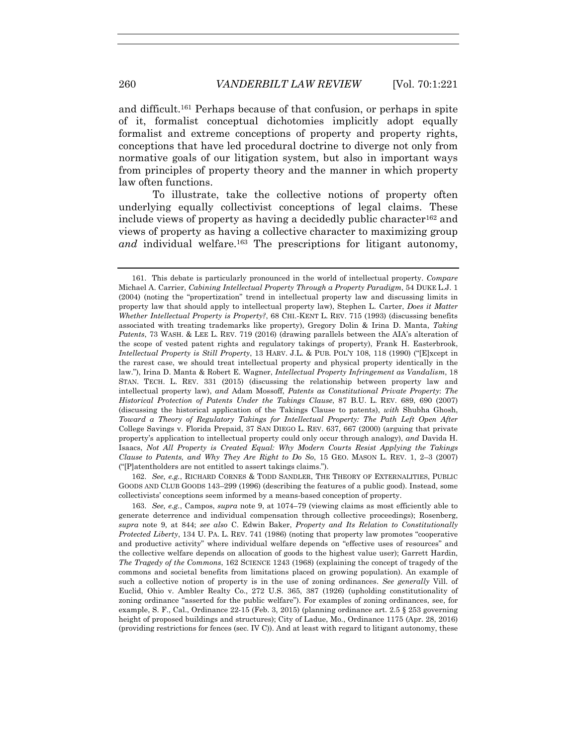and difficult.161 Perhaps because of that confusion, or perhaps in spite of it, formalist conceptual dichotomies implicitly adopt equally formalist and extreme conceptions of property and property rights, conceptions that have led procedural doctrine to diverge not only from normative goals of our litigation system, but also in important ways from principles of property theory and the manner in which property law often functions.

To illustrate, take the collective notions of property often underlying equally collectivist conceptions of legal claims. These include views of property as having a decidedly public character<sup>162</sup> and views of property as having a collective character to maximizing group *and* individual welfare.163 The prescriptions for litigant autonomy,

 162. *See, e.g.*, RICHARD CORNES & TODD SANDLER, THE THEORY OF EXTERNALITIES, PUBLIC GOODS AND CLUB GOODS 143–299 (1996) (describing the features of a public good). Instead, some collectivists' conceptions seem informed by a means-based conception of property.

 163. *See, e.g.*, Campos, *supra* note 9, at 1074–79 (viewing claims as most efficiently able to generate deterrence and individual compensation through collective proceedings); Rosenberg, *supra* note 9, at 844; *see also* C. Edwin Baker, *Property and Its Relation to Constitutionally Protected Liberty*, 134 U. PA. L. REV. 741 (1986) (noting that property law promotes "cooperative and productive activity" where individual welfare depends on "effective uses of resources" and the collective welfare depends on allocation of goods to the highest value user); Garrett Hardin, *The Tragedy of the Commons*, 162 SCIENCE 1243 (1968) (explaining the concept of tragedy of the commons and societal benefits from limitations placed on growing population). An example of such a collective notion of property is in the use of zoning ordinances. *See generally* Vill. of Euclid, Ohio v. Ambler Realty Co., 272 U.S. 365, 387 (1926) (upholding constitutionality of zoning ordinance "asserted for the public welfare"). For examples of zoning ordinances, see, for example, S. F., Cal., Ordinance 22-15 (Feb. 3, 2015) (planning ordinance art. 2.5 § 253 governing height of proposed buildings and structures); City of Ladue, Mo., Ordinance 1175 (Apr. 28, 2016) (providing restrictions for fences (sec. IV C)). And at least with regard to litigant autonomy, these

 <sup>161.</sup> This debate is particularly pronounced in the world of intellectual property. *Compare*  Michael A. Carrier, *Cabining Intellectual Property Through a Property Paradigm*, 54 DUKE L.J. 1 (2004) (noting the "propertization" trend in intellectual property law and discussing limits in property law that should apply to intellectual property law), Stephen L. Carter, *Does it Matter Whether Intellectual Property is Property?*, 68 CHI.-KENT L. REV. 715 (1993) (discussing benefits associated with treating trademarks like property), Gregory Dolin & Irina D. Manta, *Taking Patents*, 73 WASH. & LEE L. REV. 719 (2016) (drawing parallels between the AIA's alteration of the scope of vested patent rights and regulatory takings of property), Frank H. Easterbrook, *Intellectual Property is Still Property*, 13 HARV. J.L. & PUB. POL'Y 108, 118 (1990) ("[E]xcept in the rarest case, we should treat intellectual property and physical property identically in the law."), Irina D. Manta & Robert E. Wagner, *Intellectual Property Infringement as Vandalism*, 18 STAN. TECH. L. REV. 331 (2015) (discussing the relationship between property law and intellectual property law), *and* Adam Mossoff, *Patents as Constitutional Private Property*: *The Historical Protection of Patents Under the Takings Clause*, 87 B.U. L. REV. 689, 690 (2007) (discussing the historical application of the Takings Clause to patents), *with* Shubha Ghosh, *Toward a Theory of Regulatory Takings for Intellectual Property: The Path Left Open After*  College Savings v. Florida Prepaid, 37 SAN DIEGO L. REV. 637, 667 (2000) (arguing that private property's application to intellectual property could only occur through analogy), *and* Davida H. Isaacs, *Not All Property is Created Equal: Why Modern Courts Resist Applying the Takings Clause to Patents, and Why They Are Right to Do So*, 15 GEO. MASON L. REV. 1, 2–3 (2007) ("[P]atentholders are not entitled to assert takings claims.").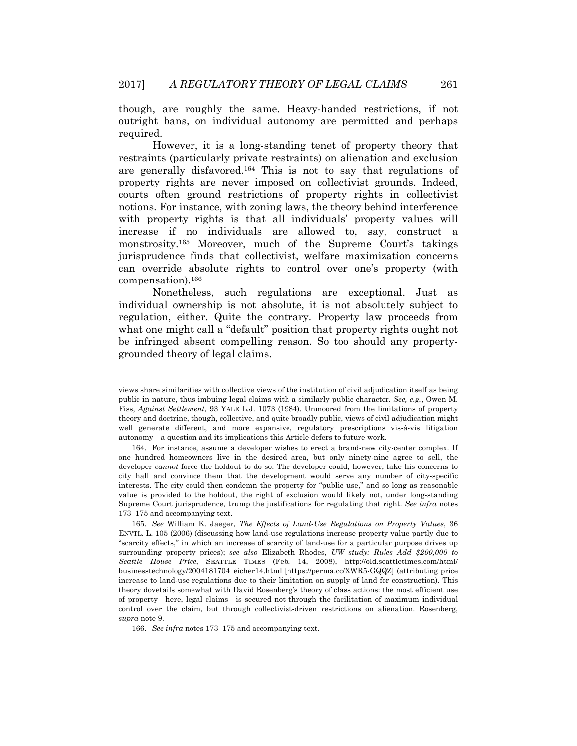though, are roughly the same. Heavy-handed restrictions, if not outright bans, on individual autonomy are permitted and perhaps required.

However, it is a long-standing tenet of property theory that restraints (particularly private restraints) on alienation and exclusion are generally disfavored.164 This is not to say that regulations of property rights are never imposed on collectivist grounds. Indeed, courts often ground restrictions of property rights in collectivist notions. For instance, with zoning laws, the theory behind interference with property rights is that all individuals' property values will increase if no individuals are allowed to, say, construct a monstrosity.165 Moreover, much of the Supreme Court's takings jurisprudence finds that collectivist, welfare maximization concerns can override absolute rights to control over one's property (with compensation).166

Nonetheless, such regulations are exceptional. Just as individual ownership is not absolute, it is not absolutely subject to regulation, either. Quite the contrary. Property law proceeds from what one might call a "default" position that property rights ought not be infringed absent compelling reason. So too should any propertygrounded theory of legal claims.

 165. *See* William K. Jaeger, *The Effects of Land-Use Regulations on Property Values*, 36 ENVTL. L. 105 (2006) (discussing how land-use regulations increase property value partly due to "scarcity effects," in which an increase of scarcity of land-use for a particular purpose drives up surrounding property prices); *see also* Elizabeth Rhodes, *UW study: Rules Add \$200,000 to Seattle House Price*, SEATTLE TIMES (Feb. 14, 2008), http://old.seattletimes.com/html/ businesstechnology/2004181704\_eicher14.html [https://perma.cc/XWR5-GQQZ] (attributing price increase to land-use regulations due to their limitation on supply of land for construction). This theory dovetails somewhat with David Rosenberg's theory of class actions: the most efficient use of property—here, legal claims—is secured not through the facilitation of maximum individual control over the claim, but through collectivist-driven restrictions on alienation. Rosenberg, *supra* note 9.

166. *See infra* notes 173–175 and accompanying text.

views share similarities with collective views of the institution of civil adjudication itself as being public in nature, thus imbuing legal claims with a similarly public character. *See, e.g.*, Owen M. Fiss, *Against Settlement*, 93 YALE L.J. 1073 (1984). Unmoored from the limitations of property theory and doctrine, though, collective, and quite broadly public, views of civil adjudication might well generate different, and more expansive, regulatory prescriptions vis-à-vis litigation autonomy—a question and its implications this Article defers to future work.

 <sup>164.</sup> For instance, assume a developer wishes to erect a brand-new city-center complex. If one hundred homeowners live in the desired area, but only ninety-nine agree to sell, the developer *cannot* force the holdout to do so. The developer could, however, take his concerns to city hall and convince them that the development would serve any number of city-specific interests. The city could then condemn the property for "public use," and so long as reasonable value is provided to the holdout, the right of exclusion would likely not, under long-standing Supreme Court jurisprudence, trump the justifications for regulating that right. *See infra* notes 173–175 and accompanying text.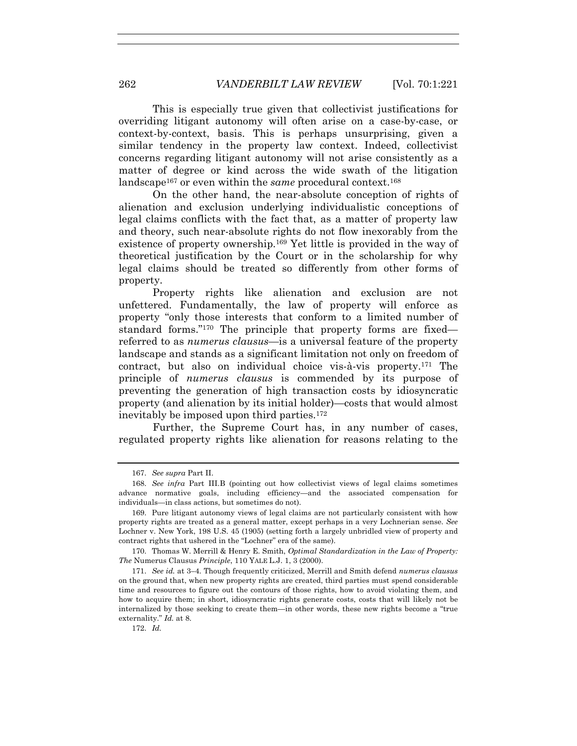This is especially true given that collectivist justifications for overriding litigant autonomy will often arise on a case-by-case, or context-by-context, basis. This is perhaps unsurprising, given a similar tendency in the property law context. Indeed, collectivist concerns regarding litigant autonomy will not arise consistently as a matter of degree or kind across the wide swath of the litigation landscape167 or even within the *same* procedural context.168

On the other hand, the near-absolute conception of rights of alienation and exclusion underlying individualistic conceptions of legal claims conflicts with the fact that, as a matter of property law and theory, such near-absolute rights do not flow inexorably from the existence of property ownership.169 Yet little is provided in the way of theoretical justification by the Court or in the scholarship for why legal claims should be treated so differently from other forms of property.

Property rights like alienation and exclusion are not unfettered. Fundamentally, the law of property will enforce as property "only those interests that conform to a limited number of standard forms."170 The principle that property forms are fixed referred to as *numerus clausus*—is a universal feature of the property landscape and stands as a significant limitation not only on freedom of contract, but also on individual choice vis-à-vis property.171 The principle of *numerus clausus* is commended by its purpose of preventing the generation of high transaction costs by idiosyncratic property (and alienation by its initial holder)—costs that would almost inevitably be imposed upon third parties.172

Further, the Supreme Court has, in any number of cases, regulated property rights like alienation for reasons relating to the

 170. Thomas W. Merrill & Henry E. Smith, *Optimal Standardization in the Law of Property: The* Numerus Clausus *Principle*, 110 YALE L.J. 1, 3 (2000).

172. *Id.*

 <sup>167.</sup> *See supra* Part II.

 <sup>168.</sup> *See infra* Part III.B (pointing out how collectivist views of legal claims sometimes advance normative goals, including efficiency—and the associated compensation for individuals—in class actions, but sometimes do not).

 <sup>169.</sup> Pure litigant autonomy views of legal claims are not particularly consistent with how property rights are treated as a general matter, except perhaps in a very Lochnerian sense. *See*  Lochner v. New York, 198 U.S. 45 (1905) (setting forth a largely unbridled view of property and contract rights that ushered in the "Lochner" era of the same).

 <sup>171.</sup> *See id.* at 3–4. Though frequently criticized, Merrill and Smith defend *numerus clausus*  on the ground that, when new property rights are created, third parties must spend considerable time and resources to figure out the contours of those rights, how to avoid violating them, and how to acquire them; in short, idiosyncratic rights generate costs, costs that will likely not be internalized by those seeking to create them—in other words, these new rights become a "true externality." *Id.* at 8.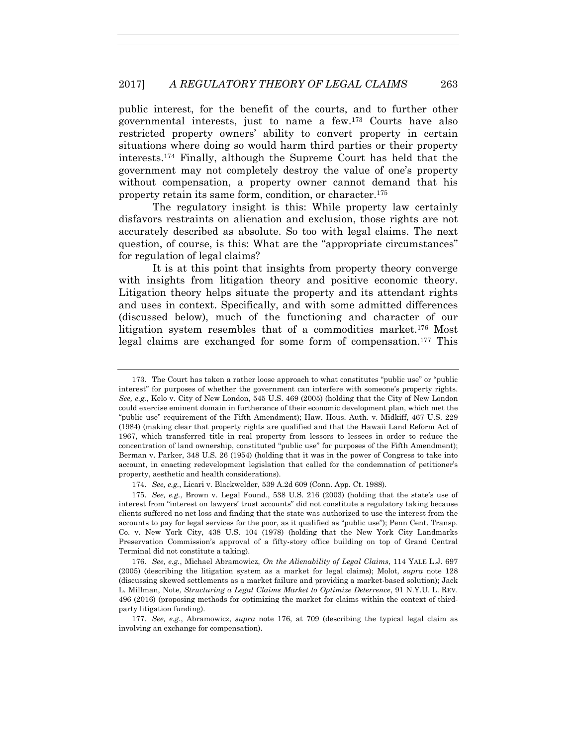public interest, for the benefit of the courts, and to further other governmental interests, just to name a few.173 Courts have also restricted property owners' ability to convert property in certain situations where doing so would harm third parties or their property interests.174 Finally, although the Supreme Court has held that the government may not completely destroy the value of one's property without compensation, a property owner cannot demand that his property retain its same form, condition, or character.175

The regulatory insight is this: While property law certainly disfavors restraints on alienation and exclusion, those rights are not accurately described as absolute. So too with legal claims. The next question, of course, is this: What are the "appropriate circumstances" for regulation of legal claims?

It is at this point that insights from property theory converge with insights from litigation theory and positive economic theory. Litigation theory helps situate the property and its attendant rights and uses in context. Specifically, and with some admitted differences (discussed below), much of the functioning and character of our litigation system resembles that of a commodities market.176 Most legal claims are exchanged for some form of compensation.177 This

 <sup>173.</sup> The Court has taken a rather loose approach to what constitutes "public use" or "public interest" for purposes of whether the government can interfere with someone's property rights. *See, e.g.*, Kelo v. City of New London, 545 U.S. 469 (2005) (holding that the City of New London could exercise eminent domain in furtherance of their economic development plan, which met the "public use" requirement of the Fifth Amendment); Haw. Hous. Auth. v. Midkiff, 467 U.S. 229 (1984) (making clear that property rights are qualified and that the Hawaii Land Reform Act of 1967, which transferred title in real property from lessors to lessees in order to reduce the concentration of land ownership, constituted "public use" for purposes of the Fifth Amendment); Berman v. Parker, 348 U.S. 26 (1954) (holding that it was in the power of Congress to take into account, in enacting redevelopment legislation that called for the condemnation of petitioner's property, aesthetic and health considerations).

 <sup>174.</sup> *See, e.g.*, Licari v. Blackwelder, 539 A.2d 609 (Conn. App. Ct. 1988).

 <sup>175.</sup> *See, e.g.*, Brown v. Legal Found., 538 U.S. 216 (2003) (holding that the state's use of interest from "interest on lawyers' trust accounts" did not constitute a regulatory taking because clients suffered no net loss and finding that the state was authorized to use the interest from the accounts to pay for legal services for the poor, as it qualified as "public use"); Penn Cent. Transp. Co. v. New York City, 438 U.S. 104 (1978) (holding that the New York City Landmarks Preservation Commission's approval of a fifty-story office building on top of Grand Central Terminal did not constitute a taking).

 <sup>176.</sup> *See, e.g.*, Michael Abramowicz, *On the Alienability of Legal Claims*, 114 YALE L.J. 697 (2005) (describing the litigation system as a market for legal claims); Molot, *supra* note 128 (discussing skewed settlements as a market failure and providing a market-based solution); Jack L. Millman, Note, *Structuring a Legal Claims Market to Optimize Deterrence*, 91 N.Y.U. L. REV. 496 (2016) (proposing methods for optimizing the market for claims within the context of thirdparty litigation funding).

 <sup>177.</sup> *See, e.g.*, Abramowicz, *supra* note 176, at 709 (describing the typical legal claim as involving an exchange for compensation).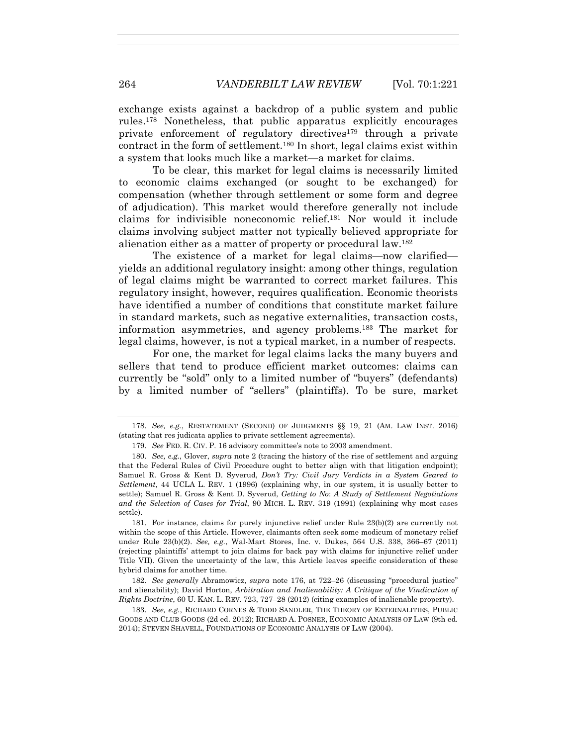exchange exists against a backdrop of a public system and public rules.178 Nonetheless, that public apparatus explicitly encourages private enforcement of regulatory directives179 through a private contract in the form of settlement.180 In short, legal claims exist within a system that looks much like a market—a market for claims.

To be clear, this market for legal claims is necessarily limited to economic claims exchanged (or sought to be exchanged) for compensation (whether through settlement or some form and degree of adjudication). This market would therefore generally not include claims for indivisible noneconomic relief.181 Nor would it include claims involving subject matter not typically believed appropriate for alienation either as a matter of property or procedural law.182

The existence of a market for legal claims—now clarified yields an additional regulatory insight: among other things, regulation of legal claims might be warranted to correct market failures. This regulatory insight, however, requires qualification. Economic theorists have identified a number of conditions that constitute market failure in standard markets, such as negative externalities, transaction costs, information asymmetries, and agency problems.183 The market for legal claims, however, is not a typical market, in a number of respects.

For one, the market for legal claims lacks the many buyers and sellers that tend to produce efficient market outcomes: claims can currently be "sold" only to a limited number of "buyers" (defendants) by a limited number of "sellers" (plaintiffs). To be sure, market

 181. For instance, claims for purely injunctive relief under Rule 23(b)(2) are currently not within the scope of this Article. However, claimants often seek some modicum of monetary relief under Rule 23(b)(2). *See, e.g.*, Wal-Mart Stores, Inc. v. Dukes, 564 U.S. 338, 366–67 (2011) (rejecting plaintiffs' attempt to join claims for back pay with claims for injunctive relief under Title VII). Given the uncertainty of the law, this Article leaves specific consideration of these hybrid claims for another time.

 182. *See generally* Abramowicz, *supra* note 176, at 722–26 (discussing "procedural justice" and alienability); David Horton, *Arbitration and Inalienability: A Critique of the Vindication of Rights Doctrine*, 60 U. KAN. L. REV. 723, 727–28 (2012) (citing examples of inalienable property).

 183. *See, e.g.*, RICHARD CORNES & TODD SANDLER, THE THEORY OF EXTERNALITIES, PUBLIC GOODS AND CLUB GOODS (2d ed. 2012); RICHARD A. POSNER, ECONOMIC ANALYSIS OF LAW (9th ed. 2014); STEVEN SHAVELL, FOUNDATIONS OF ECONOMIC ANALYSIS OF LAW (2004).

 <sup>178.</sup> *See, e.g.*, RESTATEMENT (SECOND) OF JUDGMENTS §§ 19, 21 (AM. LAW INST. 2016) (stating that res judicata applies to private settlement agreements).

 <sup>179.</sup> *See* FED. R. CIV. P. 16 advisory committee's note to 2003 amendment.

 <sup>180.</sup> *See, e.g.*, Glover, *supra* note 2 (tracing the history of the rise of settlement and arguing that the Federal Rules of Civil Procedure ought to better align with that litigation endpoint); Samuel R. Gross & Kent D. Syverud, *Don't Try: Civil Jury Verdicts in a System Geared to Settlement*, 44 UCLA L. REV. 1 (1996) (explaining why, in our system, it is usually better to settle); Samuel R. Gross & Kent D. Syverud, *Getting to No*: *A Study of Settlement Negotiations and the Selection of Cases for Trial*, 90 MICH. L. REV. 319 (1991) (explaining why most cases settle).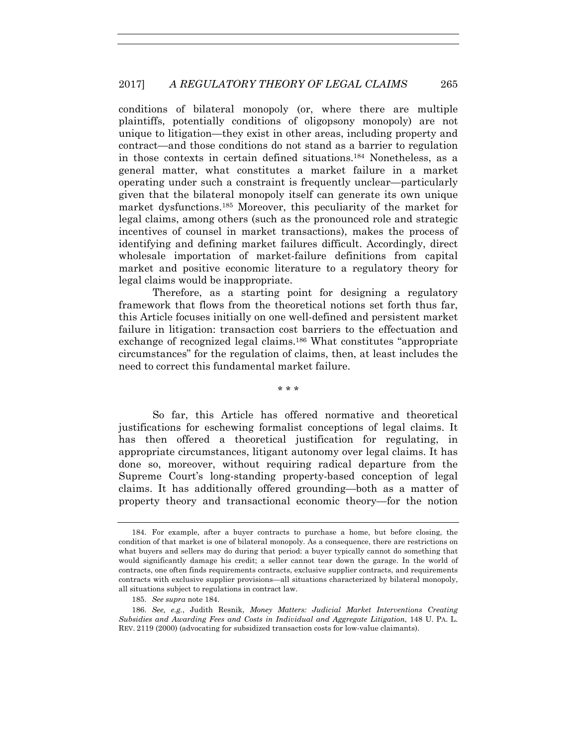conditions of bilateral monopoly (or, where there are multiple plaintiffs, potentially conditions of oligopsony monopoly) are not unique to litigation—they exist in other areas, including property and contract—and those conditions do not stand as a barrier to regulation in those contexts in certain defined situations.184 Nonetheless, as a general matter, what constitutes a market failure in a market operating under such a constraint is frequently unclear—particularly given that the bilateral monopoly itself can generate its own unique market dysfunctions.185 Moreover, this peculiarity of the market for legal claims, among others (such as the pronounced role and strategic incentives of counsel in market transactions), makes the process of identifying and defining market failures difficult. Accordingly, direct wholesale importation of market-failure definitions from capital market and positive economic literature to a regulatory theory for legal claims would be inappropriate.

Therefore, as a starting point for designing a regulatory framework that flows from the theoretical notions set forth thus far, this Article focuses initially on one well-defined and persistent market failure in litigation: transaction cost barriers to the effectuation and exchange of recognized legal claims.186 What constitutes "appropriate circumstances" for the regulation of claims, then, at least includes the need to correct this fundamental market failure.

\* \* \*

So far, this Article has offered normative and theoretical justifications for eschewing formalist conceptions of legal claims. It has then offered a theoretical justification for regulating, in appropriate circumstances, litigant autonomy over legal claims. It has done so, moreover, without requiring radical departure from the Supreme Court's long-standing property-based conception of legal claims. It has additionally offered grounding—both as a matter of property theory and transactional economic theory—for the notion

 <sup>184.</sup> For example, after a buyer contracts to purchase a home, but before closing, the condition of that market is one of bilateral monopoly. As a consequence, there are restrictions on what buyers and sellers may do during that period: a buyer typically cannot do something that would significantly damage his credit; a seller cannot tear down the garage. In the world of contracts, one often finds requirements contracts, exclusive supplier contracts, and requirements contracts with exclusive supplier provisions—all situations characterized by bilateral monopoly, all situations subject to regulations in contract law.

 <sup>185.</sup> *See supra* note 184.

 <sup>186.</sup> *See, e.g.*, Judith Resnik, *Money Matters: Judicial Market Interventions Creating Subsidies and Awarding Fees and Costs in Individual and Aggregate Litigation*, 148 U. PA. L. REV. 2119 (2000) (advocating for subsidized transaction costs for low-value claimants).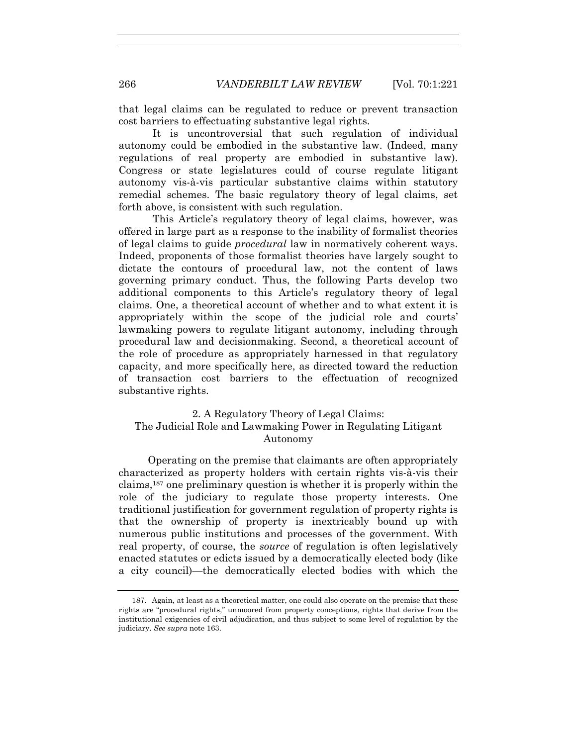that legal claims can be regulated to reduce or prevent transaction cost barriers to effectuating substantive legal rights.

It is uncontroversial that such regulation of individual autonomy could be embodied in the substantive law. (Indeed, many regulations of real property are embodied in substantive law). Congress or state legislatures could of course regulate litigant autonomy vis-à-vis particular substantive claims within statutory remedial schemes. The basic regulatory theory of legal claims, set forth above, is consistent with such regulation.

This Article's regulatory theory of legal claims, however, was offered in large part as a response to the inability of formalist theories of legal claims to guide *procedural* law in normatively coherent ways. Indeed, proponents of those formalist theories have largely sought to dictate the contours of procedural law, not the content of laws governing primary conduct. Thus, the following Parts develop two additional components to this Article's regulatory theory of legal claims. One, a theoretical account of whether and to what extent it is appropriately within the scope of the judicial role and courts' lawmaking powers to regulate litigant autonomy, including through procedural law and decisionmaking. Second, a theoretical account of the role of procedure as appropriately harnessed in that regulatory capacity, and more specifically here, as directed toward the reduction of transaction cost barriers to the effectuation of recognized substantive rights.

# 2. A Regulatory Theory of Legal Claims: The Judicial Role and Lawmaking Power in Regulating Litigant Autonomy

 Operating on the premise that claimants are often appropriately characterized as property holders with certain rights vis-à-vis their claims,187 one preliminary question is whether it is properly within the role of the judiciary to regulate those property interests. One traditional justification for government regulation of property rights is that the ownership of property is inextricably bound up with numerous public institutions and processes of the government. With real property, of course, the *source* of regulation is often legislatively enacted statutes or edicts issued by a democratically elected body (like a city council)—the democratically elected bodies with which the

 <sup>187.</sup> Again, at least as a theoretical matter, one could also operate on the premise that these rights are "procedural rights," unmoored from property conceptions, rights that derive from the institutional exigencies of civil adjudication, and thus subject to some level of regulation by the judiciary. *See supra* note 163.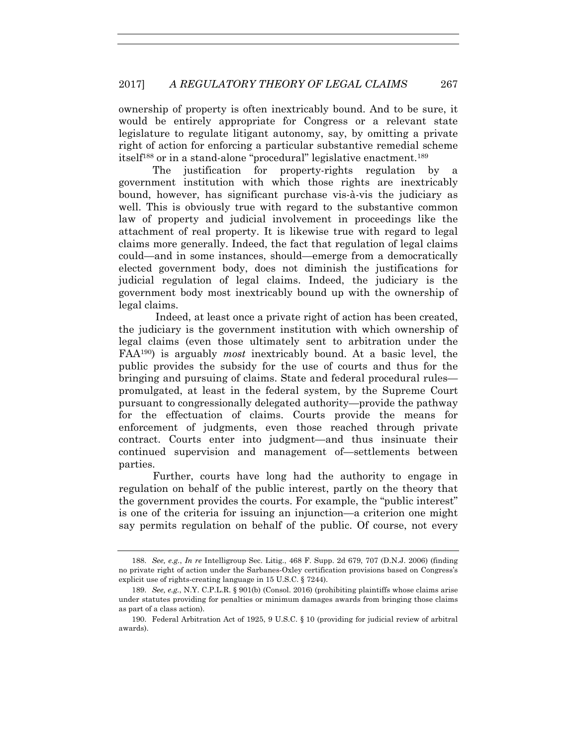ownership of property is often inextricably bound. And to be sure, it would be entirely appropriate for Congress or a relevant state legislature to regulate litigant autonomy, say, by omitting a private right of action for enforcing a particular substantive remedial scheme itself188 or in a stand-alone "procedural" legislative enactment.189

The justification for property-rights regulation by a government institution with which those rights are inextricably bound, however, has significant purchase vis-à-vis the judiciary as well. This is obviously true with regard to the substantive common law of property and judicial involvement in proceedings like the attachment of real property. It is likewise true with regard to legal claims more generally. Indeed, the fact that regulation of legal claims could—and in some instances, should—emerge from a democratically elected government body, does not diminish the justifications for judicial regulation of legal claims. Indeed, the judiciary is the government body most inextricably bound up with the ownership of legal claims.

 Indeed, at least once a private right of action has been created, the judiciary is the government institution with which ownership of legal claims (even those ultimately sent to arbitration under the FAA190) is arguably *most* inextricably bound. At a basic level, the public provides the subsidy for the use of courts and thus for the bringing and pursuing of claims. State and federal procedural rules promulgated, at least in the federal system, by the Supreme Court pursuant to congressionally delegated authority—provide the pathway for the effectuation of claims. Courts provide the means for enforcement of judgments, even those reached through private contract. Courts enter into judgment—and thus insinuate their continued supervision and management of—settlements between parties.

Further, courts have long had the authority to engage in regulation on behalf of the public interest, partly on the theory that the government provides the courts. For example, the "public interest" is one of the criteria for issuing an injunction—a criterion one might say permits regulation on behalf of the public. Of course, not every

 <sup>188.</sup> *See, e.g.*, *In re* Intelligroup Sec. Litig., 468 F. Supp. 2d 679, 707 (D.N.J. 2006) (finding no private right of action under the Sarbanes-Oxley certification provisions based on Congress's explicit use of rights-creating language in 15 U.S.C. § 7244).

 <sup>189.</sup> *See, e.g.*, N.Y. C.P.L.R. § 901(b) (Consol. 2016) (prohibiting plaintiffs whose claims arise under statutes providing for penalties or minimum damages awards from bringing those claims as part of a class action).

 <sup>190.</sup> Federal Arbitration Act of 1925, 9 U.S.C. § 10 (providing for judicial review of arbitral awards).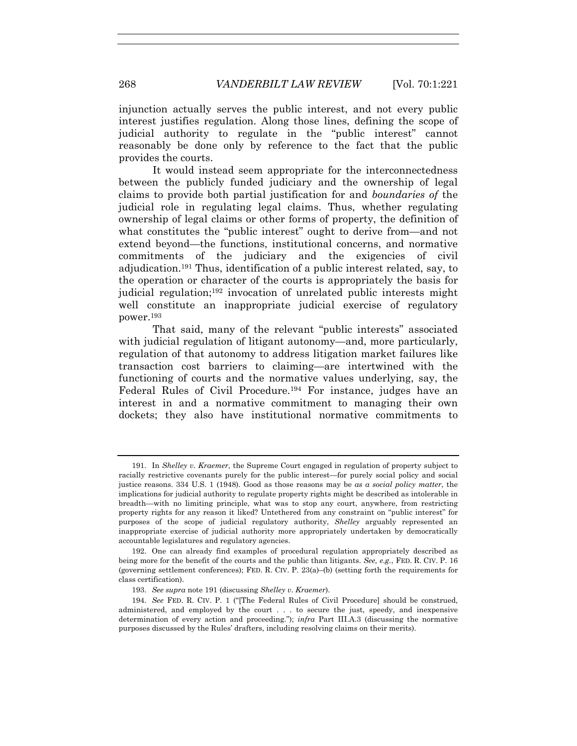injunction actually serves the public interest, and not every public interest justifies regulation. Along those lines, defining the scope of judicial authority to regulate in the "public interest" cannot reasonably be done only by reference to the fact that the public provides the courts.

It would instead seem appropriate for the interconnectedness between the publicly funded judiciary and the ownership of legal claims to provide both partial justification for and *boundaries of* the judicial role in regulating legal claims. Thus, whether regulating ownership of legal claims or other forms of property, the definition of what constitutes the "public interest" ought to derive from—and not extend beyond—the functions, institutional concerns, and normative commitments of the judiciary and the exigencies of civil adjudication.191 Thus, identification of a public interest related, say, to the operation or character of the courts is appropriately the basis for judicial regulation;192 invocation of unrelated public interests might well constitute an inappropriate judicial exercise of regulatory power.193

That said, many of the relevant "public interests" associated with judicial regulation of litigant autonomy—and, more particularly, regulation of that autonomy to address litigation market failures like transaction cost barriers to claiming—are intertwined with the functioning of courts and the normative values underlying, say, the Federal Rules of Civil Procedure.194 For instance, judges have an interest in and a normative commitment to managing their own dockets; they also have institutional normative commitments to

 192. One can already find examples of procedural regulation appropriately described as being more for the benefit of the courts and the public than litigants. *See, e.g.*, FED. R. CIV. P. 16 (governing settlement conferences); FED. R. CIV. P. 23(a)–(b) (setting forth the requirements for class certification).

193. *See supra* note 191 (discussing *Shelley v. Kraemer*).

 <sup>191.</sup> In *Shelley v. Kraemer*, the Supreme Court engaged in regulation of property subject to racially restrictive covenants purely for the public interest—for purely social policy and social justice reasons. 334 U.S. 1 (1948). Good as those reasons may be *as a social policy matter*, the implications for judicial authority to regulate property rights might be described as intolerable in breadth—with no limiting principle, what was to stop any court, anywhere, from restricting property rights for any reason it liked? Untethered from any constraint on "public interest" for purposes of the scope of judicial regulatory authority, *Shelley* arguably represented an inappropriate exercise of judicial authority more appropriately undertaken by democratically accountable legislatures and regulatory agencies.

 <sup>194.</sup> *See* FED. R. CIV. P. 1 ("[The Federal Rules of Civil Procedure] should be construed, administered, and employed by the court . . . to secure the just, speedy, and inexpensive determination of every action and proceeding."); *infra* Part III.A.3 (discussing the normative purposes discussed by the Rules' drafters, including resolving claims on their merits).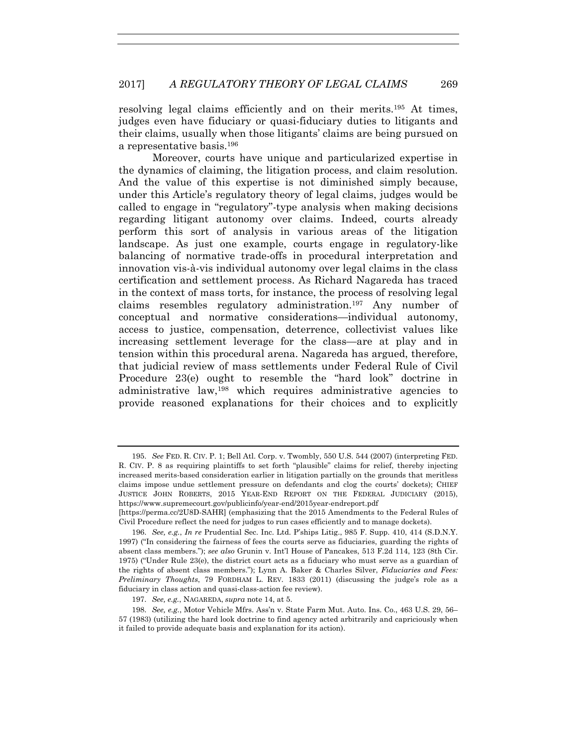resolving legal claims efficiently and on their merits.195 At times, judges even have fiduciary or quasi-fiduciary duties to litigants and their claims, usually when those litigants' claims are being pursued on a representative basis.196

Moreover, courts have unique and particularized expertise in the dynamics of claiming, the litigation process, and claim resolution. And the value of this expertise is not diminished simply because, under this Article's regulatory theory of legal claims, judges would be called to engage in "regulatory"-type analysis when making decisions regarding litigant autonomy over claims. Indeed, courts already perform this sort of analysis in various areas of the litigation landscape. As just one example, courts engage in regulatory-like balancing of normative trade-offs in procedural interpretation and innovation vis-à-vis individual autonomy over legal claims in the class certification and settlement process. As Richard Nagareda has traced in the context of mass torts, for instance, the process of resolving legal claims resembles regulatory administration.197 Any number of conceptual and normative considerations—individual autonomy, access to justice, compensation, deterrence, collectivist values like increasing settlement leverage for the class—are at play and in tension within this procedural arena. Nagareda has argued, therefore, that judicial review of mass settlements under Federal Rule of Civil Procedure 23(e) ought to resemble the "hard look" doctrine in administrative law,198 which requires administrative agencies to provide reasoned explanations for their choices and to explicitly

 <sup>195.</sup> *See* FED. R. CIV. P. 1; Bell Atl. Corp. v. Twombly, 550 U.S. 544 (2007) (interpreting FED. R. CIV. P. 8 as requiring plaintiffs to set forth "plausible" claims for relief, thereby injecting increased merits-based consideration earlier in litigation partially on the grounds that meritless claims impose undue settlement pressure on defendants and clog the courts' dockets); CHIEF JUSTICE JOHN ROBERTS, 2015 YEAR-END REPORT ON THE FEDERAL JUDICIARY (2015), https://www.supremecourt.gov/publicinfo/year-end/2015year-endreport.pdf

<sup>[</sup>https://perma.cc/2U8D-SAHR] (emphasizing that the 2015 Amendments to the Federal Rules of Civil Procedure reflect the need for judges to run cases efficiently and to manage dockets).

 <sup>196.</sup> *See, e.g.*, *In re* Prudential Sec. Inc. Ltd. P'ships Litig., 985 F. Supp. 410, 414 (S.D.N.Y. 1997) ("In considering the fairness of fees the courts serve as fiduciaries, guarding the rights of absent class members."); *see also* Grunin v. Int'l House of Pancakes, 513 F.2d 114, 123 (8th Cir. 1975) ("Under Rule 23(e), the district court acts as a fiduciary who must serve as a guardian of the rights of absent class members."); Lynn A. Baker & Charles Silver, *Fiduciaries and Fees: Preliminary Thoughts*, 79 FORDHAM L. REV*.* 1833 (2011) (discussing the judge's role as a fiduciary in class action and quasi-class-action fee review).

 <sup>197.</sup> *See, e.g.*, NAGAREDA, *supra* note 14, at 5.

 <sup>198.</sup> *See, e.g.*, Motor Vehicle Mfrs. Ass'n v. State Farm Mut. Auto. Ins. Co., 463 U.S. 29, 56– 57 (1983) (utilizing the hard look doctrine to find agency acted arbitrarily and capriciously when it failed to provide adequate basis and explanation for its action).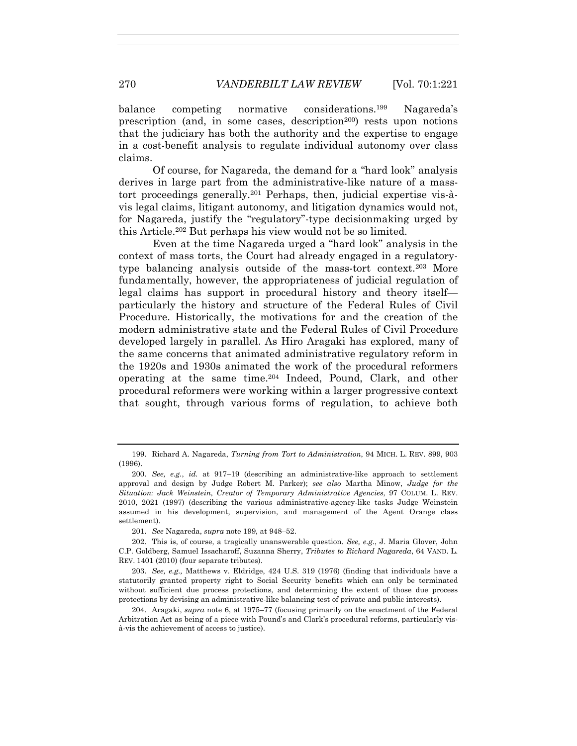balance competing normative considerations.<sup>199</sup> Nagareda's prescription (and, in some cases, description<sup>200</sup>) rests upon notions that the judiciary has both the authority and the expertise to engage in a cost-benefit analysis to regulate individual autonomy over class claims.

Of course, for Nagareda, the demand for a "hard look" analysis derives in large part from the administrative-like nature of a masstort proceedings generally.201 Perhaps, then, judicial expertise vis-àvis legal claims, litigant autonomy, and litigation dynamics would not, for Nagareda, justify the "regulatory"-type decisionmaking urged by this Article.202 But perhaps his view would not be so limited.

Even at the time Nagareda urged a "hard look" analysis in the context of mass torts, the Court had already engaged in a regulatorytype balancing analysis outside of the mass-tort context.203 More fundamentally, however, the appropriateness of judicial regulation of legal claims has support in procedural history and theory itself particularly the history and structure of the Federal Rules of Civil Procedure. Historically, the motivations for and the creation of the modern administrative state and the Federal Rules of Civil Procedure developed largely in parallel. As Hiro Aragaki has explored, many of the same concerns that animated administrative regulatory reform in the 1920s and 1930s animated the work of the procedural reformers operating at the same time.204 Indeed, Pound, Clark, and other procedural reformers were working within a larger progressive context that sought, through various forms of regulation, to achieve both

 <sup>199.</sup> Richard A. Nagareda, *Turning from Tort to Administration*, 94 MICH. L. REV. 899, 903 (1996).

 <sup>200.</sup> *See, e.g.*, *id.* at 917–19 (describing an administrative-like approach to settlement approval and design by Judge Robert M. Parker); *see also* Martha Minow, *Judge for the Situation: Jack Weinstein, Creator of Temporary Administrative Agencies*, 97 COLUM. L. REV. 2010, 2021 (1997) (describing the various administrative-agency-like tasks Judge Weinstein assumed in his development, supervision, and management of the Agent Orange class settlement).

 <sup>201.</sup> *See* Nagareda, *supra* note 199, at 948–52.

 <sup>202.</sup> This is, of course, a tragically unanswerable question. *See, e.g.*, J. Maria Glover, John C.P. Goldberg, Samuel Issacharoff, Suzanna Sherry, *Tributes to Richard Nagareda*, 64 VAND. L. REV. 1401 (2010) (four separate tributes).

 <sup>203.</sup> *See, e.g.,* Matthews v. Eldridge, 424 U.S. 319 (1976) (finding that individuals have a statutorily granted property right to Social Security benefits which can only be terminated without sufficient due process protections, and determining the extent of those due process protections by devising an administrative-like balancing test of private and public interests).

 <sup>204.</sup> Aragaki, *supra* note 6, at 1975–77 (focusing primarily on the enactment of the Federal Arbitration Act as being of a piece with Pound's and Clark's procedural reforms, particularly visà-vis the achievement of access to justice).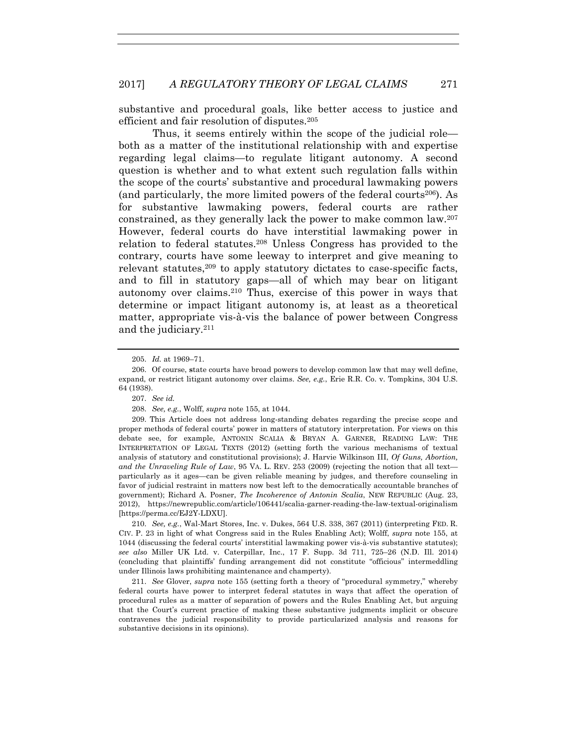substantive and procedural goals, like better access to justice and efficient and fair resolution of disputes.205

Thus, it seems entirely within the scope of the judicial role both as a matter of the institutional relationship with and expertise regarding legal claims—to regulate litigant autonomy. A second question is whether and to what extent such regulation falls within the scope of the courts' substantive and procedural lawmaking powers (and particularly, the more limited powers of the federal courts<sup>206</sup>). As for substantive lawmaking powers, federal courts are rather constrained, as they generally lack the power to make common law.207 However, federal courts do have interstitial lawmaking power in relation to federal statutes.208 Unless Congress has provided to the contrary, courts have some leeway to interpret and give meaning to relevant statutes, $209$  to apply statutory dictates to case-specific facts, and to fill in statutory gaps—all of which may bear on litigant autonomy over claims.210 Thus, exercise of this power in ways that determine or impact litigant autonomy is, at least as a theoretical matter, appropriate vis-à-vis the balance of power between Congress and the judiciary.211

 209. This Article does not address long-standing debates regarding the precise scope and proper methods of federal courts' power in matters of statutory interpretation. For views on this debate see, for example, ANTONIN SCALIA & BRYAN A. GARNER, READING LAW: THE INTERPRETATION OF LEGAL TEXTS (2012) (setting forth the various mechanisms of textual analysis of statutory and constitutional provisions); J. Harvie Wilkinson III, *Of Guns, Abortion, and the Unraveling Rule of Law*, 95 VA. L. REV. 253 (2009) (rejecting the notion that all text particularly as it ages—can be given reliable meaning by judges, and therefore counseling in favor of judicial restraint in matters now best left to the democratically accountable branches of government); Richard A. Posner, *The Incoherence of Antonin Scalia*, NEW REPUBLIC (Aug. 23, 2012), https://newrepublic.com/article/106441/scalia-garner-reading-the-law-textual-originalism [https://perma.cc/EJ2Y-LDXU].

 210. *See, e.g.*, Wal-Mart Stores, Inc. v. Dukes, 564 U.S. 338, 367 (2011) (interpreting FED. R. CIV. P. 23 in light of what Congress said in the Rules Enabling Act); Wolff, *supra* note 155, at 1044 (discussing the federal courts' interstitial lawmaking power vis-à-vis substantive statutes); *see also* Miller UK Ltd. v. Caterpillar, Inc., 17 F. Supp. 3d 711, 725–26 (N.D. Ill. 2014) (concluding that plaintiffs' funding arrangement did not constitute "officious" intermeddling under Illinois laws prohibiting maintenance and champerty).

 211. *See* Glover, *supra* note 155 (setting forth a theory of "procedural symmetry," whereby federal courts have power to interpret federal statutes in ways that affect the operation of procedural rules as a matter of separation of powers and the Rules Enabling Act, but arguing that the Court's current practice of making these substantive judgments implicit or obscure contravenes the judicial responsibility to provide particularized analysis and reasons for substantive decisions in its opinions).

 <sup>205.</sup> *Id.* at 1969–71.

 <sup>206.</sup> Of course, **s**tate courts have broad powers to develop common law that may well define, expand, or restrict litigant autonomy over claims. *See, e.g.*, Erie R.R. Co. v. Tompkins, 304 U.S. 64 (1938).

 <sup>207.</sup> *See id.*

 <sup>208.</sup> *See, e.g.*, Wolff, *supra* note 155, at 1044.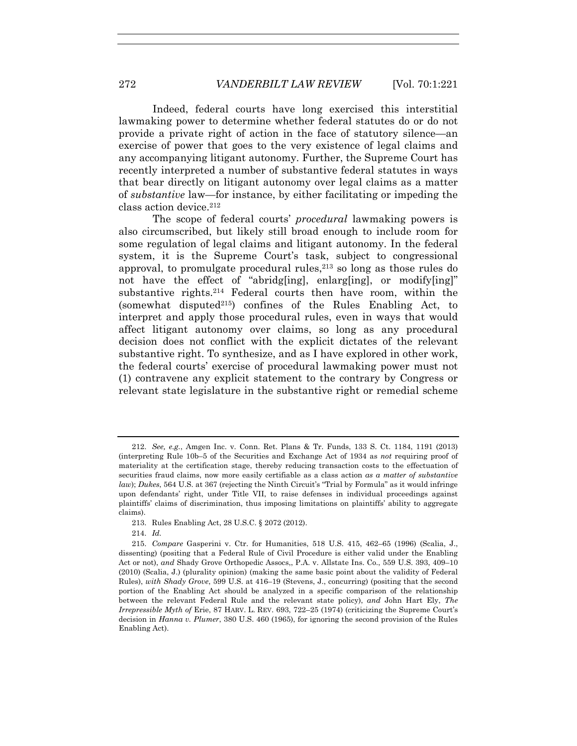Indeed, federal courts have long exercised this interstitial lawmaking power to determine whether federal statutes do or do not provide a private right of action in the face of statutory silence—an exercise of power that goes to the very existence of legal claims and any accompanying litigant autonomy. Further, the Supreme Court has recently interpreted a number of substantive federal statutes in ways that bear directly on litigant autonomy over legal claims as a matter of *substantive* law—for instance, by either facilitating or impeding the class action device.212

The scope of federal courts' *procedural* lawmaking powers is also circumscribed, but likely still broad enough to include room for some regulation of legal claims and litigant autonomy. In the federal system, it is the Supreme Court's task, subject to congressional approval, to promulgate procedural rules, $2^{13}$  so long as those rules do not have the effect of "abridg[ing], enlarg[ing], or modify[ing]" substantive rights.214 Federal courts then have room, within the (somewhat disputed<sup>215</sup>) confines of the Rules Enabling Act, to interpret and apply those procedural rules, even in ways that would affect litigant autonomy over claims, so long as any procedural decision does not conflict with the explicit dictates of the relevant substantive right. To synthesize, and as I have explored in other work, the federal courts' exercise of procedural lawmaking power must not (1) contravene any explicit statement to the contrary by Congress or relevant state legislature in the substantive right or remedial scheme

 <sup>212.</sup> *See, e.g.*, Amgen Inc. v. Conn. Ret. Plans & Tr. Funds, 133 S. Ct. 1184, 1191 (2013) (interpreting Rule 10b–5 of the Securities and Exchange Act of 1934 as *not* requiring proof of materiality at the certification stage, thereby reducing transaction costs to the effectuation of securities fraud claims, now more easily certifiable as a class action *as a matter of substantive law*); *Dukes*, 564 U.S. at 367 (rejecting the Ninth Circuit's "Trial by Formula" as it would infringe upon defendants' right, under Title VII, to raise defenses in individual proceedings against plaintiffs' claims of discrimination, thus imposing limitations on plaintiffs' ability to aggregate claims).

 <sup>213.</sup> Rules Enabling Act, 28 U.S.C. § 2072 (2012).

 <sup>214.</sup> *Id.*

 <sup>215.</sup> *Compare* Gasperini v. Ctr. for Humanities, 518 U.S. 415, 462–65 (1996) (Scalia, J., dissenting) (positing that a Federal Rule of Civil Procedure is either valid under the Enabling Act or not), *and* Shady Grove Orthopedic Assocs,, P.A. v. Allstate Ins. Co., 559 U.S. 393, 409–10 (2010) (Scalia, J.) (plurality opinion) (making the same basic point about the validity of Federal Rules), *with Shady Grove*, 599 U.S. at 416–19 (Stevens, J., concurring) (positing that the second portion of the Enabling Act should be analyzed in a specific comparison of the relationship between the relevant Federal Rule and the relevant state policy), *and* John Hart Ely, *The Irrepressible Myth of* Erie, 87 HARV. L. REV. 693, 722–25 (1974) (criticizing the Supreme Court's decision in *Hanna v. Plumer*, 380 U.S. 460 (1965), for ignoring the second provision of the Rules Enabling Act).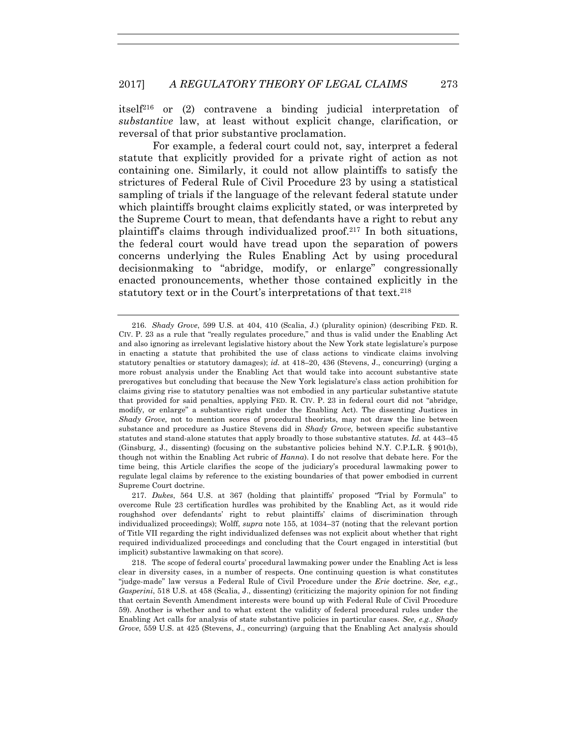itself<sup>216</sup> or (2) contravene a binding judicial interpretation of *substantive* law, at least without explicit change, clarification, or reversal of that prior substantive proclamation.

For example, a federal court could not, say, interpret a federal statute that explicitly provided for a private right of action as not containing one. Similarly, it could not allow plaintiffs to satisfy the strictures of Federal Rule of Civil Procedure 23 by using a statistical sampling of trials if the language of the relevant federal statute under which plaintiffs brought claims explicitly stated, or was interpreted by the Supreme Court to mean, that defendants have a right to rebut any plaintiff's claims through individualized proof.217 In both situations, the federal court would have tread upon the separation of powers concerns underlying the Rules Enabling Act by using procedural decisionmaking to "abridge, modify, or enlarge" congressionally enacted pronouncements, whether those contained explicitly in the statutory text or in the Court's interpretations of that text.<sup>218</sup>

 <sup>216.</sup> *Shady Grove*, 599 U.S. at 404, 410 (Scalia, J.) (plurality opinion) (describing FED. R. CIV. P. 23 as a rule that "really regulates procedure," and thus is valid under the Enabling Act and also ignoring as irrelevant legislative history about the New York state legislature's purpose in enacting a statute that prohibited the use of class actions to vindicate claims involving statutory penalties or statutory damages); *id.* at 418–20, 436 (Stevens, J., concurring) (urging a more robust analysis under the Enabling Act that would take into account substantive state prerogatives but concluding that because the New York legislature's class action prohibition for claims giving rise to statutory penalties was not embodied in any particular substantive statute that provided for said penalties, applying FED. R. CIV. P. 23 in federal court did not "abridge, modify, or enlarge" a substantive right under the Enabling Act). The dissenting Justices in *Shady Grove*, not to mention scores of procedural theorists, may not draw the line between substance and procedure as Justice Stevens did in *Shady Grove*, between specific substantive statutes and stand-alone statutes that apply broadly to those substantive statutes. *Id.* at 443–45 (Ginsburg, J., dissenting) (focusing on the substantive policies behind N.Y. C.P.L.R. § 901(b), though not within the Enabling Act rubric of *Hanna*). I do not resolve that debate here. For the time being, this Article clarifies the scope of the judiciary's procedural lawmaking power to regulate legal claims by reference to the existing boundaries of that power embodied in current Supreme Court doctrine.

 <sup>217.</sup> *Dukes*, 564 U.S. at 367 (holding that plaintiffs' proposed "Trial by Formula" to overcome Rule 23 certification hurdles was prohibited by the Enabling Act, as it would ride roughshod over defendants' right to rebut plaintiffs' claims of discrimination through individualized proceedings); Wolff, *supra* note 155, at 1034–37 (noting that the relevant portion of Title VII regarding the right individualized defenses was not explicit about whether that right required individualized proceedings and concluding that the Court engaged in interstitial (but implicit) substantive lawmaking on that score).

 <sup>218.</sup> The scope of federal courts' procedural lawmaking power under the Enabling Act is less clear in diversity cases, in a number of respects. One continuing question is what constitutes "judge-made" law versus a Federal Rule of Civil Procedure under the *Erie* doctrine. *See, e.g.*, *Gasperini*, 518 U.S. at 458 (Scalia, J., dissenting) (criticizing the majority opinion for not finding that certain Seventh Amendment interests were bound up with Federal Rule of Civil Procedure 59). Another is whether and to what extent the validity of federal procedural rules under the Enabling Act calls for analysis of state substantive policies in particular cases. *See, e.g.*, *Shady Grove*, 559 U.S. at 425 (Stevens, J., concurring) (arguing that the Enabling Act analysis should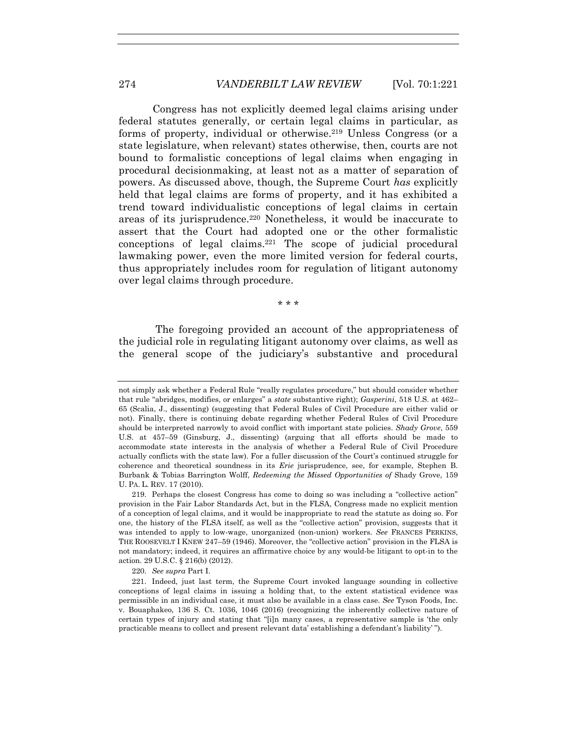Congress has not explicitly deemed legal claims arising under federal statutes generally, or certain legal claims in particular, as forms of property, individual or otherwise.219 Unless Congress (or a state legislature, when relevant) states otherwise, then, courts are not bound to formalistic conceptions of legal claims when engaging in procedural decisionmaking, at least not as a matter of separation of powers. As discussed above, though, the Supreme Court *has* explicitly held that legal claims are forms of property, and it has exhibited a trend toward individualistic conceptions of legal claims in certain areas of its jurisprudence.220 Nonetheless, it would be inaccurate to assert that the Court had adopted one or the other formalistic conceptions of legal claims.221 The scope of judicial procedural lawmaking power, even the more limited version for federal courts, thus appropriately includes room for regulation of litigant autonomy over legal claims through procedure.

\* \* \*

 The foregoing provided an account of the appropriateness of the judicial role in regulating litigant autonomy over claims, as well as the general scope of the judiciary's substantive and procedural

220. *See supra* Part I.

not simply ask whether a Federal Rule "really regulates procedure," but should consider whether that rule "abridges, modifies, or enlarges" a *state* substantive right); *Gasperini*, 518 U.S. at 462– 65 (Scalia, J., dissenting) (suggesting that Federal Rules of Civil Procedure are either valid or not). Finally, there is continuing debate regarding whether Federal Rules of Civil Procedure should be interpreted narrowly to avoid conflict with important state policies. *Shady Grove*, 559 U.S. at 457–59 (Ginsburg, J., dissenting) (arguing that all efforts should be made to accommodate state interests in the analysis of whether a Federal Rule of Civil Procedure actually conflicts with the state law). For a fuller discussion of the Court's continued struggle for coherence and theoretical soundness in its *Erie* jurisprudence, see, for example, Stephen B. Burbank & Tobias Barrington Wolff, *Redeeming the Missed Opportunities of* Shady Grove, 159 U. PA. L. REV. 17 (2010).

 <sup>219.</sup> Perhaps the closest Congress has come to doing so was including a "collective action" provision in the Fair Labor Standards Act, but in the FLSA, Congress made no explicit mention of a conception of legal claims, and it would be inappropriate to read the statute as doing so. For one, the history of the FLSA itself, as well as the "collective action" provision, suggests that it was intended to apply to low-wage, unorganized (non-union) workers. *See* FRANCES PERKINS, THE ROOSEVELT I KNEW 247–59 (1946). Moreover, the "collective action" provision in the FLSA is not mandatory; indeed, it requires an affirmative choice by any would-be litigant to opt-in to the action. 29 U.S.C. § 216(b) (2012).

 <sup>221.</sup> Indeed, just last term, the Supreme Court invoked language sounding in collective conceptions of legal claims in issuing a holding that, to the extent statistical evidence was permissible in an individual case, it must also be available in a class case. *See* Tyson Foods, Inc. v. Bouaphakeo, 136 S. Ct. 1036, 1046 (2016) (recognizing the inherently collective nature of certain types of injury and stating that "[i]n many cases, a representative sample is 'the only practicable means to collect and present relevant data' establishing a defendant's liability' ").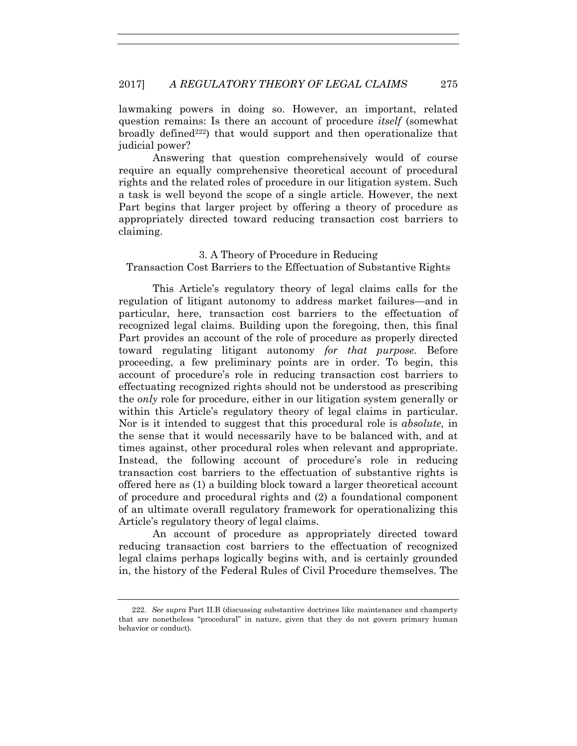lawmaking powers in doing so. However, an important, related question remains: Is there an account of procedure *itself* (somewhat broadly defined<sup>222</sup>) that would support and then operationalize that judicial power?

Answering that question comprehensively would of course require an equally comprehensive theoretical account of procedural rights and the related roles of procedure in our litigation system. Such a task is well beyond the scope of a single article. However, the next Part begins that larger project by offering a theory of procedure as appropriately directed toward reducing transaction cost barriers to claiming.

#### 3. A Theory of Procedure in Reducing

Transaction Cost Barriers to the Effectuation of Substantive Rights

This Article's regulatory theory of legal claims calls for the regulation of litigant autonomy to address market failures—and in particular, here, transaction cost barriers to the effectuation of recognized legal claims. Building upon the foregoing, then, this final Part provides an account of the role of procedure as properly directed toward regulating litigant autonomy *for that purpose.* Before proceeding, a few preliminary points are in order. To begin, this account of procedure's role in reducing transaction cost barriers to effectuating recognized rights should not be understood as prescribing the *only* role for procedure, either in our litigation system generally or within this Article's regulatory theory of legal claims in particular. Nor is it intended to suggest that this procedural role is *absolute,* in the sense that it would necessarily have to be balanced with, and at times against, other procedural roles when relevant and appropriate. Instead, the following account of procedure's role in reducing transaction cost barriers to the effectuation of substantive rights is offered here as (1) a building block toward a larger theoretical account of procedure and procedural rights and (2) a foundational component of an ultimate overall regulatory framework for operationalizing this Article's regulatory theory of legal claims.

An account of procedure as appropriately directed toward reducing transaction cost barriers to the effectuation of recognized legal claims perhaps logically begins with, and is certainly grounded in, the history of the Federal Rules of Civil Procedure themselves. The

 <sup>222.</sup> *See supra* Part II.B (discussing substantive doctrines like maintenance and champerty that are nonetheless "procedural" in nature, given that they do not govern primary human behavior or conduct).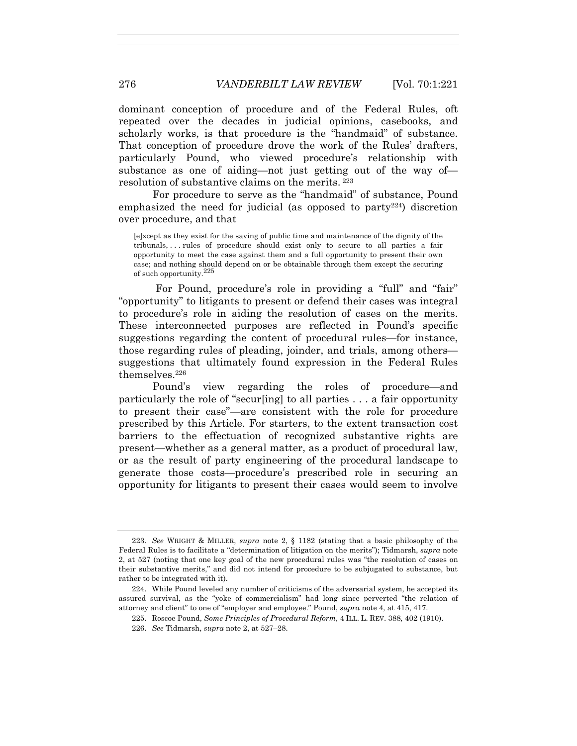dominant conception of procedure and of the Federal Rules, oft repeated over the decades in judicial opinions, casebooks, and scholarly works, is that procedure is the "handmaid" of substance. That conception of procedure drove the work of the Rules' drafters, particularly Pound, who viewed procedure's relationship with substance as one of aiding—not just getting out of the way of resolution of substantive claims on the merits. 223

For procedure to serve as the "handmaid" of substance, Pound emphasized the need for judicial (as opposed to  $party^{224}$ ) discretion over procedure, and that

[e]xcept as they exist for the saving of public time and maintenance of the dignity of the tribunals, . . . rules of procedure should exist only to secure to all parties a fair opportunity to meet the case against them and a full opportunity to present their own case; and nothing should depend on or be obtainable through them except the securing of such opportunity.<sup>225</sup>

For Pound, procedure's role in providing a "full" and "fair" "opportunity" to litigants to present or defend their cases was integral to procedure's role in aiding the resolution of cases on the merits. These interconnected purposes are reflected in Pound's specific suggestions regarding the content of procedural rules—for instance, those regarding rules of pleading, joinder, and trials, among others suggestions that ultimately found expression in the Federal Rules themselves.226

Pound's view regarding the roles of procedure—and particularly the role of "secur[ing] to all parties . . . a fair opportunity to present their case"—are consistent with the role for procedure prescribed by this Article. For starters, to the extent transaction cost barriers to the effectuation of recognized substantive rights are present—whether as a general matter, as a product of procedural law, or as the result of party engineering of the procedural landscape to generate those costs—procedure's prescribed role in securing an opportunity for litigants to present their cases would seem to involve

 <sup>223.</sup> *See* WRIGHT & MILLER, *supra* note 2, § 1182 (stating that a basic philosophy of the Federal Rules is to facilitate a "determination of litigation on the merits"); Tidmarsh, *supra* note 2, at 527 (noting that one key goal of the new procedural rules was "the resolution of cases on their substantive merits," and did not intend for procedure to be subjugated to substance, but rather to be integrated with it).

 <sup>224.</sup> While Pound leveled any number of criticisms of the adversarial system, he accepted its assured survival, as the "yoke of commercialism" had long since perverted "the relation of attorney and client" to one of "employer and employee." Pound, *supra* note 4, at 415, 417.

 <sup>225.</sup> Roscoe Pound, *Some Principles of Procedural Reform*, 4 ILL. L. REV. 388*,* 402 (1910).

 <sup>226.</sup> *See* Tidmarsh, *supra* note 2, at 527–28.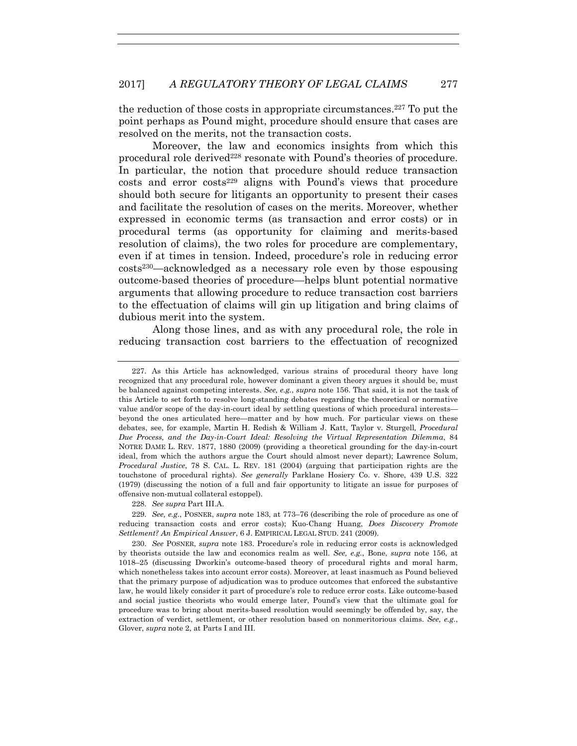the reduction of those costs in appropriate circumstances.227 To put the point perhaps as Pound might, procedure should ensure that cases are resolved on the merits, not the transaction costs.

Moreover, the law and economics insights from which this procedural role derived<sup>228</sup> resonate with Pound's theories of procedure. In particular, the notion that procedure should reduce transaction costs and error costs<sup>229</sup> aligns with Pound's views that procedure should both secure for litigants an opportunity to present their cases and facilitate the resolution of cases on the merits. Moreover, whether expressed in economic terms (as transaction and error costs) or in procedural terms (as opportunity for claiming and merits-based resolution of claims), the two roles for procedure are complementary, even if at times in tension. Indeed, procedure's role in reducing error costs230—acknowledged as a necessary role even by those espousing outcome-based theories of procedure—helps blunt potential normative arguments that allowing procedure to reduce transaction cost barriers to the effectuation of claims will gin up litigation and bring claims of dubious merit into the system.

Along those lines, and as with any procedural role, the role in reducing transaction cost barriers to the effectuation of recognized

228. *See supra* Part III.A.

 229. *See, e.g.*, POSNER, *supra* note 183, at 773–76 (describing the role of procedure as one of reducing transaction costs and error costs); Kuo-Chang Huang, *Does Discovery Promote Settlement? An Empirical Answer*, 6 J. EMPIRICAL LEGAL STUD. 241 (2009).

 230. *See* POSNER, *supra* note 183. Procedure's role in reducing error costs is acknowledged by theorists outside the law and economics realm as well. *See, e.g.*, Bone, *supra* note 156, at 1018–25 (discussing Dworkin's outcome-based theory of procedural rights and moral harm, which nonetheless takes into account error costs). Moreover, at least inasmuch as Pound believed that the primary purpose of adjudication was to produce outcomes that enforced the substantive law, he would likely consider it part of procedure's role to reduce error costs. Like outcome-based and social justice theorists who would emerge later, Pound's view that the ultimate goal for procedure was to bring about merits-based resolution would seemingly be offended by, say, the extraction of verdict, settlement, or other resolution based on nonmeritorious claims. *See, e.g.*, Glover, *supra* note 2, at Parts I and III.

 <sup>227.</sup> As this Article has acknowledged, various strains of procedural theory have long recognized that any procedural role, however dominant a given theory argues it should be, must be balanced against competing interests. *See, e.g.*, *supra* note 156. That said, it is not the task of this Article to set forth to resolve long-standing debates regarding the theoretical or normative value and/or scope of the day-in-court ideal by settling questions of which procedural interests beyond the ones articulated here—matter and by how much. For particular views on these debates, see, for example, Martin H. Redish & William J. Katt, Taylor v. Sturgell*, Procedural Due Process, and the Day-in-Court Ideal: Resolving the Virtual Representation Dilemma*, 84 NOTRE DAME L. REV. 1877, 1880 (2009) (providing a theoretical grounding for the day-in-court ideal, from which the authors argue the Court should almost never depart); Lawrence Solum, *Procedural Justice*, 78 S. CAL. L. REV. 181 (2004) (arguing that participation rights are the touchstone of procedural rights). *See generally* Parklane Hosiery Co. v. Shore, 439 U.S. 322 (1979) (discussing the notion of a full and fair opportunity to litigate an issue for purposes of offensive non-mutual collateral estoppel).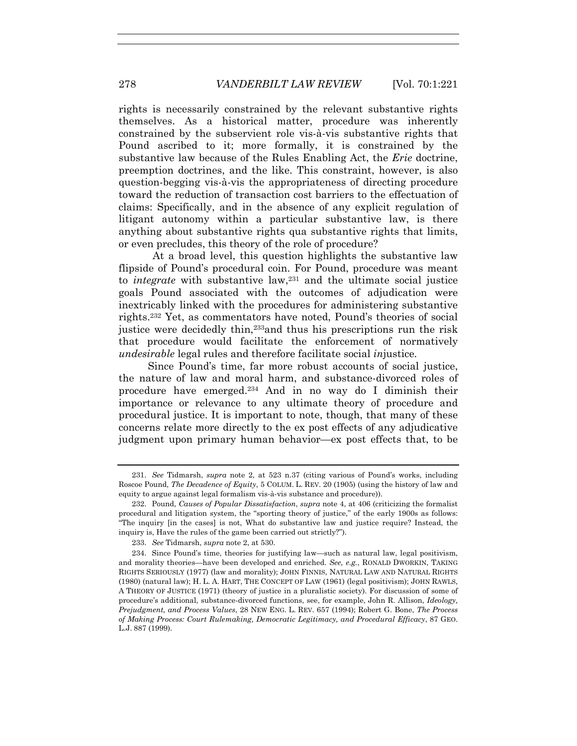rights is necessarily constrained by the relevant substantive rights themselves. As a historical matter, procedure was inherently constrained by the subservient role vis-à-vis substantive rights that Pound ascribed to it; more formally, it is constrained by the substantive law because of the Rules Enabling Act, the *Erie* doctrine, preemption doctrines, and the like. This constraint, however, is also question-begging vis-à-vis the appropriateness of directing procedure toward the reduction of transaction cost barriers to the effectuation of claims: Specifically, and in the absence of any explicit regulation of litigant autonomy within a particular substantive law, is there anything about substantive rights qua substantive rights that limits, or even precludes, this theory of the role of procedure?

At a broad level, this question highlights the substantive law flipside of Pound's procedural coin. For Pound, procedure was meant to *integrate* with substantive law,<sup>231</sup> and the ultimate social justice goals Pound associated with the outcomes of adjudication were inextricably linked with the procedures for administering substantive rights.232 Yet, as commentators have noted, Pound's theories of social justice were decidedly thin,233and thus his prescriptions run the risk that procedure would facilitate the enforcement of normatively *undesirable* legal rules and therefore facilitate social *in*justice*.* 

 Since Pound's time, far more robust accounts of social justice, the nature of law and moral harm, and substance-divorced roles of procedure have emerged.234 And in no way do I diminish their importance or relevance to any ultimate theory of procedure and procedural justice. It is important to note, though, that many of these concerns relate more directly to the ex post effects of any adjudicative judgment upon primary human behavior—ex post effects that, to be

 <sup>231.</sup> *See* Tidmarsh, *supra* note 2, at 523 n.37 (citing various of Pound's works, including Roscoe Pound, *The Decadence of Equity*, 5 COLUM. L. REV. 20 (1905) (using the history of law and equity to argue against legal formalism vis-à-vis substance and procedure)).

 <sup>232.</sup> Pound, *Causes of Popular Dissatisfaction*, *supra* note 4, at 406 (criticizing the formalist procedural and litigation system, the "sporting theory of justice," of the early 1900s as follows: "The inquiry [in the cases] is not, What do substantive law and justice require? Instead, the inquiry is, Have the rules of the game been carried out strictly?").

 <sup>233.</sup> *See* Tidmarsh, *supra* note 2, at 530.

 <sup>234.</sup> Since Pound's time, theories for justifying law—such as natural law, legal positivism, and morality theories—have been developed and enriched. *See, e.g.*, RONALD DWORKIN, TAKING RIGHTS SERIOUSLY (1977) (law and morality); JOHN FINNIS, NATURAL LAW AND NATURAL RIGHTS (1980) (natural law); H. L. A. HART, THE CONCEPT OF LAW (1961) (legal positivism); JOHN RAWLS, A THEORY OF JUSTICE (1971) (theory of justice in a pluralistic society). For discussion of some of procedure's additional, substance-divorced functions, see, for example, John R. Allison, *Ideology, Prejudgment, and Process Values*, 28 NEW ENG. L. REV. 657 (1994); Robert G. Bone, *The Process of Making Process: Court Rulemaking, Democratic Legitimacy, and Procedural Efficacy*, 87 GEO. L.J. 887 (1999).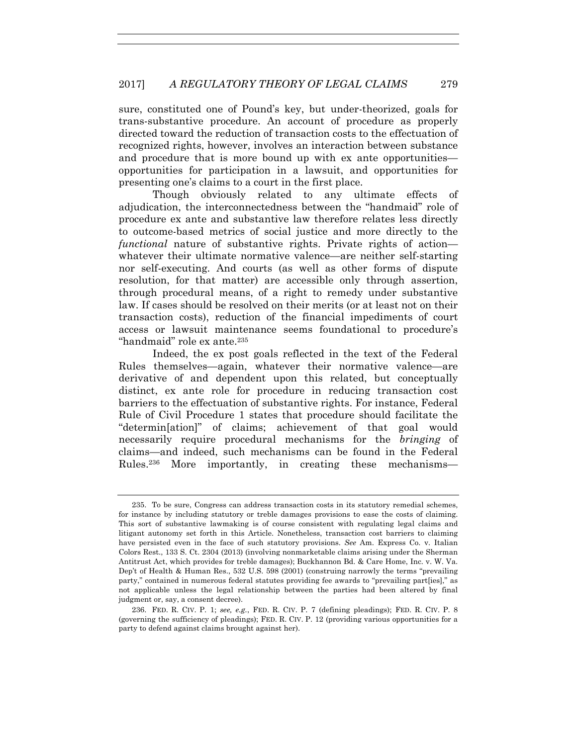sure, constituted one of Pound's key, but under-theorized, goals for trans-substantive procedure. An account of procedure as properly directed toward the reduction of transaction costs to the effectuation of recognized rights, however, involves an interaction between substance and procedure that is more bound up with ex ante opportunities opportunities for participation in a lawsuit, and opportunities for presenting one's claims to a court in the first place.

Though obviously related to any ultimate effects of adjudication, the interconnectedness between the "handmaid" role of procedure ex ante and substantive law therefore relates less directly to outcome-based metrics of social justice and more directly to the *functional* nature of substantive rights. Private rights of action whatever their ultimate normative valence—are neither self-starting nor self-executing. And courts (as well as other forms of dispute resolution, for that matter) are accessible only through assertion, through procedural means, of a right to remedy under substantive law. If cases should be resolved on their merits (or at least not on their transaction costs), reduction of the financial impediments of court access or lawsuit maintenance seems foundational to procedure's "handmaid" role ex ante.<sup>235</sup>

Indeed, the ex post goals reflected in the text of the Federal Rules themselves—again, whatever their normative valence—are derivative of and dependent upon this related, but conceptually distinct, ex ante role for procedure in reducing transaction cost barriers to the effectuation of substantive rights. For instance, Federal Rule of Civil Procedure 1 states that procedure should facilitate the "determin[ation]" of claims; achievement of that goal would necessarily require procedural mechanisms for the *bringing* of claims—and indeed, such mechanisms can be found in the Federal Rules.236 More importantly, in creating these mechanisms—

 <sup>235.</sup> To be sure, Congress can address transaction costs in its statutory remedial schemes, for instance by including statutory or treble damages provisions to ease the costs of claiming. This sort of substantive lawmaking is of course consistent with regulating legal claims and litigant autonomy set forth in this Article. Nonetheless, transaction cost barriers to claiming have persisted even in the face of such statutory provisions. *See* Am. Express Co. v. Italian Colors Rest., 133 S. Ct. 2304 (2013) (involving nonmarketable claims arising under the Sherman Antitrust Act, which provides for treble damages); Buckhannon Bd. & Care Home, Inc. v. W. Va. Dep't of Health & Human Res., 532 U.S. 598 (2001) (construing narrowly the terms "prevailing party," contained in numerous federal statutes providing fee awards to "prevailing part fies]," as not applicable unless the legal relationship between the parties had been altered by final judgment or, say, a consent decree).

 <sup>236.</sup> FED. R. CIV. P. 1; *see, e.g.*, FED. R. CIV. P. 7 (defining pleadings); FED. R. CIV. P. 8 (governing the sufficiency of pleadings); FED. R. CIV. P. 12 (providing various opportunities for a party to defend against claims brought against her).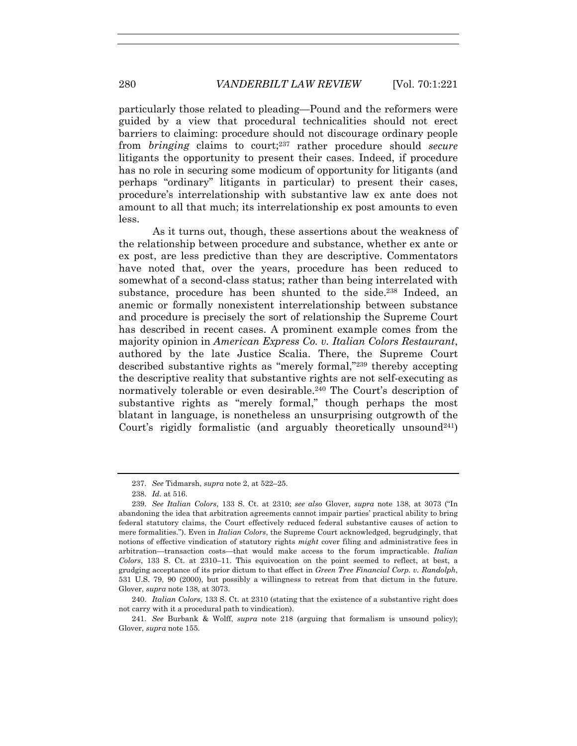particularly those related to pleading—Pound and the reformers were guided by a view that procedural technicalities should not erect barriers to claiming: procedure should not discourage ordinary people from *bringing* claims to court;237 rather procedure should *secure*  litigants the opportunity to present their cases. Indeed, if procedure has no role in securing some modicum of opportunity for litigants (and perhaps "ordinary" litigants in particular) to present their cases, procedure's interrelationship with substantive law ex ante does not amount to all that much; its interrelationship ex post amounts to even less.

As it turns out, though, these assertions about the weakness of the relationship between procedure and substance, whether ex ante or ex post, are less predictive than they are descriptive. Commentators have noted that, over the years, procedure has been reduced to somewhat of a second-class status; rather than being interrelated with substance, procedure has been shunted to the side.<sup>238</sup> Indeed, an anemic or formally nonexistent interrelationship between substance and procedure is precisely the sort of relationship the Supreme Court has described in recent cases. A prominent example comes from the majority opinion in *American Express Co. v. Italian Colors Restaurant*, authored by the late Justice Scalia. There, the Supreme Court described substantive rights as "merely formal,"239 thereby accepting the descriptive reality that substantive rights are not self-executing as normatively tolerable or even desirable.240 The Court's description of substantive rights as "merely formal," though perhaps the most blatant in language, is nonetheless an unsurprising outgrowth of the Court's rigidly formalistic (and arguably theoretically unsound<sup>241</sup>)

 240. *Italian Colors*, 133 S. Ct. at 2310 (stating that the existence of a substantive right does not carry with it a procedural path to vindication).

 <sup>237.</sup> *See* Tidmarsh, *supra* note 2, at 522–25.

 <sup>238.</sup> *Id.* at 516.

 <sup>239.</sup> *See Italian Colors*, 133 S. Ct. at 2310; *see also* Glover, *supra* note 138, at 3073 ("In abandoning the idea that arbitration agreements cannot impair parties' practical ability to bring federal statutory claims, the Court effectively reduced federal substantive causes of action to mere formalities."). Even in *Italian Colors*, the Supreme Court acknowledged, begrudgingly, that notions of effective vindication of statutory rights *might* cover filing and administrative fees in arbitration—transaction costs—that would make access to the forum impracticable. *Italian Colors*, 133 S. Ct. at 2310–11. This equivocation on the point seemed to reflect, at best, a grudging acceptance of its prior dictum to that effect in *Green Tree Financial Corp. v. Randolph*, 531 U.S. 79, 90 (2000), but possibly a willingness to retreat from that dictum in the future. Glover, *supra* note 138, at 3073.

 <sup>241.</sup> *See* Burbank & Wolff, *supra* note 218 (arguing that formalism is unsound policy); Glover, *supra* note 155.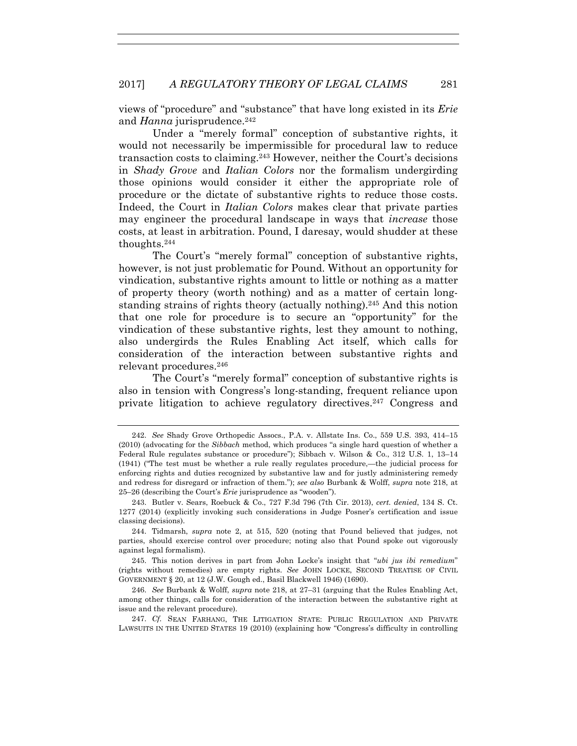views of "procedure" and "substance" that have long existed in its *Erie*  and *Hanna* jurisprudence.<sup>242</sup>

Under a "merely formal" conception of substantive rights, it would not necessarily be impermissible for procedural law to reduce transaction costs to claiming.243 However, neither the Court's decisions in *Shady Grove* and *Italian Colors* nor the formalism undergirding those opinions would consider it either the appropriate role of procedure or the dictate of substantive rights to reduce those costs. Indeed, the Court in *Italian Colors* makes clear that private parties may engineer the procedural landscape in ways that *increase* those costs, at least in arbitration. Pound, I daresay, would shudder at these thoughts.244

The Court's "merely formal" conception of substantive rights, however, is not just problematic for Pound. Without an opportunity for vindication, substantive rights amount to little or nothing as a matter of property theory (worth nothing) and as a matter of certain longstanding strains of rights theory (actually nothing).245 And this notion that one role for procedure is to secure an "opportunity" for the vindication of these substantive rights, lest they amount to nothing, also undergirds the Rules Enabling Act itself, which calls for consideration of the interaction between substantive rights and relevant procedures.246

The Court's "merely formal" conception of substantive rights is also in tension with Congress's long-standing, frequent reliance upon private litigation to achieve regulatory directives.247 Congress and

 245. This notion derives in part from John Locke's insight that "*ubi jus ibi remedium*" (rights without remedies) are empty rights. *See* JOHN LOCKE, SECOND TREATISE OF CIVIL GOVERNMENT § 20, at 12 (J.W. Gough ed., Basil Blackwell 1946) (1690).

 <sup>242.</sup> *See* Shady Grove Orthopedic Assocs., P.A. v. Allstate Ins. Co., 559 U.S. 393, 414–15 (2010) (advocating for the *Sibbach* method, which produces "a single hard question of whether a Federal Rule regulates substance or procedure"); Sibbach v. Wilson & Co., 312 U.S. 1, 13–14 (1941) ("The test must be whether a rule really regulates procedure,—the judicial process for enforcing rights and duties recognized by substantive law and for justly administering remedy and redress for disregard or infraction of them."); *see also* Burbank & Wolff, *supra* note 218, at 25–26 (describing the Court's *Erie* jurisprudence as "wooden").

 <sup>243.</sup> Butler v. Sears, Roebuck & Co., 727 F.3d 796 (7th Cir. 2013), *cert. denied*, 134 S. Ct. 1277 (2014) (explicitly invoking such considerations in Judge Posner's certification and issue classing decisions).

 <sup>244.</sup> Tidmarsh, *supra* note 2, at 515, 520 (noting that Pound believed that judges, not parties, should exercise control over procedure; noting also that Pound spoke out vigorously against legal formalism).

 <sup>246.</sup> *See* Burbank & Wolff, *supra* note 218, at 27–31 (arguing that the Rules Enabling Act, among other things, calls for consideration of the interaction between the substantive right at issue and the relevant procedure).

 <sup>247.</sup> *Cf.* SEAN FARHANG, THE LITIGATION STATE: PUBLIC REGULATION AND PRIVATE LAWSUITS IN THE UNITED STATES 19 (2010) (explaining how "Congress's difficulty in controlling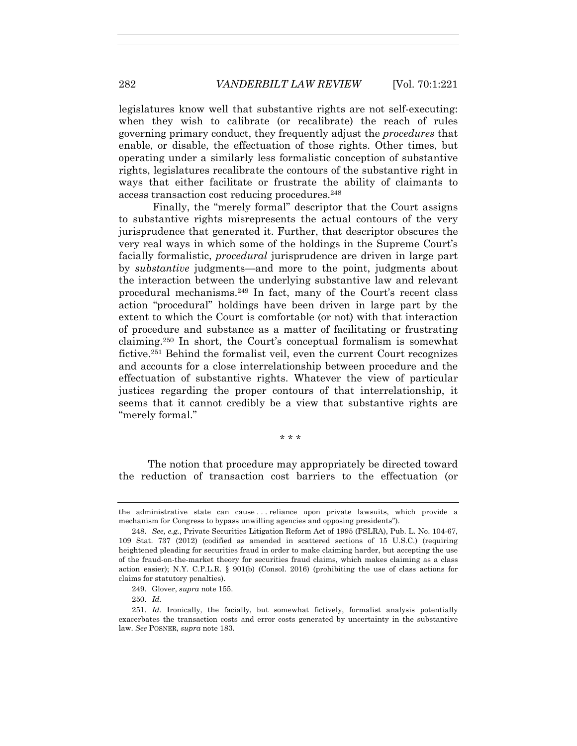legislatures know well that substantive rights are not self-executing: when they wish to calibrate (or recalibrate) the reach of rules governing primary conduct, they frequently adjust the *procedures* that enable, or disable, the effectuation of those rights. Other times, but operating under a similarly less formalistic conception of substantive rights, legislatures recalibrate the contours of the substantive right in ways that either facilitate or frustrate the ability of claimants to access transaction cost reducing procedures.248

Finally, the "merely formal" descriptor that the Court assigns to substantive rights misrepresents the actual contours of the very jurisprudence that generated it. Further, that descriptor obscures the very real ways in which some of the holdings in the Supreme Court's facially formalistic, *procedural* jurisprudence are driven in large part by *substantive* judgments—and more to the point, judgments about the interaction between the underlying substantive law and relevant procedural mechanisms.249 In fact, many of the Court's recent class action "procedural" holdings have been driven in large part by the extent to which the Court is comfortable (or not) with that interaction of procedure and substance as a matter of facilitating or frustrating claiming.250 In short, the Court's conceptual formalism is somewhat fictive.251 Behind the formalist veil, even the current Court recognizes and accounts for a close interrelationship between procedure and the effectuation of substantive rights. Whatever the view of particular justices regarding the proper contours of that interrelationship, it seems that it cannot credibly be a view that substantive rights are "merely formal."

\* \* \*

 The notion that procedure may appropriately be directed toward the reduction of transaction cost barriers to the effectuation (or

the administrative state can cause . . . reliance upon private lawsuits, which provide a mechanism for Congress to bypass unwilling agencies and opposing presidents").

 <sup>248.</sup> *See, e.g.*, Private Securities Litigation Reform Act of 1995 (PSLRA), Pub. L. No. 104-67, 109 Stat. 737 (2012) (codified as amended in scattered sections of 15 U.S.C.) (requiring heightened pleading for securities fraud in order to make claiming harder, but accepting the use of the fraud-on-the-market theory for securities fraud claims, which makes claiming as a class action easier); N.Y. C.P.L.R.  $\S$  901(b) (Consol. 2016) (prohibiting the use of class actions for claims for statutory penalties).

 <sup>249.</sup> Glover, *supra* note 155.

 <sup>250.</sup> *Id.*

 <sup>251.</sup> *Id.* Ironically, the facially, but somewhat fictively, formalist analysis potentially exacerbates the transaction costs and error costs generated by uncertainty in the substantive law. *See* POSNER, *supra* note 183.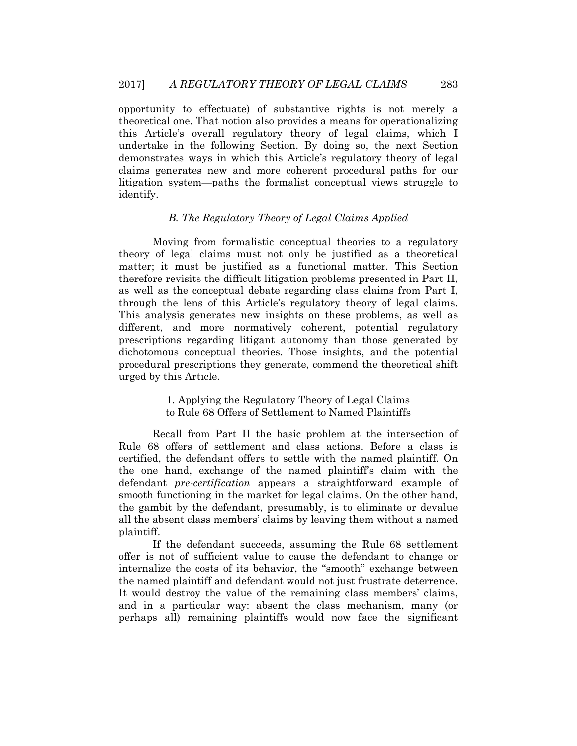opportunity to effectuate) of substantive rights is not merely a theoretical one. That notion also provides a means for operationalizing this Article's overall regulatory theory of legal claims, which I undertake in the following Section. By doing so, the next Section demonstrates ways in which this Article's regulatory theory of legal claims generates new and more coherent procedural paths for our litigation system—paths the formalist conceptual views struggle to identify.

### *B. The Regulatory Theory of Legal Claims Applied*

Moving from formalistic conceptual theories to a regulatory theory of legal claims must not only be justified as a theoretical matter; it must be justified as a functional matter. This Section therefore revisits the difficult litigation problems presented in Part II, as well as the conceptual debate regarding class claims from Part I, through the lens of this Article's regulatory theory of legal claims. This analysis generates new insights on these problems, as well as different, and more normatively coherent, potential regulatory prescriptions regarding litigant autonomy than those generated by dichotomous conceptual theories. Those insights, and the potential procedural prescriptions they generate, commend the theoretical shift urged by this Article.

# 1. Applying the Regulatory Theory of Legal Claims to Rule 68 Offers of Settlement to Named Plaintiffs

Recall from Part II the basic problem at the intersection of Rule 68 offers of settlement and class actions. Before a class is certified, the defendant offers to settle with the named plaintiff. On the one hand, exchange of the named plaintiff's claim with the defendant *pre-certification* appears a straightforward example of smooth functioning in the market for legal claims. On the other hand, the gambit by the defendant, presumably, is to eliminate or devalue all the absent class members' claims by leaving them without a named plaintiff.

If the defendant succeeds, assuming the Rule 68 settlement offer is not of sufficient value to cause the defendant to change or internalize the costs of its behavior, the "smooth" exchange between the named plaintiff and defendant would not just frustrate deterrence. It would destroy the value of the remaining class members' claims, and in a particular way: absent the class mechanism, many (or perhaps all) remaining plaintiffs would now face the significant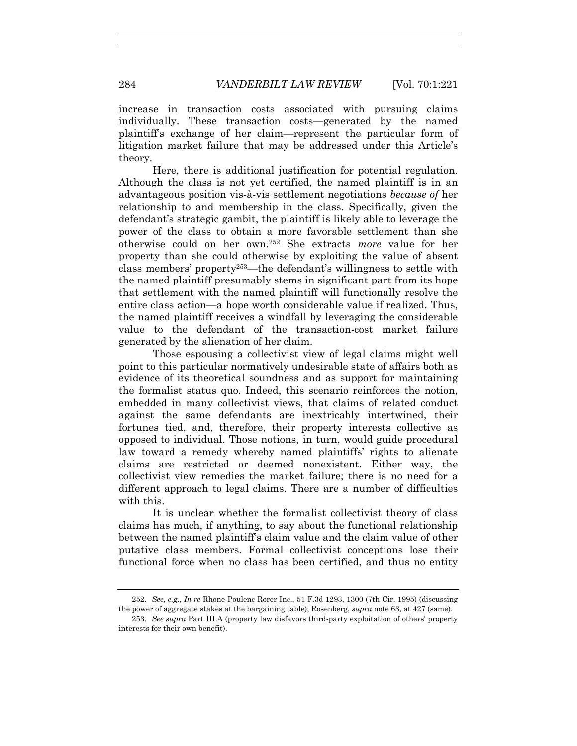increase in transaction costs associated with pursuing claims individually. These transaction costs—generated by the named plaintiff's exchange of her claim—represent the particular form of litigation market failure that may be addressed under this Article's theory.

Here, there is additional justification for potential regulation. Although the class is not yet certified, the named plaintiff is in an advantageous position vis-à-vis settlement negotiations *because of* her relationship to and membership in the class. Specifically, given the defendant's strategic gambit, the plaintiff is likely able to leverage the power of the class to obtain a more favorable settlement than she otherwise could on her own.252 She extracts *more* value for her property than she could otherwise by exploiting the value of absent class members' property253—the defendant's willingness to settle with the named plaintiff presumably stems in significant part from its hope that settlement with the named plaintiff will functionally resolve the entire class action—a hope worth considerable value if realized. Thus, the named plaintiff receives a windfall by leveraging the considerable value to the defendant of the transaction-cost market failure generated by the alienation of her claim.

Those espousing a collectivist view of legal claims might well point to this particular normatively undesirable state of affairs both as evidence of its theoretical soundness and as support for maintaining the formalist status quo. Indeed, this scenario reinforces the notion, embedded in many collectivist views, that claims of related conduct against the same defendants are inextricably intertwined, their fortunes tied, and, therefore, their property interests collective as opposed to individual. Those notions, in turn, would guide procedural law toward a remedy whereby named plaintiffs' rights to alienate claims are restricted or deemed nonexistent. Either way, the collectivist view remedies the market failure; there is no need for a different approach to legal claims. There are a number of difficulties with this.

It is unclear whether the formalist collectivist theory of class claims has much, if anything, to say about the functional relationship between the named plaintiff's claim value and the claim value of other putative class members. Formal collectivist conceptions lose their functional force when no class has been certified, and thus no entity

 <sup>252.</sup> *See, e.g.*, *In re* Rhone-Poulenc Rorer Inc., 51 F.3d 1293, 1300 (7th Cir. 1995) (discussing the power of aggregate stakes at the bargaining table); Rosenberg, *supra* note 63, at 427 (same).

 <sup>253.</sup> *See supra* Part III.A (property law disfavors third-party exploitation of others' property interests for their own benefit).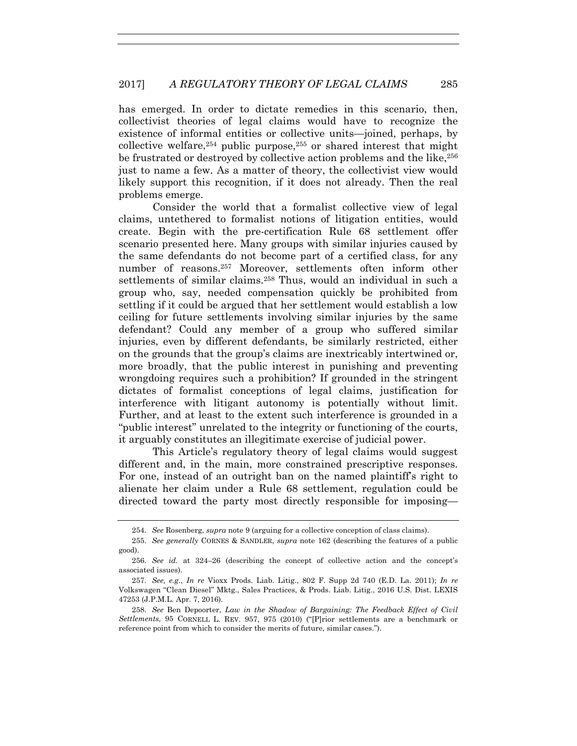has emerged. In order to dictate remedies in this scenario, then, collectivist theories of legal claims would have to recognize the existence of informal entities or collective units—joined, perhaps, by collective welfare,  $254$  public purpose,  $255$  or shared interest that might be frustrated or destroyed by collective action problems and the like,<sup>256</sup> just to name a few. As a matter of theory, the collectivist view would likely support this recognition, if it does not already. Then the real problems emerge.

Consider the world that a formalist collective view of legal claims, untethered to formalist notions of litigation entities, would create. Begin with the pre-certification Rule 68 settlement offer scenario presented here. Many groups with similar injuries caused by the same defendants do not become part of a certified class, for any number of reasons.257 Moreover, settlements often inform other settlements of similar claims.<sup>258</sup> Thus, would an individual in such a group who, say, needed compensation quickly be prohibited from settling if it could be argued that her settlement would establish a low ceiling for future settlements involving similar injuries by the same defendant? Could any member of a group who suffered similar injuries, even by different defendants, be similarly restricted, either on the grounds that the group's claims are inextricably intertwined or, more broadly, that the public interest in punishing and preventing wrongdoing requires such a prohibition? If grounded in the stringent dictates of formalist conceptions of legal claims, justification for interference with litigant autonomy is potentially without limit. Further, and at least to the extent such interference is grounded in a "public interest" unrelated to the integrity or functioning of the courts, it arguably constitutes an illegitimate exercise of judicial power.

This Article's regulatory theory of legal claims would suggest different and, in the main, more constrained prescriptive responses. For one, instead of an outright ban on the named plaintiff's right to alienate her claim under a Rule 68 settlement, regulation could be directed toward the party most directly responsible for imposing—

 <sup>254.</sup> *See* Rosenberg, *supra* note 9 (arguing for a collective conception of class claims).

 <sup>255.</sup> *See generally* CORNES & SANDLER, *supra* note 162 (describing the features of a public good).

 <sup>256.</sup> *See id.* at 324–26 (describing the concept of collective action and the concept's associated issues).

 <sup>257.</sup> *See, e.g.*, *In re* Vioxx Prods. Liab. Litig., 802 F. Supp 2d 740 (E.D. La. 2011); *In re* Volkswagen "Clean Diesel" Mktg., Sales Practices, & Prods. Liab. Litig., 2016 U.S. Dist. LEXIS 47253 (J.P.M.L. Apr. 7, 2016).

 <sup>258.</sup> *See* Ben Depoorter, *Law in the Shadow of Bargaining: The Feedback Effect of Civil Settlements*, 95 CORNELL L. REV. 957, 975 (2010) ("[P]rior settlements are a benchmark or reference point from which to consider the merits of future, similar cases.").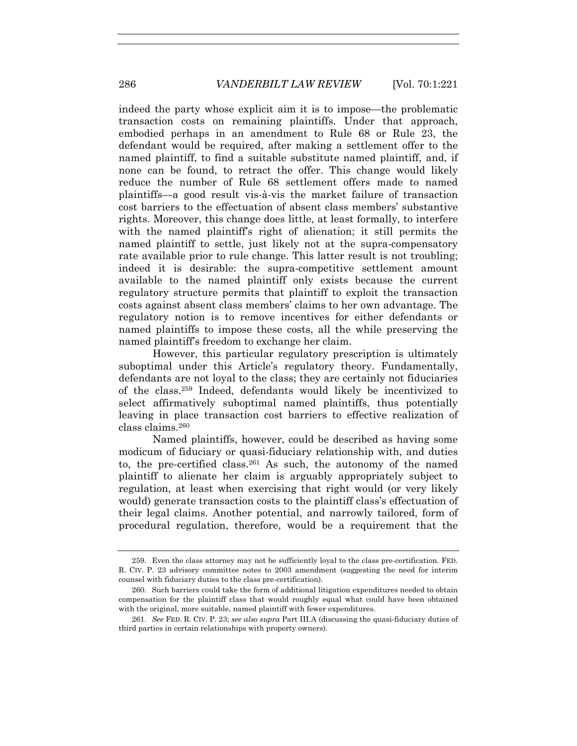indeed the party whose explicit aim it is to impose—the problematic transaction costs on remaining plaintiffs. Under that approach, embodied perhaps in an amendment to Rule 68 or Rule 23, the defendant would be required, after making a settlement offer to the named plaintiff, to find a suitable substitute named plaintiff, and, if none can be found, to retract the offer. This change would likely reduce the number of Rule 68 settlement offers made to named plaintiffs—a good result vis-à-vis the market failure of transaction cost barriers to the effectuation of absent class members' substantive rights. Moreover, this change does little, at least formally, to interfere with the named plaintiff's right of alienation; it still permits the named plaintiff to settle, just likely not at the supra-compensatory rate available prior to rule change. This latter result is not troubling; indeed it is desirable: the supra-competitive settlement amount available to the named plaintiff only exists because the current regulatory structure permits that plaintiff to exploit the transaction costs against absent class members' claims to her own advantage. The regulatory notion is to remove incentives for either defendants or named plaintiffs to impose these costs, all the while preserving the named plaintiff's freedom to exchange her claim.

However, this particular regulatory prescription is ultimately suboptimal under this Article's regulatory theory. Fundamentally, defendants are not loyal to the class; they are certainly not fiduciaries of the class.259 Indeed, defendants would likely be incentivized to select affirmatively suboptimal named plaintiffs, thus potentially leaving in place transaction cost barriers to effective realization of class claims.260

Named plaintiffs, however, could be described as having some modicum of fiduciary or quasi-fiduciary relationship with, and duties to, the pre-certified class.261 As such, the autonomy of the named plaintiff to alienate her claim is arguably appropriately subject to regulation, at least when exercising that right would (or very likely would) generate transaction costs to the plaintiff class's effectuation of their legal claims. Another potential, and narrowly tailored, form of procedural regulation, therefore, would be a requirement that the

 <sup>259.</sup> Even the class attorney may not be sufficiently loyal to the class pre-certification. FED. R. CIV. P. 23 advisory committee notes to 2003 amendment (suggesting the need for interim counsel with fiduciary duties to the class pre-certification).

 <sup>260.</sup> Such barriers could take the form of additional litigation expenditures needed to obtain compensation for the plaintiff class that would roughly equal what could have been obtained with the original, more suitable, named plaintiff with fewer expenditures.

 <sup>261.</sup> *See* FED. R. CIV. P. 23; *see also supra* Part III.A (discussing the quasi-fiduciary duties of third parties in certain relationships with property owners).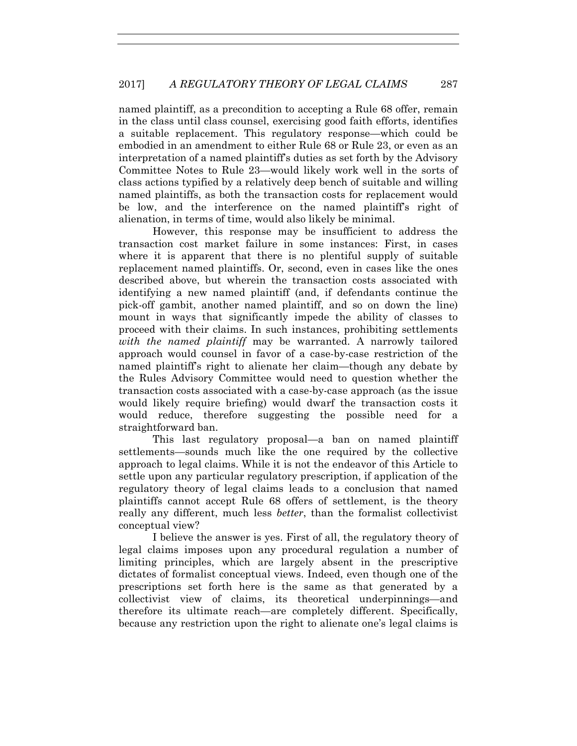named plaintiff, as a precondition to accepting a Rule 68 offer, remain in the class until class counsel, exercising good faith efforts, identifies a suitable replacement. This regulatory response—which could be embodied in an amendment to either Rule 68 or Rule 23, or even as an interpretation of a named plaintiff's duties as set forth by the Advisory Committee Notes to Rule 23—would likely work well in the sorts of class actions typified by a relatively deep bench of suitable and willing named plaintiffs, as both the transaction costs for replacement would be low, and the interference on the named plaintiff's right of alienation, in terms of time, would also likely be minimal.

However, this response may be insufficient to address the transaction cost market failure in some instances: First, in cases where it is apparent that there is no plentiful supply of suitable replacement named plaintiffs. Or, second, even in cases like the ones described above, but wherein the transaction costs associated with identifying a new named plaintiff (and, if defendants continue the pick-off gambit, another named plaintiff, and so on down the line) mount in ways that significantly impede the ability of classes to proceed with their claims. In such instances, prohibiting settlements *with the named plaintiff* may be warranted. A narrowly tailored approach would counsel in favor of a case-by-case restriction of the named plaintiff's right to alienate her claim—though any debate by the Rules Advisory Committee would need to question whether the transaction costs associated with a case-by-case approach (as the issue would likely require briefing) would dwarf the transaction costs it would reduce, therefore suggesting the possible need for a straightforward ban.

This last regulatory proposal—a ban on named plaintiff settlements—sounds much like the one required by the collective approach to legal claims. While it is not the endeavor of this Article to settle upon any particular regulatory prescription, if application of the regulatory theory of legal claims leads to a conclusion that named plaintiffs cannot accept Rule 68 offers of settlement, is the theory really any different, much less *better*, than the formalist collectivist conceptual view?

I believe the answer is yes. First of all, the regulatory theory of legal claims imposes upon any procedural regulation a number of limiting principles, which are largely absent in the prescriptive dictates of formalist conceptual views. Indeed, even though one of the prescriptions set forth here is the same as that generated by a collectivist view of claims, its theoretical underpinnings—and therefore its ultimate reach—are completely different. Specifically, because any restriction upon the right to alienate one's legal claims is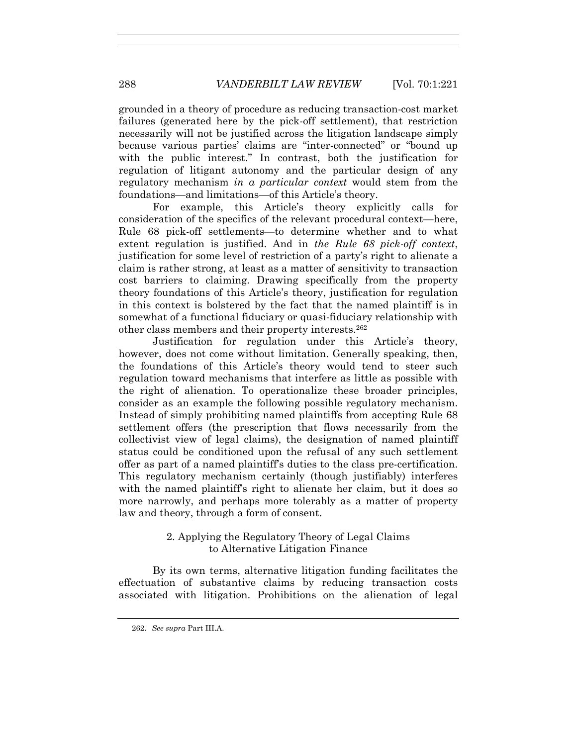grounded in a theory of procedure as reducing transaction-cost market failures (generated here by the pick-off settlement), that restriction necessarily will not be justified across the litigation landscape simply because various parties' claims are "inter-connected" or "bound up with the public interest." In contrast, both the justification for regulation of litigant autonomy and the particular design of any regulatory mechanism *in a particular context* would stem from the foundations—and limitations—of this Article's theory.

For example, this Article's theory explicitly calls for consideration of the specifics of the relevant procedural context—here, Rule 68 pick-off settlements—to determine whether and to what extent regulation is justified. And in *the Rule 68 pick-off context*, justification for some level of restriction of a party's right to alienate a claim is rather strong, at least as a matter of sensitivity to transaction cost barriers to claiming. Drawing specifically from the property theory foundations of this Article's theory, justification for regulation in this context is bolstered by the fact that the named plaintiff is in somewhat of a functional fiduciary or quasi-fiduciary relationship with other class members and their property interests.262

Justification for regulation under this Article's theory, however, does not come without limitation. Generally speaking, then, the foundations of this Article's theory would tend to steer such regulation toward mechanisms that interfere as little as possible with the right of alienation. To operationalize these broader principles, consider as an example the following possible regulatory mechanism. Instead of simply prohibiting named plaintiffs from accepting Rule 68 settlement offers (the prescription that flows necessarily from the collectivist view of legal claims), the designation of named plaintiff status could be conditioned upon the refusal of any such settlement offer as part of a named plaintiff's duties to the class pre-certification. This regulatory mechanism certainly (though justifiably) interferes with the named plaintiff's right to alienate her claim, but it does so more narrowly, and perhaps more tolerably as a matter of property law and theory, through a form of consent.

# 2. Applying the Regulatory Theory of Legal Claims to Alternative Litigation Finance

By its own terms, alternative litigation funding facilitates the effectuation of substantive claims by reducing transaction costs associated with litigation. Prohibitions on the alienation of legal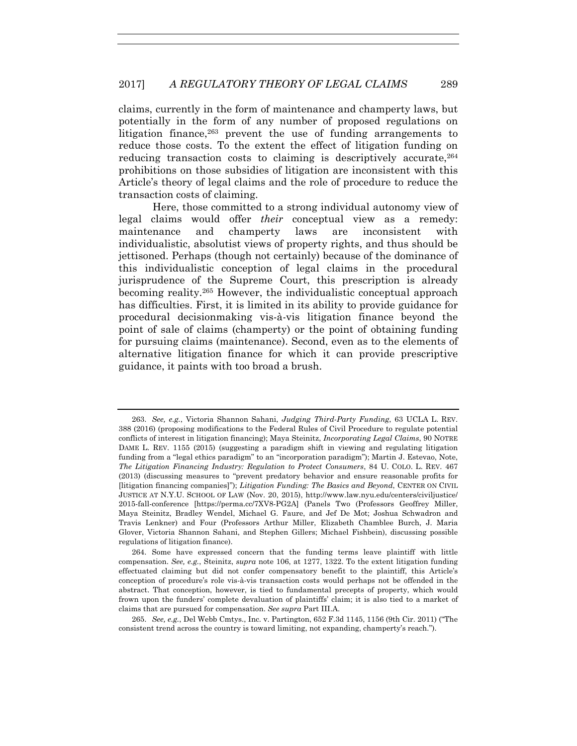claims, currently in the form of maintenance and champerty laws, but potentially in the form of any number of proposed regulations on litigation finance,263 prevent the use of funding arrangements to reduce those costs. To the extent the effect of litigation funding on reducing transaction costs to claiming is descriptively accurate,  $264$ prohibitions on those subsidies of litigation are inconsistent with this Article's theory of legal claims and the role of procedure to reduce the transaction costs of claiming.

Here, those committed to a strong individual autonomy view of legal claims would offer *their* conceptual view as a remedy: maintenance and champerty laws are inconsistent with individualistic, absolutist views of property rights, and thus should be jettisoned. Perhaps (though not certainly) because of the dominance of this individualistic conception of legal claims in the procedural jurisprudence of the Supreme Court, this prescription is already becoming reality.265 However, the individualistic conceptual approach has difficulties. First, it is limited in its ability to provide guidance for procedural decisionmaking vis-à-vis litigation finance beyond the point of sale of claims (champerty) or the point of obtaining funding for pursuing claims (maintenance). Second, even as to the elements of alternative litigation finance for which it can provide prescriptive guidance, it paints with too broad a brush.

 <sup>263.</sup> *See, e.g.*, Victoria Shannon Sahani, *Judging Third-Party Funding*, 63 UCLA L. REV. 388 (2016) (proposing modifications to the Federal Rules of Civil Procedure to regulate potential conflicts of interest in litigation financing); Maya Steinitz, *Incorporating Legal Claims*, 90 NOTRE DAME L. REV. 1155 (2015) (suggesting a paradigm shift in viewing and regulating litigation funding from a "legal ethics paradigm" to an "incorporation paradigm"); Martin J. Estevao, Note, *The Litigation Financing Industry: Regulation to Protect Consumers*, 84 U. COLO. L. REV. 467 (2013) (discussing measures to "prevent predatory behavior and ensure reasonable profits for [litigation financing companies]"); *Litigation Funding: The Basics and Beyond*, CENTER ON CIVIL JUSTICE AT N.Y.U. SCHOOL OF LAW (Nov. 20, 2015), http://www.law.nyu.edu/centers/civiljustice/ 2015-fall-conference [https://perma.cc/7XV8-PG2A] (Panels Two (Professors Geoffrey Miller, Maya Steinitz, Bradley Wendel, Michael G. Faure, and Jef De Mot; Joshua Schwadron and Travis Lenkner) and Four (Professors Arthur Miller, Elizabeth Chamblee Burch, J. Maria Glover, Victoria Shannon Sahani, and Stephen Gillers; Michael Fishbein), discussing possible regulations of litigation finance).

 <sup>264.</sup> Some have expressed concern that the funding terms leave plaintiff with little compensation. *See, e.g.*, Steinitz, *supra* note 106, at 1277, 1322. To the extent litigation funding effectuated claiming but did not confer compensatory benefit to the plaintiff, this Article's conception of procedure's role vis-à-vis transaction costs would perhaps not be offended in the abstract. That conception, however, is tied to fundamental precepts of property, which would frown upon the funders' complete devaluation of plaintiffs' claim; it is also tied to a market of claims that are pursued for compensation. *See supra* Part III.A.

 <sup>265.</sup> *See, e.g.*, Del Webb Cmtys., Inc. v. Partington, 652 F.3d 1145, 1156 (9th Cir. 2011) ("The consistent trend across the country is toward limiting, not expanding, champerty's reach.").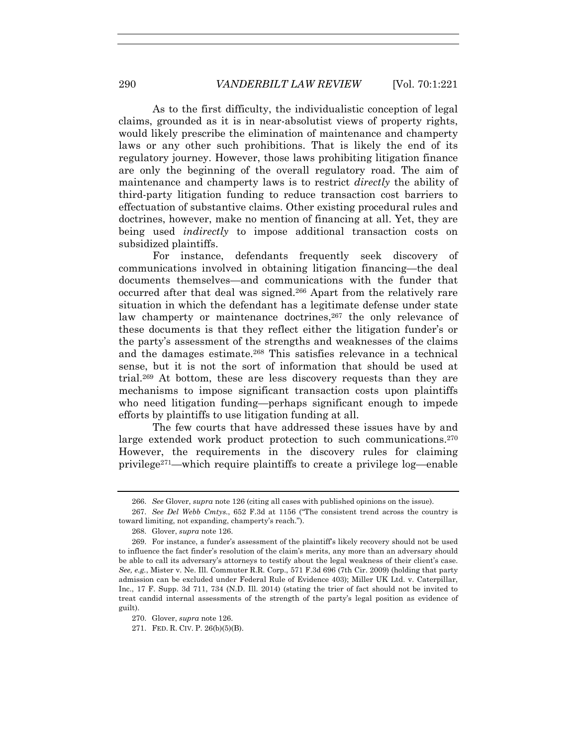As to the first difficulty, the individualistic conception of legal claims, grounded as it is in near-absolutist views of property rights, would likely prescribe the elimination of maintenance and champerty laws or any other such prohibitions. That is likely the end of its regulatory journey. However, those laws prohibiting litigation finance are only the beginning of the overall regulatory road. The aim of maintenance and champerty laws is to restrict *directly* the ability of third-party litigation funding to reduce transaction cost barriers to effectuation of substantive claims. Other existing procedural rules and doctrines, however, make no mention of financing at all. Yet, they are being used *indirectly* to impose additional transaction costs on subsidized plaintiffs.

For instance, defendants frequently seek discovery of communications involved in obtaining litigation financing—the deal documents themselves—and communications with the funder that occurred after that deal was signed.266 Apart from the relatively rare situation in which the defendant has a legitimate defense under state law champerty or maintenance doctrines,<sup>267</sup> the only relevance of these documents is that they reflect either the litigation funder's or the party's assessment of the strengths and weaknesses of the claims and the damages estimate.268 This satisfies relevance in a technical sense, but it is not the sort of information that should be used at trial.269 At bottom, these are less discovery requests than they are mechanisms to impose significant transaction costs upon plaintiffs who need litigation funding—perhaps significant enough to impede efforts by plaintiffs to use litigation funding at all.

The few courts that have addressed these issues have by and large extended work product protection to such communications.<sup>270</sup> However, the requirements in the discovery rules for claiming privilege271—which require plaintiffs to create a privilege log—enable

 <sup>266.</sup> *See* Glover, *supra* note 126 (citing all cases with published opinions on the issue).

 <sup>267.</sup> *See Del Webb Cmtys.*, 652 F.3d at 1156 ("The consistent trend across the country is toward limiting, not expanding, champerty's reach.").

 <sup>268.</sup> Glover, *supra* note 126.

 <sup>269.</sup> For instance, a funder's assessment of the plaintiff's likely recovery should not be used to influence the fact finder's resolution of the claim's merits, any more than an adversary should be able to call its adversary's attorneys to testify about the legal weakness of their client's case. *See, e.g.*, Mister v. Ne. Ill. Commuter R.R. Corp., 571 F.3d 696 (7th Cir. 2009) (holding that party admission can be excluded under Federal Rule of Evidence 403); Miller UK Ltd. v. Caterpillar, Inc., 17 F. Supp. 3d 711, 734 (N.D. Ill. 2014) (stating the trier of fact should not be invited to treat candid internal assessments of the strength of the party's legal position as evidence of guilt).

 <sup>270.</sup> Glover, *supra* note 126.

 <sup>271.</sup> FED. R. CIV. P. 26(b)(5)(B).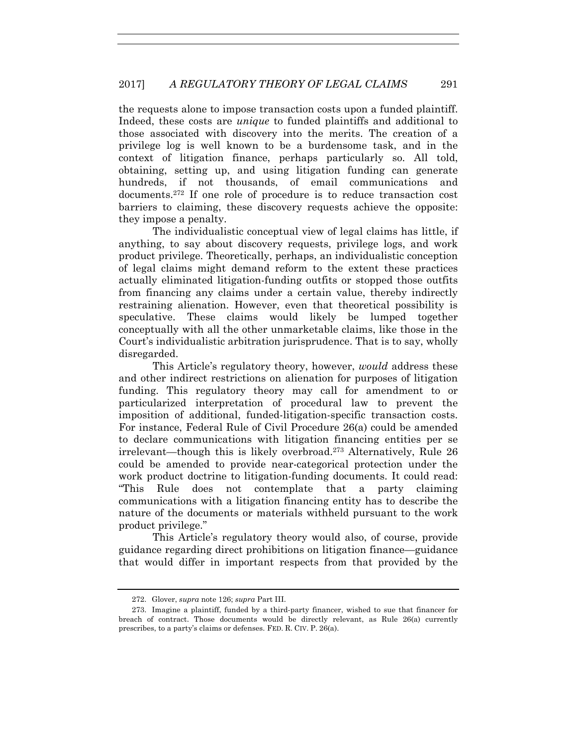the requests alone to impose transaction costs upon a funded plaintiff. Indeed, these costs are *unique* to funded plaintiffs and additional to those associated with discovery into the merits. The creation of a privilege log is well known to be a burdensome task, and in the context of litigation finance, perhaps particularly so. All told, obtaining, setting up, and using litigation funding can generate hundreds, if not thousands, of email communications and documents.272 If one role of procedure is to reduce transaction cost barriers to claiming, these discovery requests achieve the opposite: they impose a penalty.

The individualistic conceptual view of legal claims has little, if anything, to say about discovery requests, privilege logs, and work product privilege. Theoretically, perhaps, an individualistic conception of legal claims might demand reform to the extent these practices actually eliminated litigation-funding outfits or stopped those outfits from financing any claims under a certain value, thereby indirectly restraining alienation. However, even that theoretical possibility is speculative. These claims would likely be lumped together conceptually with all the other unmarketable claims, like those in the Court's individualistic arbitration jurisprudence. That is to say, wholly disregarded.

This Article's regulatory theory, however, *would* address these and other indirect restrictions on alienation for purposes of litigation funding. This regulatory theory may call for amendment to or particularized interpretation of procedural law to prevent the imposition of additional, funded-litigation-specific transaction costs. For instance, Federal Rule of Civil Procedure 26(a) could be amended to declare communications with litigation financing entities per se irrelevant—though this is likely overbroad.273 Alternatively, Rule 26 could be amended to provide near-categorical protection under the work product doctrine to litigation-funding documents. It could read: "This Rule does not contemplate that a party claiming communications with a litigation financing entity has to describe the nature of the documents or materials withheld pursuant to the work product privilege."

This Article's regulatory theory would also, of course, provide guidance regarding direct prohibitions on litigation finance—guidance that would differ in important respects from that provided by the

 <sup>272.</sup> Glover, *supra* note 126; *supra* Part III.

 <sup>273.</sup> Imagine a plaintiff, funded by a third-party financer, wished to sue that financer for breach of contract. Those documents would be directly relevant, as Rule 26(a) currently prescribes, to a party's claims or defenses. FED. R. CIV. P. 26(a).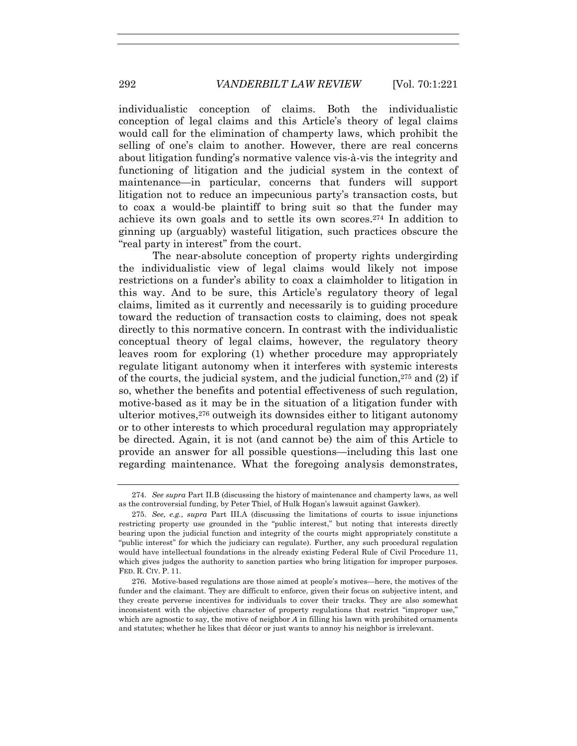individualistic conception of claims. Both the individualistic conception of legal claims and this Article's theory of legal claims would call for the elimination of champerty laws, which prohibit the selling of one's claim to another. However, there are real concerns about litigation funding's normative valence vis-à-vis the integrity and functioning of litigation and the judicial system in the context of maintenance—in particular, concerns that funders will support litigation not to reduce an impecunious party's transaction costs, but to coax a would-be plaintiff to bring suit so that the funder may achieve its own goals and to settle its own scores.274 In addition to ginning up (arguably) wasteful litigation, such practices obscure the "real party in interest" from the court.

The near-absolute conception of property rights undergirding the individualistic view of legal claims would likely not impose restrictions on a funder's ability to coax a claimholder to litigation in this way. And to be sure, this Article's regulatory theory of legal claims, limited as it currently and necessarily is to guiding procedure toward the reduction of transaction costs to claiming, does not speak directly to this normative concern. In contrast with the individualistic conceptual theory of legal claims, however, the regulatory theory leaves room for exploring (1) whether procedure may appropriately regulate litigant autonomy when it interferes with systemic interests of the courts, the judicial system, and the judicial function,  $275$  and (2) if so, whether the benefits and potential effectiveness of such regulation, motive-based as it may be in the situation of a litigation funder with ulterior motives,276 outweigh its downsides either to litigant autonomy or to other interests to which procedural regulation may appropriately be directed. Again, it is not (and cannot be) the aim of this Article to provide an answer for all possible questions—including this last one regarding maintenance. What the foregoing analysis demonstrates,

 276. Motive-based regulations are those aimed at people's motives—here, the motives of the funder and the claimant. They are difficult to enforce, given their focus on subjective intent, and they create perverse incentives for individuals to cover their tracks. They are also somewhat inconsistent with the objective character of property regulations that restrict "improper use," which are agnostic to say, the motive of neighbor *A* in filling his lawn with prohibited ornaments and statutes; whether he likes that décor or just wants to annoy his neighbor is irrelevant.

 <sup>274.</sup> *See supra* Part II.B (discussing the history of maintenance and champerty laws, as well as the controversial funding, by Peter Thiel, of Hulk Hogan's lawsuit against Gawker).

 <sup>275.</sup> *See, e.g.*, *supra* Part III.A (discussing the limitations of courts to issue injunctions restricting property use grounded in the "public interest," but noting that interests directly bearing upon the judicial function and integrity of the courts might appropriately constitute a "public interest" for which the judiciary can regulate). Further, any such procedural regulation would have intellectual foundations in the already existing Federal Rule of Civil Procedure 11, which gives judges the authority to sanction parties who bring litigation for improper purposes. FED. R. CIV. P. 11.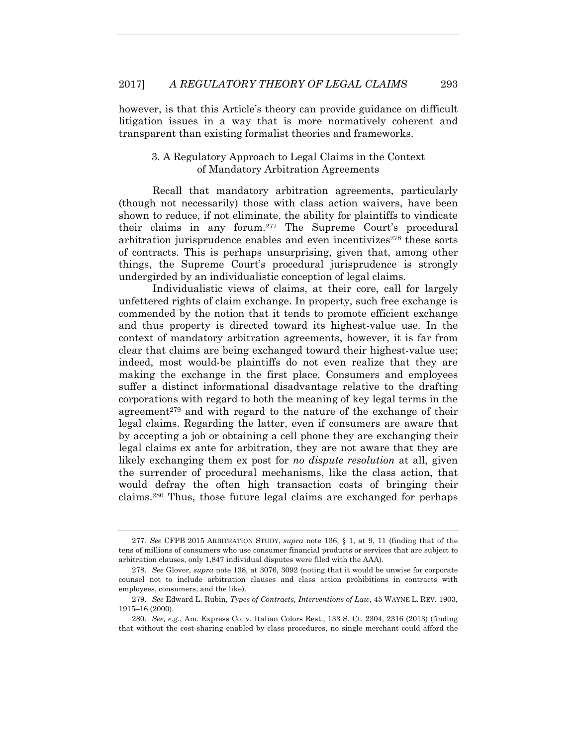however, is that this Article's theory can provide guidance on difficult litigation issues in a way that is more normatively coherent and transparent than existing formalist theories and frameworks.

## 3. A Regulatory Approach to Legal Claims in the Context of Mandatory Arbitration Agreements

Recall that mandatory arbitration agreements, particularly (though not necessarily) those with class action waivers, have been shown to reduce, if not eliminate, the ability for plaintiffs to vindicate their claims in any forum.277 The Supreme Court's procedural arbitration jurisprudence enables and even incentivizes $278$  these sorts of contracts. This is perhaps unsurprising, given that, among other things, the Supreme Court's procedural jurisprudence is strongly undergirded by an individualistic conception of legal claims.

Individualistic views of claims, at their core, call for largely unfettered rights of claim exchange. In property, such free exchange is commended by the notion that it tends to promote efficient exchange and thus property is directed toward its highest-value use. In the context of mandatory arbitration agreements, however, it is far from clear that claims are being exchanged toward their highest-value use; indeed, most would-be plaintiffs do not even realize that they are making the exchange in the first place. Consumers and employees suffer a distinct informational disadvantage relative to the drafting corporations with regard to both the meaning of key legal terms in the agreement<sup>279</sup> and with regard to the nature of the exchange of their legal claims. Regarding the latter, even if consumers are aware that by accepting a job or obtaining a cell phone they are exchanging their legal claims ex ante for arbitration, they are not aware that they are likely exchanging them ex post for *no dispute resolution* at all, given the surrender of procedural mechanisms, like the class action, that would defray the often high transaction costs of bringing their claims.280 Thus, those future legal claims are exchanged for perhaps

<sup>277</sup>*. See* CFPB 2015 ARBITRATION STUDY, *supra* note 136, § 1, at 9, 11 (finding that of the tens of millions of consumers who use consumer financial products or services that are subject to arbitration clauses, only 1,847 individual disputes were filed with the AAA).

 <sup>278.</sup> *See* Glover, *supra* note 138, at 3076, 3092 (noting that it would be unwise for corporate counsel not to include arbitration clauses and class action prohibitions in contracts with employees, consumers, and the like).

 <sup>279.</sup> *See* Edward L. Rubin, *Types of Contracts, Interventions of Law*, 45 WAYNE L. REV. 1903, 1915–16 (2000).

 <sup>280.</sup> *See, e.g.*, Am. Express Co. v. Italian Colors Rest., 133 S. Ct. 2304, 2316 (2013) (finding that without the cost-sharing enabled by class procedures, no single merchant could afford the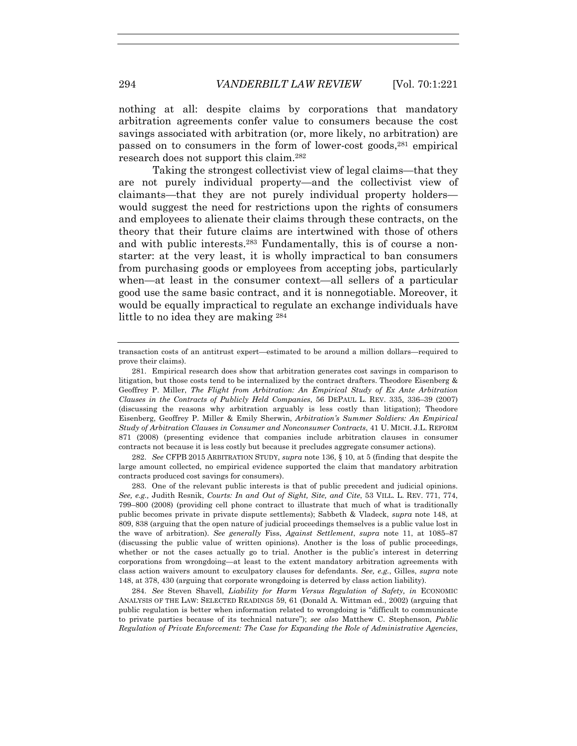nothing at all: despite claims by corporations that mandatory arbitration agreements confer value to consumers because the cost savings associated with arbitration (or, more likely, no arbitration) are passed on to consumers in the form of lower-cost goods,281 empirical research does not support this claim.282

Taking the strongest collectivist view of legal claims—that they are not purely individual property—and the collectivist view of claimants—that they are not purely individual property holders would suggest the need for restrictions upon the rights of consumers and employees to alienate their claims through these contracts, on the theory that their future claims are intertwined with those of others and with public interests.283 Fundamentally, this is of course a nonstarter: at the very least, it is wholly impractical to ban consumers from purchasing goods or employees from accepting jobs, particularly when—at least in the consumer context—all sellers of a particular good use the same basic contract, and it is nonnegotiable. Moreover, it would be equally impractical to regulate an exchange individuals have little to no idea they are making 284

 282. *See* CFPB 2015 ARBITRATION STUDY, *supra* note 136, § 10, at 5 (finding that despite the large amount collected, no empirical evidence supported the claim that mandatory arbitration contracts produced cost savings for consumers).

 283. One of the relevant public interests is that of public precedent and judicial opinions. *See, e.g.,* Judith Resnik, *Courts: In and Out of Sight, Site, and Cite*, 53 VILL. L. REV. 771, 774, 799–800 (2008) (providing cell phone contract to illustrate that much of what is traditionally public becomes private in private dispute settlements); Sabbeth & Vladeck, *supra* note 148, at 809, 838 (arguing that the open nature of judicial proceedings themselves is a public value lost in the wave of arbitration). *See generally* Fiss, *Against Settlement*, *supra* note 11, at 1085–87 (discussing the public value of written opinions). Another is the loss of public proceedings, whether or not the cases actually go to trial. Another is the public's interest in deterring corporations from wrongdoing—at least to the extent mandatory arbitration agreements with class action waivers amount to exculpatory clauses for defendants. *See, e.g.*, Gilles, *supra* note 148, at 378, 430 (arguing that corporate wrongdoing is deterred by class action liability).

 284. *See* Steven Shavell, *Liability for Harm Versus Regulation of Safety, in* ECONOMIC ANALYSIS OF THE LAW: SELECTED READINGS 59, 61 (Donald A. Wittman ed., 2002) (arguing that public regulation is better when information related to wrongdoing is "difficult to communicate to private parties because of its technical nature"); *see also* Matthew C. Stephenson, *Public Regulation of Private Enforcement: The Case for Expanding the Role of Administrative Agencies*,

transaction costs of an antitrust expert—estimated to be around a million dollars—required to prove their claims).

 <sup>281.</sup> Empirical research does show that arbitration generates cost savings in comparison to litigation, but those costs tend to be internalized by the contract drafters. Theodore Eisenberg & Geoffrey P. Miller, *The Flight from Arbitration: An Empirical Study of Ex Ante Arbitration Clauses in the Contracts of Publicly Held Companies*, 56 DEPAUL L. REV. 335, 336–39 (2007) (discussing the reasons why arbitration arguably is less costly than litigation); Theodore Eisenberg, Geoffrey P. Miller & Emily Sherwin, *Arbitration's Summer Soldiers: An Empirical Study of Arbitration Clauses in Consumer and Nonconsumer Contracts*, 41 U. MICH. J.L. REFORM 871 (2008) (presenting evidence that companies include arbitration clauses in consumer contracts not because it is less costly but because it precludes aggregate consumer actions).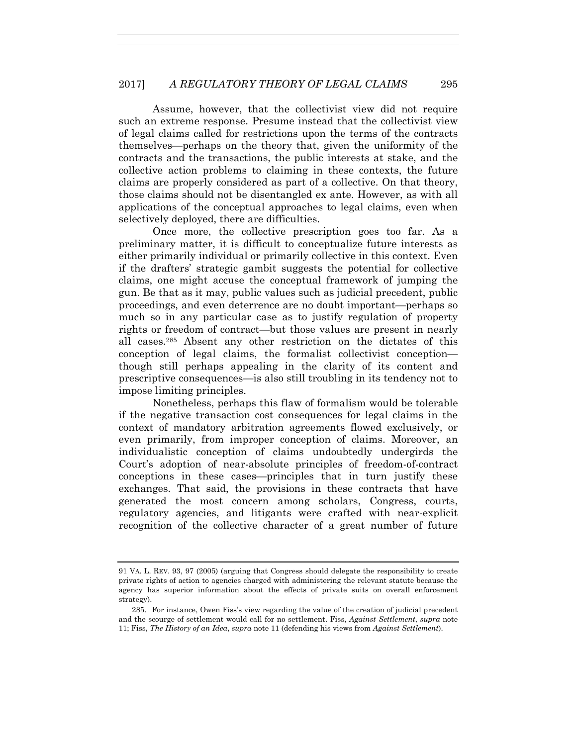Assume, however, that the collectivist view did not require such an extreme response. Presume instead that the collectivist view of legal claims called for restrictions upon the terms of the contracts themselves—perhaps on the theory that, given the uniformity of the contracts and the transactions, the public interests at stake, and the collective action problems to claiming in these contexts, the future claims are properly considered as part of a collective. On that theory, those claims should not be disentangled ex ante. However, as with all applications of the conceptual approaches to legal claims, even when selectively deployed, there are difficulties.

Once more, the collective prescription goes too far. As a preliminary matter, it is difficult to conceptualize future interests as either primarily individual or primarily collective in this context. Even if the drafters' strategic gambit suggests the potential for collective claims, one might accuse the conceptual framework of jumping the gun. Be that as it may, public values such as judicial precedent, public proceedings, and even deterrence are no doubt important—perhaps so much so in any particular case as to justify regulation of property rights or freedom of contract—but those values are present in nearly all cases.285 Absent any other restriction on the dictates of this conception of legal claims, the formalist collectivist conception though still perhaps appealing in the clarity of its content and prescriptive consequences—is also still troubling in its tendency not to impose limiting principles.

Nonetheless, perhaps this flaw of formalism would be tolerable if the negative transaction cost consequences for legal claims in the context of mandatory arbitration agreements flowed exclusively, or even primarily, from improper conception of claims. Moreover, an individualistic conception of claims undoubtedly undergirds the Court's adoption of near-absolute principles of freedom-of-contract conceptions in these cases—principles that in turn justify these exchanges. That said, the provisions in these contracts that have generated the most concern among scholars, Congress, courts, regulatory agencies, and litigants were crafted with near-explicit recognition of the collective character of a great number of future

<sup>91</sup> VA. L. REV. 93, 97 (2005) (arguing that Congress should delegate the responsibility to create private rights of action to agencies charged with administering the relevant statute because the agency has superior information about the effects of private suits on overall enforcement strategy).

 <sup>285.</sup> For instance, Owen Fiss's view regarding the value of the creation of judicial precedent and the scourge of settlement would call for no settlement. Fiss, *Against Settlement*, *supra* note 11; Fiss, *The History of an Idea*, *supra* note 11 (defending his views from *Against Settlement*).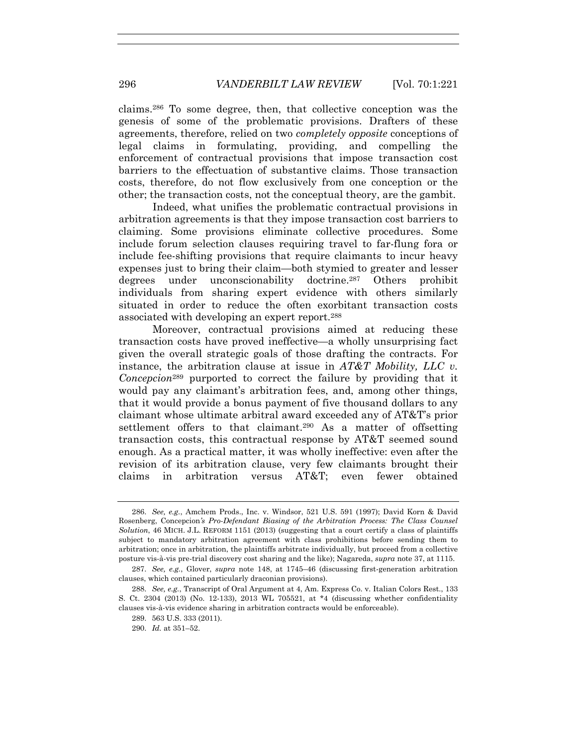claims.286 To some degree, then, that collective conception was the genesis of some of the problematic provisions. Drafters of these agreements, therefore, relied on two *completely opposite* conceptions of legal claims in formulating, providing, and compelling the enforcement of contractual provisions that impose transaction cost barriers to the effectuation of substantive claims. Those transaction costs, therefore, do not flow exclusively from one conception or the other; the transaction costs, not the conceptual theory, are the gambit.

Indeed, what unifies the problematic contractual provisions in arbitration agreements is that they impose transaction cost barriers to claiming. Some provisions eliminate collective procedures. Some include forum selection clauses requiring travel to far-flung fora or include fee-shifting provisions that require claimants to incur heavy expenses just to bring their claim—both stymied to greater and lesser degrees under unconscionability doctrine.287 Others prohibit individuals from sharing expert evidence with others similarly situated in order to reduce the often exorbitant transaction costs associated with developing an expert report.288

Moreover, contractual provisions aimed at reducing these transaction costs have proved ineffective—a wholly unsurprising fact given the overall strategic goals of those drafting the contracts. For instance, the arbitration clause at issue in *AT&T Mobility, LLC v. Concepcion*289 purported to correct the failure by providing that it would pay any claimant's arbitration fees, and, among other things, that it would provide a bonus payment of five thousand dollars to any claimant whose ultimate arbitral award exceeded any of AT&T's prior settlement offers to that claimant.290 As a matter of offsetting transaction costs, this contractual response by AT&T seemed sound enough. As a practical matter, it was wholly ineffective: even after the revision of its arbitration clause, very few claimants brought their claims in arbitration versus AT&T; even fewer obtained

 <sup>286.</sup> *See, e.g.*, Amchem Prods., Inc. v. Windsor, 521 U.S. 591 (1997); David Korn & David Rosenberg, Concepcion*'s Pro-Defendant Biasing of the Arbitration Process: The Class Counsel Solution*, 46 MICH. J.L. REFORM 1151 (2013) (suggesting that a court certify a class of plaintiffs subject to mandatory arbitration agreement with class prohibitions before sending them to arbitration; once in arbitration, the plaintiffs arbitrate individually, but proceed from a collective posture vis-à-vis pre-trial discovery cost sharing and the like); Nagareda, *supra* note 37, at 1115.

 <sup>287.</sup> *See, e.g.*, Glover, *supra* note 148, at 1745–46 (discussing first-generation arbitration clauses, which contained particularly draconian provisions).

 <sup>288.</sup> *See, e.g.*, Transcript of Oral Argument at 4, Am. Express Co. v. Italian Colors Rest., 133 S. Ct. 2304 (2013) (No. 12-133), 2013 WL 705521, at \*4 (discussing whether confidentiality clauses vis-à-vis evidence sharing in arbitration contracts would be enforceable).

 <sup>289. 563</sup> U.S. 333 (2011).

 <sup>290.</sup> *Id.* at 351–52.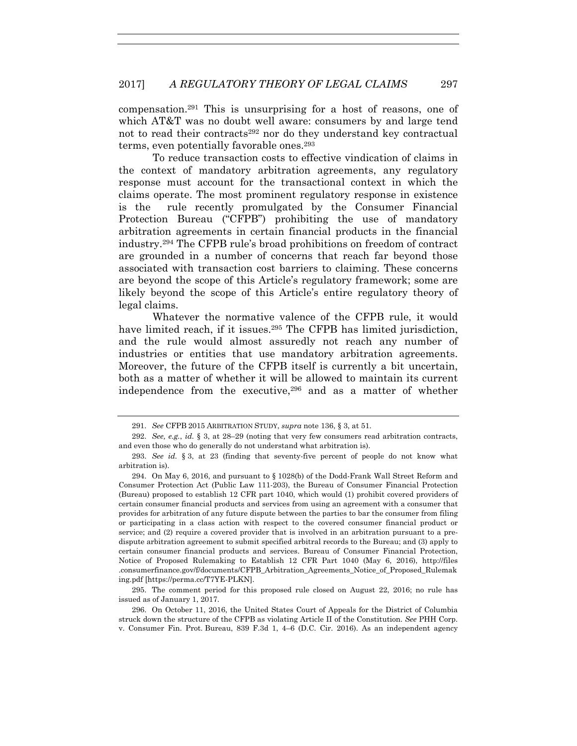compensation.291 This is unsurprising for a host of reasons, one of which AT&T was no doubt well aware: consumers by and large tend not to read their contracts<sup>292</sup> nor do they understand key contractual terms, even potentially favorable ones.293

To reduce transaction costs to effective vindication of claims in the context of mandatory arbitration agreements, any regulatory response must account for the transactional context in which the claims operate. The most prominent regulatory response in existence is the rule recently promulgated by the Consumer Financial Protection Bureau ("CFPB") prohibiting the use of mandatory arbitration agreements in certain financial products in the financial industry.294 The CFPB rule's broad prohibitions on freedom of contract are grounded in a number of concerns that reach far beyond those associated with transaction cost barriers to claiming. These concerns are beyond the scope of this Article's regulatory framework; some are likely beyond the scope of this Article's entire regulatory theory of legal claims.

Whatever the normative valence of the CFPB rule, it would have limited reach, if it issues.<sup>295</sup> The CFPB has limited jurisdiction, and the rule would almost assuredly not reach any number of industries or entities that use mandatory arbitration agreements. Moreover, the future of the CFPB itself is currently a bit uncertain, both as a matter of whether it will be allowed to maintain its current independence from the executive,296 and as a matter of whether

 295. The comment period for this proposed rule closed on August 22, 2016; no rule has issued as of January 1, 2017.

 296. On October 11, 2016, the United States Court of Appeals for the District of Columbia struck down the structure of the CFPB as violating Article II of the Constitution. *See* PHH Corp. v. Consumer Fin. Prot. Bureau, 839 F.3d 1, 4–6 (D.C. Cir. 2016). As an independent agency

 <sup>291.</sup> *See* CFPB 2015 ARBITRATION STUDY, *supra* note 136, § 3, at 51.

 <sup>292.</sup> *See, e.g.*, *id.* § 3, at 28–29 (noting that very few consumers read arbitration contracts, and even those who do generally do not understand what arbitration is).

 <sup>293.</sup> *See id.* § 3, at 23 (finding that seventy-five percent of people do not know what arbitration is).

 <sup>294.</sup> On May 6, 2016, and pursuant to § 1028(b) of the Dodd-Frank Wall Street Reform and Consumer Protection Act (Public Law 111-203), the Bureau of Consumer Financial Protection (Bureau) proposed to establish 12 CFR part 1040, which would (1) prohibit covered providers of certain consumer financial products and services from using an agreement with a consumer that provides for arbitration of any future dispute between the parties to bar the consumer from filing or participating in a class action with respect to the covered consumer financial product or service; and (2) require a covered provider that is involved in an arbitration pursuant to a predispute arbitration agreement to submit specified arbitral records to the Bureau; and (3) apply to certain consumer financial products and services. Bureau of Consumer Financial Protection, Notice of Proposed Rulemaking to Establish 12 CFR Part 1040 (May 6, 2016), http://files .consumerfinance.gov/f/documents/CFPB\_Arbitration\_Agreements\_Notice\_of\_Proposed\_Rulemak ing.pdf [https://perma.cc/T7YE-PLKN].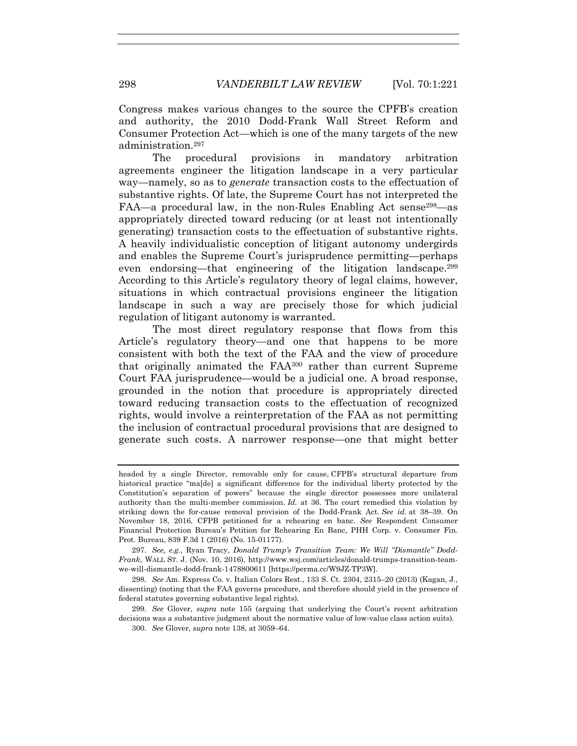Congress makes various changes to the source the CPFB's creation and authority, the 2010 Dodd-Frank Wall Street Reform and Consumer Protection Act—which is one of the many targets of the new administration.297

The procedural provisions in mandatory arbitration agreements engineer the litigation landscape in a very particular way—namely, so as to *generate* transaction costs to the effectuation of substantive rights. Of late, the Supreme Court has not interpreted the FAA—a procedural law, in the non-Rules Enabling Act sense  $298$ —as appropriately directed toward reducing (or at least not intentionally generating) transaction costs to the effectuation of substantive rights. A heavily individualistic conception of litigant autonomy undergirds and enables the Supreme Court's jurisprudence permitting—perhaps even endorsing—that engineering of the litigation landscape.299 According to this Article's regulatory theory of legal claims, however, situations in which contractual provisions engineer the litigation landscape in such a way are precisely those for which judicial regulation of litigant autonomy is warranted.

The most direct regulatory response that flows from this Article's regulatory theory—and one that happens to be more consistent with both the text of the FAA and the view of procedure that originally animated the FAA300 rather than current Supreme Court FAA jurisprudence—would be a judicial one. A broad response, grounded in the notion that procedure is appropriately directed toward reducing transaction costs to the effectuation of recognized rights, would involve a reinterpretation of the FAA as not permitting the inclusion of contractual procedural provisions that are designed to generate such costs. A narrower response—one that might better

 297. *See, e.g.*, Ryan Tracy, *Donald Trump's Transition Team: We Will "Dismantle" Dodd-Frank*, WALL ST. J. (Nov. 10, 2016), http://www.wsj.com/articles/donald-trumps-transition-teamwe-will-dismantle-dodd-frank-1478800611 [https://perma.cc/W9JZ-TP3W].

 298. *See* Am. Express Co. v. Italian Colors Rest., 133 S. Ct. 2304, 2315–20 (2013) (Kagan, J., dissenting) (noting that the FAA governs procedure, and therefore should yield in the presence of federal statutes governing substantive legal rights).

 299. *See* Glover, *supra* note 155 (arguing that underlying the Court's recent arbitration decisions was a substantive judgment about the normative value of low-value class action suits).

300. *See* Glover, *supra* note 138, at 3059–64.

headed by a single Director, removable only for cause, CFPB's structural departure from historical practice "ma[de] a significant difference for the individual liberty protected by the Constitution's separation of powers" because the single director possesses more unilateral authority than the multi-member commission. *Id.* at 36. The court remedied this violation by striking down the for-cause removal provision of the Dodd-Frank Act. *See id.* at 38–39. On November 18, 2016, CFPB petitioned for a rehearing en banc. *See* Respondent Consumer Financial Protection Bureau's Petition for Rehearing En Banc, PHH Corp. v. Consumer Fin. Prot. Bureau, 839 F.3d 1 (2016) (No. 15-01177).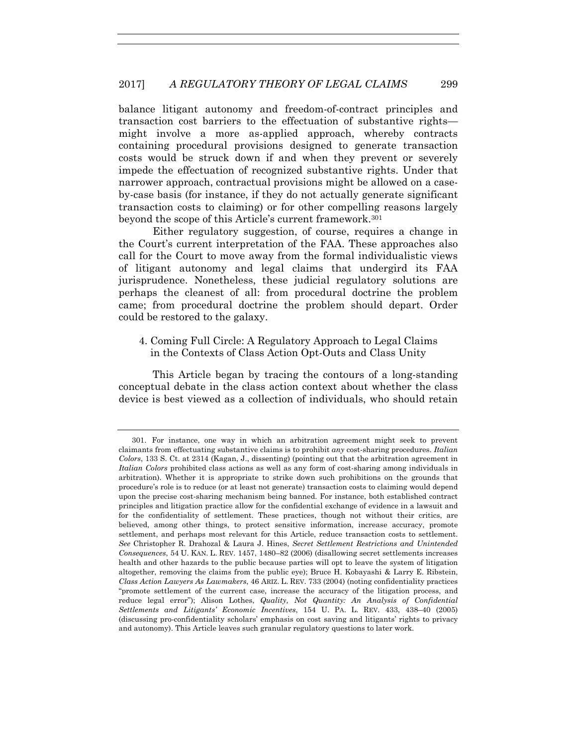balance litigant autonomy and freedom-of-contract principles and transaction cost barriers to the effectuation of substantive rights might involve a more as-applied approach, whereby contracts containing procedural provisions designed to generate transaction costs would be struck down if and when they prevent or severely impede the effectuation of recognized substantive rights. Under that narrower approach, contractual provisions might be allowed on a caseby-case basis (for instance, if they do not actually generate significant transaction costs to claiming) or for other compelling reasons largely beyond the scope of this Article's current framework.<sup>301</sup>

Either regulatory suggestion, of course, requires a change in the Court's current interpretation of the FAA. These approaches also call for the Court to move away from the formal individualistic views of litigant autonomy and legal claims that undergird its FAA jurisprudence. Nonetheless, these judicial regulatory solutions are perhaps the cleanest of all: from procedural doctrine the problem came; from procedural doctrine the problem should depart. Order could be restored to the galaxy.

## 4. Coming Full Circle: A Regulatory Approach to Legal Claims in the Contexts of Class Action Opt-Outs and Class Unity

This Article began by tracing the contours of a long-standing conceptual debate in the class action context about whether the class device is best viewed as a collection of individuals, who should retain

 <sup>301.</sup> For instance, one way in which an arbitration agreement might seek to prevent claimants from effectuating substantive claims is to prohibit *any* cost-sharing procedures. *Italian Colors*, 133 S. Ct. at 2314 (Kagan, J., dissenting) (pointing out that the arbitration agreement in *Italian Colors* prohibited class actions as well as any form of cost-sharing among individuals in arbitration). Whether it is appropriate to strike down such prohibitions on the grounds that procedure's role is to reduce (or at least not generate) transaction costs to claiming would depend upon the precise cost-sharing mechanism being banned. For instance, both established contract principles and litigation practice allow for the confidential exchange of evidence in a lawsuit and for the confidentiality of settlement. These practices, though not without their critics, are believed, among other things, to protect sensitive information, increase accuracy, promote settlement, and perhaps most relevant for this Article, reduce transaction costs to settlement. *See* Christopher R. Drahozal & Laura J. Hines, *Secret Settlement Restrictions and Unintended Consequences*, 54 U. KAN. L. REV. 1457, 1480–82 (2006) (disallowing secret settlements increases health and other hazards to the public because parties will opt to leave the system of litigation altogether, removing the claims from the public eye); Bruce H. Kobayashi & Larry E. Ribstein, *Class Action Lawyers As Lawmakers*, 46 ARIZ. L. REV. 733 (2004) (noting confidentiality practices "promote settlement of the current case, increase the accuracy of the litigation process, and reduce legal error"); Alison Lothes, *Quality, Not Quantity: An Analysis of Confidential Settlements and Litigants' Economic Incentives*, 154 U. PA. L. REV. 433, 438–40 (2005) (discussing pro-confidentiality scholars' emphasis on cost saving and litigants' rights to privacy and autonomy). This Article leaves such granular regulatory questions to later work.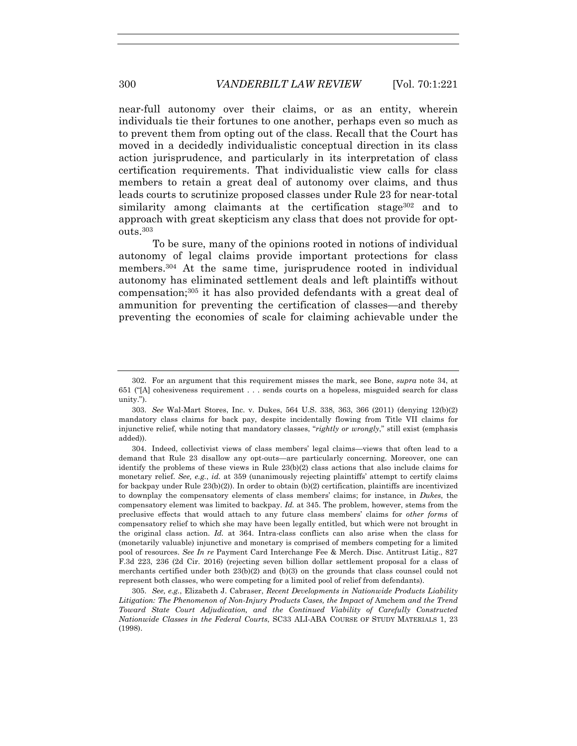near-full autonomy over their claims, or as an entity, wherein individuals tie their fortunes to one another, perhaps even so much as to prevent them from opting out of the class. Recall that the Court has moved in a decidedly individualistic conceptual direction in its class action jurisprudence, and particularly in its interpretation of class certification requirements. That individualistic view calls for class members to retain a great deal of autonomy over claims, and thus leads courts to scrutinize proposed classes under Rule 23 for near-total similarity among claimants at the certification stage  $302$  and to approach with great skepticism any class that does not provide for optouts.303

To be sure, many of the opinions rooted in notions of individual autonomy of legal claims provide important protections for class members.<sup>304</sup> At the same time, jurisprudence rooted in individual autonomy has eliminated settlement deals and left plaintiffs without compensation;305 it has also provided defendants with a great deal of ammunition for preventing the certification of classes—and thereby preventing the economies of scale for claiming achievable under the

 305. *See, e.g.*, Elizabeth J. Cabraser, *Recent Developments in Nationwide Products Liability*  Litigation: The Phenomenon of Non-Injury Products Cases, the Impact of Amchem and the Trend *Toward State Court Adjudication, and the Continued Viability of Carefully Constructed Nationwide Classes in the Federal Courts*, SC33 ALI-ABA COURSE OF STUDY MATERIALS 1, 23 (1998).

 <sup>302.</sup> For an argument that this requirement misses the mark, see Bone, *supra* note 34, at 651 ("[A] cohesiveness requirement . . . sends courts on a hopeless, misguided search for class unity.").

 <sup>303.</sup> *See* Wal-Mart Stores, Inc. v. Dukes, 564 U.S. 338, 363, 366 (2011) (denying 12(b)(2) mandatory class claims for back pay, despite incidentally flowing from Title VII claims for injunctive relief, while noting that mandatory classes, "*rightly or wrongly*," still exist (emphasis added)).

 <sup>304.</sup> Indeed, collectivist views of class members' legal claims—views that often lead to a demand that Rule 23 disallow any opt-outs—are particularly concerning. Moreover, one can identify the problems of these views in Rule 23(b)(2) class actions that also include claims for monetary relief. *See, e.g.*, *id.* at 359 (unanimously rejecting plaintiffs' attempt to certify claims for backpay under Rule 23(b)(2)). In order to obtain (b)(2) certification, plaintiffs are incentivized to downplay the compensatory elements of class members' claims; for instance, in *Dukes*, the compensatory element was limited to backpay. *Id.* at 345. The problem, however, stems from the preclusive effects that would attach to any future class members' claims for *other forms* of compensatory relief to which she may have been legally entitled, but which were not brought in the original class action. *Id.* at 364. Intra-class conflicts can also arise when the class for (monetarily valuable) injunctive and monetary is comprised of members competing for a limited pool of resources. *See In re* Payment Card Interchange Fee & Merch. Disc. Antitrust Litig., 827 F.3d 223, 236 (2d Cir. 2016) (rejecting seven billion dollar settlement proposal for a class of merchants certified under both 23(b)(2) and (b)(3) on the grounds that class counsel could not represent both classes, who were competing for a limited pool of relief from defendants).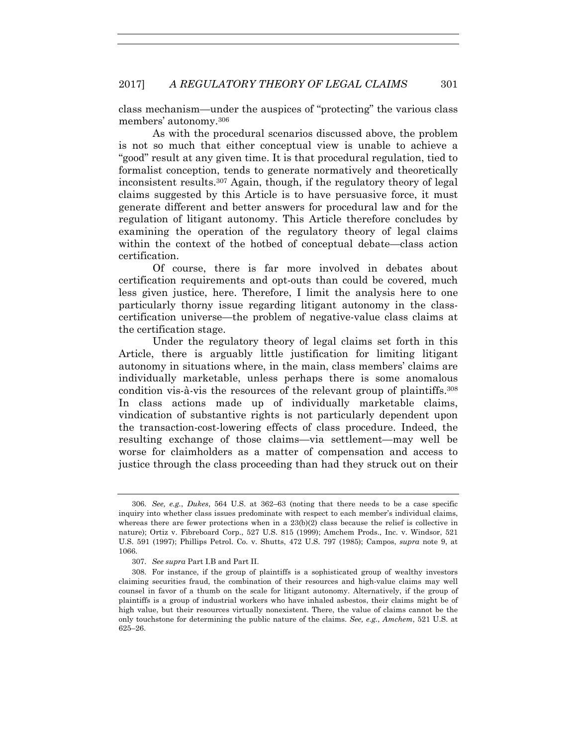class mechanism—under the auspices of "protecting" the various class members' autonomy.306

As with the procedural scenarios discussed above, the problem is not so much that either conceptual view is unable to achieve a "good" result at any given time. It is that procedural regulation, tied to formalist conception, tends to generate normatively and theoretically inconsistent results.307 Again, though, if the regulatory theory of legal claims suggested by this Article is to have persuasive force, it must generate different and better answers for procedural law and for the regulation of litigant autonomy. This Article therefore concludes by examining the operation of the regulatory theory of legal claims within the context of the hotbed of conceptual debate—class action certification.

Of course, there is far more involved in debates about certification requirements and opt-outs than could be covered, much less given justice, here. Therefore, I limit the analysis here to one particularly thorny issue regarding litigant autonomy in the classcertification universe—the problem of negative-value class claims at the certification stage.

Under the regulatory theory of legal claims set forth in this Article, there is arguably little justification for limiting litigant autonomy in situations where, in the main, class members' claims are individually marketable, unless perhaps there is some anomalous condition vis-à-vis the resources of the relevant group of plaintiffs.308 In class actions made up of individually marketable claims, vindication of substantive rights is not particularly dependent upon the transaction-cost-lowering effects of class procedure. Indeed, the resulting exchange of those claims—via settlement—may well be worse for claimholders as a matter of compensation and access to justice through the class proceeding than had they struck out on their

 <sup>306.</sup> *See, e.g.*, *Dukes*, 564 U.S. at 362–63 (noting that there needs to be a case specific inquiry into whether class issues predominate with respect to each member's individual claims, whereas there are fewer protections when in a  $23(b)(2)$  class because the relief is collective in nature); Ortiz v. Fibreboard Corp., 527 U.S. 815 (1999); Amchem Prods., Inc. v. Windsor, 521 U.S. 591 (1997); Phillips Petrol. Co. v. Shutts, 472 U.S. 797 (1985); Campos, *supra* note 9, at 1066.

 <sup>307.</sup> *See supra* Part I.B and Part II.

 <sup>308.</sup> For instance, if the group of plaintiffs is a sophisticated group of wealthy investors claiming securities fraud, the combination of their resources and high-value claims may well counsel in favor of a thumb on the scale for litigant autonomy. Alternatively, if the group of plaintiffs is a group of industrial workers who have inhaled asbestos, their claims might be of high value, but their resources virtually nonexistent. There, the value of claims cannot be the only touchstone for determining the public nature of the claims. *See, e.g.*, *Amchem*, 521 U.S. at 625–26.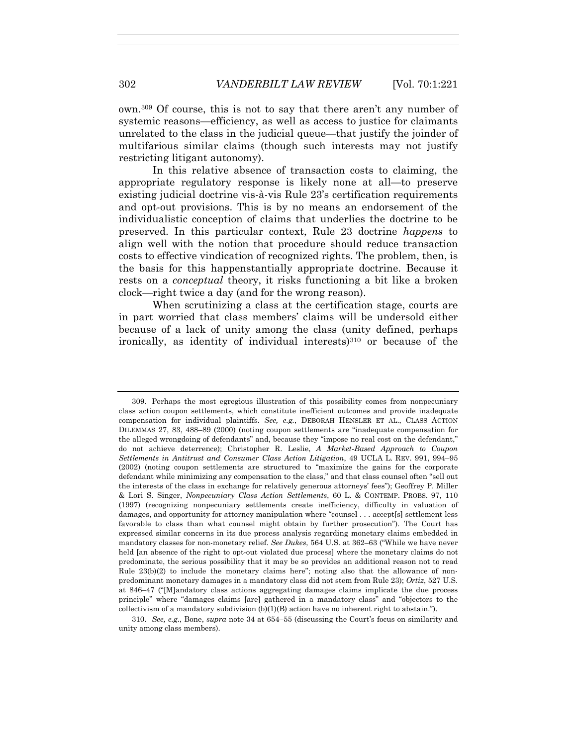own.309 Of course, this is not to say that there aren't any number of systemic reasons—efficiency, as well as access to justice for claimants unrelated to the class in the judicial queue—that justify the joinder of multifarious similar claims (though such interests may not justify restricting litigant autonomy).

In this relative absence of transaction costs to claiming, the appropriate regulatory response is likely none at all—to preserve existing judicial doctrine vis-à-vis Rule 23's certification requirements and opt-out provisions. This is by no means an endorsement of the individualistic conception of claims that underlies the doctrine to be preserved. In this particular context, Rule 23 doctrine *happens* to align well with the notion that procedure should reduce transaction costs to effective vindication of recognized rights. The problem, then, is the basis for this happenstantially appropriate doctrine. Because it rests on a *conceptual* theory, it risks functioning a bit like a broken clock—right twice a day (and for the wrong reason).

When scrutinizing a class at the certification stage, courts are in part worried that class members' claims will be undersold either because of a lack of unity among the class (unity defined, perhaps ironically, as identity of individual interests) $310$  or because of the

 <sup>309.</sup> Perhaps the most egregious illustration of this possibility comes from nonpecuniary class action coupon settlements, which constitute inefficient outcomes and provide inadequate compensation for individual plaintiffs. *See, e.g.*, DEBORAH HENSLER ET AL., CLASS ACTION DILEMMAS 27, 83, 488–89 (2000) (noting coupon settlements are "inadequate compensation for the alleged wrongdoing of defendants" and, because they "impose no real cost on the defendant," do not achieve deterrence); Christopher R. Leslie, *A Market-Based Approach to Coupon Settlements in Antitrust and Consumer Class Action Litigation*, 49 UCLA L. REV. 991, 994–95 (2002) (noting coupon settlements are structured to "maximize the gains for the corporate defendant while minimizing any compensation to the class," and that class counsel often "sell out the interests of the class in exchange for relatively generous attorneys' fees"); Geoffrey P. Miller & Lori S. Singer, *Nonpecuniary Class Action Settlements*, 60 L. & CONTEMP. PROBS. 97, 110 (1997) (recognizing nonpecuniary settlements create inefficiency, difficulty in valuation of damages, and opportunity for attorney manipulation where "counsel . . . accept[s] settlement less favorable to class than what counsel might obtain by further prosecution"). The Court has expressed similar concerns in its due process analysis regarding monetary claims embedded in mandatory classes for non-monetary relief. *See Dukes*, 564 U.S. at 362–63 ("While we have never held [an absence of the right to opt-out violated due process] where the monetary claims do not predominate, the serious possibility that it may be so provides an additional reason not to read Rule 23(b)(2) to include the monetary claims here"; noting also that the allowance of nonpredominant monetary damages in a mandatory class did not stem from Rule 23); *Ortiz*, 527 U.S. at 846–47 ("[M]andatory class actions aggregating damages claims implicate the due process principle" where "damages claims [are] gathered in a mandatory class" and "objectors to the collectivism of a mandatory subdivision  $(b)(1)(B)$  action have no inherent right to abstain.").

 <sup>310.</sup> *See, e.g.*, Bone, *supra* note 34 at 654–55 (discussing the Court's focus on similarity and unity among class members).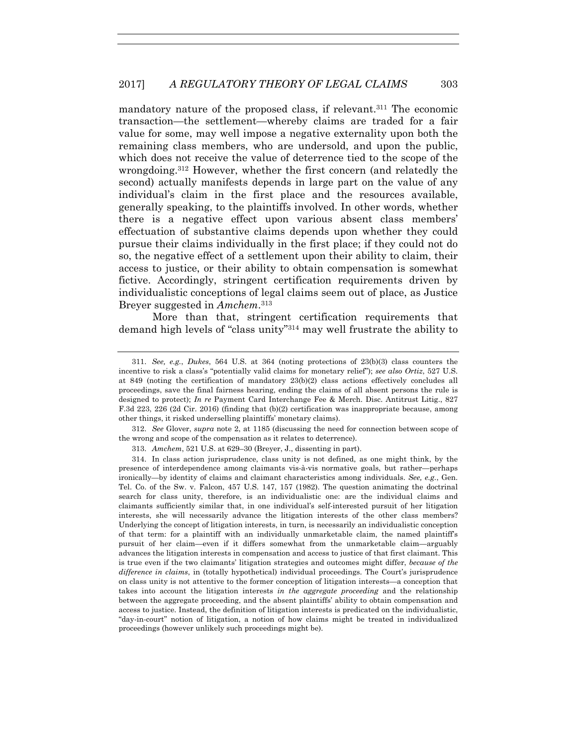mandatory nature of the proposed class, if relevant.311 The economic transaction—the settlement—whereby claims are traded for a fair value for some, may well impose a negative externality upon both the remaining class members, who are undersold, and upon the public, which does not receive the value of deterrence tied to the scope of the wrongdoing.312 However, whether the first concern (and relatedly the second) actually manifests depends in large part on the value of any individual's claim in the first place and the resources available, generally speaking, to the plaintiffs involved. In other words, whether there is a negative effect upon various absent class members' effectuation of substantive claims depends upon whether they could pursue their claims individually in the first place; if they could not do so, the negative effect of a settlement upon their ability to claim, their access to justice, or their ability to obtain compensation is somewhat fictive. Accordingly, stringent certification requirements driven by individualistic conceptions of legal claims seem out of place, as Justice Breyer suggested in *Amchem*.313

More than that, stringent certification requirements that demand high levels of "class unity"314 may well frustrate the ability to

 312. *See* Glover, *supra* note 2, at 1185 (discussing the need for connection between scope of the wrong and scope of the compensation as it relates to deterrence).

313. *Amchem*, 521 U.S. at 629–30 (Breyer, J., dissenting in part).

 314. In class action jurisprudence, class unity is not defined, as one might think, by the presence of interdependence among claimants vis-à-vis normative goals, but rather—perhaps ironically—by identity of claims and claimant characteristics among individuals. *See, e.g.*, Gen. Tel. Co. of the Sw. v. Falcon, 457 U.S. 147, 157 (1982). The question animating the doctrinal search for class unity, therefore, is an individualistic one: are the individual claims and claimants sufficiently similar that, in one individual's self-interested pursuit of her litigation interests, she will necessarily advance the litigation interests of the other class members? Underlying the concept of litigation interests, in turn, is necessarily an individualistic conception of that term: for a plaintiff with an individually unmarketable claim, the named plaintiff's pursuit of her claim—even if it differs somewhat from the unmarketable claim—arguably advances the litigation interests in compensation and access to justice of that first claimant. This is true even if the two claimants' litigation strategies and outcomes might differ, *because of the difference in claims*, in (totally hypothetical) individual proceedings. The Court's jurisprudence on class unity is not attentive to the former conception of litigation interests—a conception that takes into account the litigation interests *in the aggregate proceeding* and the relationship between the aggregate proceeding, and the absent plaintiffs' ability to obtain compensation and access to justice. Instead, the definition of litigation interests is predicated on the individualistic, "day-in-court" notion of litigation, a notion of how claims might be treated in individualized proceedings (however unlikely such proceedings might be).

 <sup>311.</sup> *See, e.g.*, *Dukes*, 564 U.S. at 364 (noting protections of 23(b)(3) class counters the incentive to risk a class's "potentially valid claims for monetary relief"); *see also Ortiz*, 527 U.S. at 849 (noting the certification of mandatory 23(b)(2) class actions effectively concludes all proceedings, save the final fairness hearing, ending the claims of all absent persons the rule is designed to protect); *In re* Payment Card Interchange Fee & Merch. Disc. Antitrust Litig., 827 F.3d 223, 226 (2d Cir. 2016) (finding that (b)(2) certification was inappropriate because, among other things, it risked underselling plaintiffs' monetary claims).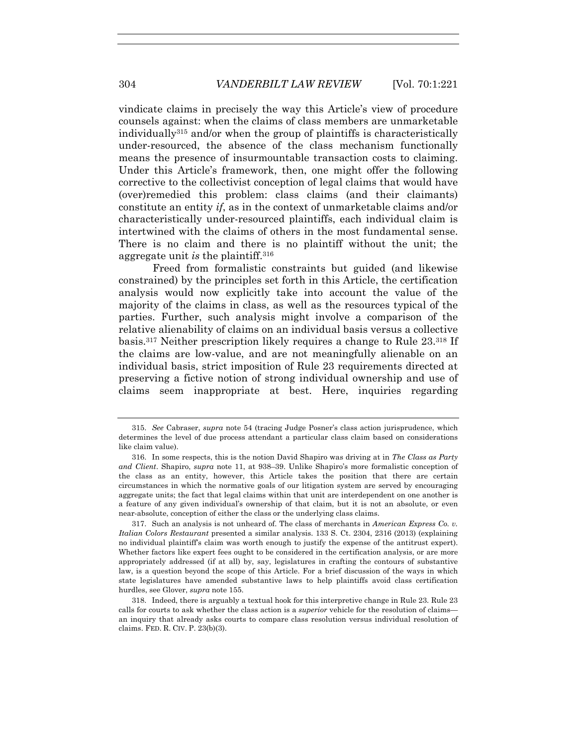vindicate claims in precisely the way this Article's view of procedure counsels against: when the claims of class members are unmarketable individually315 and/or when the group of plaintiffs is characteristically under-resourced, the absence of the class mechanism functionally means the presence of insurmountable transaction costs to claiming. Under this Article's framework, then, one might offer the following corrective to the collectivist conception of legal claims that would have (over)remedied this problem: class claims (and their claimants) constitute an entity *if*, as in the context of unmarketable claims and/or characteristically under-resourced plaintiffs, each individual claim is intertwined with the claims of others in the most fundamental sense. There is no claim and there is no plaintiff without the unit; the aggregate unit *is* the plaintiff.316

Freed from formalistic constraints but guided (and likewise constrained) by the principles set forth in this Article, the certification analysis would now explicitly take into account the value of the majority of the claims in class, as well as the resources typical of the parties. Further, such analysis might involve a comparison of the relative alienability of claims on an individual basis versus a collective basis.317 Neither prescription likely requires a change to Rule 23.318 If the claims are low-value, and are not meaningfully alienable on an individual basis, strict imposition of Rule 23 requirements directed at preserving a fictive notion of strong individual ownership and use of claims seem inappropriate at best. Here, inquiries regarding

 <sup>315.</sup> *See* Cabraser, *supra* note 54 (tracing Judge Posner's class action jurisprudence, which determines the level of due process attendant a particular class claim based on considerations like claim value).

 <sup>316.</sup> In some respects, this is the notion David Shapiro was driving at in *The Class as Party and Client*. Shapiro, *supra* note 11, at 938–39. Unlike Shapiro's more formalistic conception of the class as an entity, however, this Article takes the position that there are certain circumstances in which the normative goals of our litigation system are served by encouraging aggregate units; the fact that legal claims within that unit are interdependent on one another is a feature of any given individual's ownership of that claim, but it is not an absolute, or even near-absolute, conception of either the class or the underlying class claims.

 <sup>317.</sup> Such an analysis is not unheard of. The class of merchants in *American Express Co. v. Italian Colors Restaurant* presented a similar analysis. 133 S. Ct. 2304, 2316 (2013) (explaining no individual plaintiff's claim was worth enough to justify the expense of the antitrust expert). Whether factors like expert fees ought to be considered in the certification analysis, or are more appropriately addressed (if at all) by, say, legislatures in crafting the contours of substantive law, is a question beyond the scope of this Article. For a brief discussion of the ways in which state legislatures have amended substantive laws to help plaintiffs avoid class certification hurdles, see Glover, *supra* note 155.

 <sup>318.</sup> Indeed, there is arguably a textual hook for this interpretive change in Rule 23. Rule 23 calls for courts to ask whether the class action is a *superior* vehicle for the resolution of claims an inquiry that already asks courts to compare class resolution versus individual resolution of claims. FED. R. CIV. P. 23(b)(3).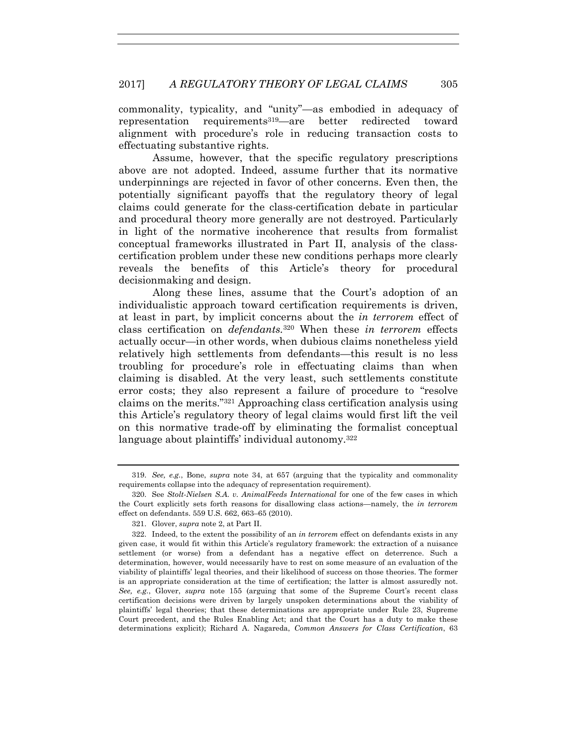commonality, typicality, and "unity"—as embodied in adequacy of representation requirements319—are better redirected toward alignment with procedure's role in reducing transaction costs to effectuating substantive rights.

Assume, however, that the specific regulatory prescriptions above are not adopted. Indeed, assume further that its normative underpinnings are rejected in favor of other concerns. Even then, the potentially significant payoffs that the regulatory theory of legal claims could generate for the class-certification debate in particular and procedural theory more generally are not destroyed. Particularly in light of the normative incoherence that results from formalist conceptual frameworks illustrated in Part II, analysis of the classcertification problem under these new conditions perhaps more clearly reveals the benefits of this Article's theory for procedural decisionmaking and design.

Along these lines, assume that the Court's adoption of an individualistic approach toward certification requirements is driven, at least in part, by implicit concerns about the *in terrorem* effect of class certification on *defendants.*320 When these *in terrorem* effects actually occur—in other words, when dubious claims nonetheless yield relatively high settlements from defendants—this result is no less troubling for procedure's role in effectuating claims than when claiming is disabled. At the very least, such settlements constitute error costs; they also represent a failure of procedure to "resolve claims on the merits."321 Approaching class certification analysis using this Article's regulatory theory of legal claims would first lift the veil on this normative trade-off by eliminating the formalist conceptual language about plaintiffs' individual autonomy.322

 <sup>319.</sup> *See, e.g.*, Bone, *supra* note 34, at 657 (arguing that the typicality and commonality requirements collapse into the adequacy of representation requirement).

 <sup>320.</sup> See *Stolt-Nielsen S.A. v. AnimalFeeds International* for one of the few cases in which the Court explicitly sets forth reasons for disallowing class actions—namely, the *in terrorem* effect on defendants. 559 U.S. 662, 663–65 (2010).

 <sup>321.</sup> Glover, *supra* note 2, at Part II.

 <sup>322.</sup> Indeed, to the extent the possibility of an *in terrorem* effect on defendants exists in any given case, it would fit within this Article's regulatory framework: the extraction of a nuisance settlement (or worse) from a defendant has a negative effect on deterrence. Such a determination, however, would necessarily have to rest on some measure of an evaluation of the viability of plaintiffs' legal theories, and their likelihood of success on those theories. The former is an appropriate consideration at the time of certification; the latter is almost assuredly not. *See, e.g.*, Glover, *supra* note 155 (arguing that some of the Supreme Court's recent class certification decisions were driven by largely unspoken determinations about the viability of plaintiffs' legal theories; that these determinations are appropriate under Rule 23, Supreme Court precedent, and the Rules Enabling Act; and that the Court has a duty to make these determinations explicit); Richard A. Nagareda, *Common Answers for Class Certification*, 63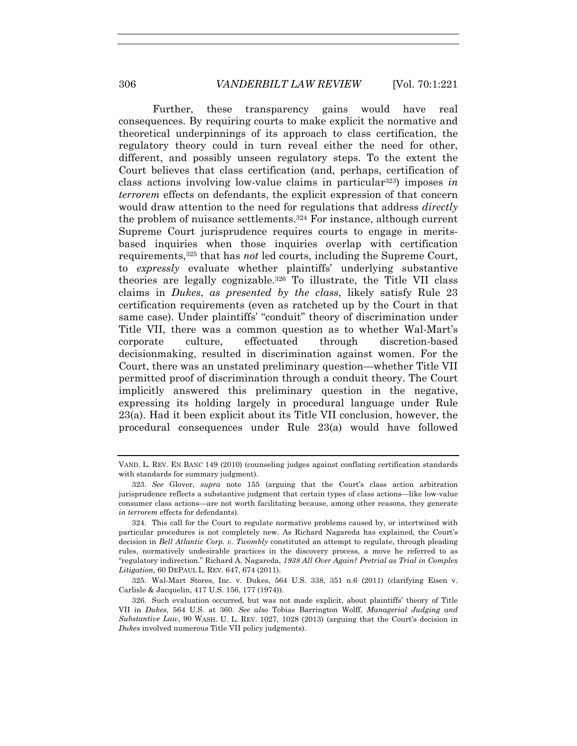Further, these transparency gains would have real consequences. By requiring courts to make explicit the normative and theoretical underpinnings of its approach to class certification, the regulatory theory could in turn reveal either the need for other, different, and possibly unseen regulatory steps. To the extent the Court believes that class certification (and, perhaps, certification of class actions involving low-value claims in particular323) imposes *in terrorem* effects on defendants, the explicit expression of that concern would draw attention to the need for regulations that address *directly*  the problem of nuisance settlements.324 For instance, although current Supreme Court jurisprudence requires courts to engage in meritsbased inquiries when those inquiries overlap with certification requirements,325 that has *not* led courts, including the Supreme Court, to *expressly* evaluate whether plaintiffs' underlying substantive theories are legally cognizable.326 To illustrate, the Title VII class claims in *Dukes*, *as presented by the class*, likely satisfy Rule 23 certification requirements (even as ratcheted up by the Court in that same case). Under plaintiffs' "conduit" theory of discrimination under Title VII, there was a common question as to whether Wal-Mart's corporate culture, effectuated through discretion-based decisionmaking, resulted in discrimination against women. For the Court, there was an unstated preliminary question—whether Title VII permitted proof of discrimination through a conduit theory. The Court implicitly answered this preliminary question in the negative, expressing its holding largely in procedural language under Rule 23(a). Had it been explicit about its Title VII conclusion, however, the procedural consequences under Rule 23(a) would have followed

VAND. L. REV. EN BANC 149 (2010) (counseling judges against conflating certification standards with standards for summary judgment).

 <sup>323.</sup> *See* Glover, *supra* note 155 (arguing that the Court's class action arbitration jurisprudence reflects a substantive judgment that certain types of class actions—like low-value consumer class actions—are not worth facilitating because, among other reasons, they generate *in terrorem* effects for defendants).

 <sup>324.</sup> This call for the Court to regulate normative problems caused by, or intertwined with particular procedures is not completely new. As Richard Nagareda has explained, the Court's decision in *Bell Atlantic Corp. v. Twombly* constituted an attempt to regulate, through pleading rules, normatively undesirable practices in the discovery process, a move he referred to as "regulatory indirection." Richard A. Nagareda, *1938 All Over Again? Pretrial as Trial in Complex Litigation*, 60 DEPAUL L. REV. 647, 674 (2011).

 <sup>325.</sup> Wal-Mart Stores, Inc. v. Dukes, 564 U.S. 338, 351 n.6 (2011) (clarifying Eisen v. Carlisle & Jacquelin, 417 U.S. 156, 177 (1974)).

 <sup>326.</sup> Such evaluation occurred, but was not made explicit, about plaintiffs' theory of Title VII in *Dukes*, 564 U.S. at 360. *See also* Tobias Barrington Wolff, *Managerial Judging and Substantive Law*, 90 WASH. U. L. REV. 1027, 1028 (2013) (arguing that the Court's decision in *Dukes* involved numerous Title VII policy judgments).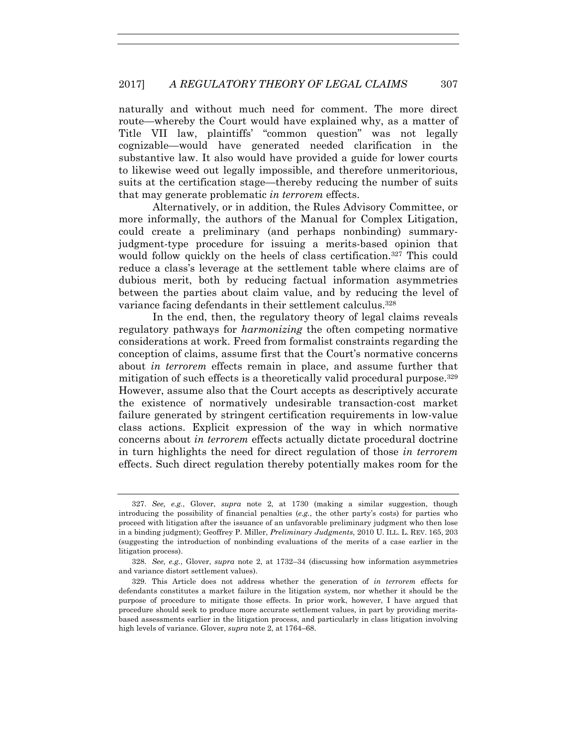naturally and without much need for comment. The more direct route—whereby the Court would have explained why, as a matter of Title VII law, plaintiffs' "common question" was not legally cognizable—would have generated needed clarification in the substantive law. It also would have provided a guide for lower courts to likewise weed out legally impossible, and therefore unmeritorious, suits at the certification stage—thereby reducing the number of suits that may generate problematic *in terrorem* effects.

Alternatively, or in addition, the Rules Advisory Committee, or more informally, the authors of the Manual for Complex Litigation, could create a preliminary (and perhaps nonbinding) summaryjudgment-type procedure for issuing a merits-based opinion that would follow quickly on the heels of class certification.<sup>327</sup> This could reduce a class's leverage at the settlement table where claims are of dubious merit, both by reducing factual information asymmetries between the parties about claim value, and by reducing the level of variance facing defendants in their settlement calculus.328

In the end, then, the regulatory theory of legal claims reveals regulatory pathways for *harmonizing* the often competing normative considerations at work. Freed from formalist constraints regarding the conception of claims, assume first that the Court's normative concerns about *in terrorem* effects remain in place, and assume further that mitigation of such effects is a theoretically valid procedural purpose.<sup>329</sup> However, assume also that the Court accepts as descriptively accurate the existence of normatively undesirable transaction-cost market failure generated by stringent certification requirements in low-value class actions. Explicit expression of the way in which normative concerns about *in terrorem* effects actually dictate procedural doctrine in turn highlights the need for direct regulation of those *in terrorem*  effects. Such direct regulation thereby potentially makes room for the

 <sup>327.</sup> *See, e.g.*, Glover, *supra* note 2, at 1730 (making a similar suggestion, though introducing the possibility of financial penalties (*e.g.*, the other party's costs) for parties who proceed with litigation after the issuance of an unfavorable preliminary judgment who then lose in a binding judgment); Geoffrey P. Miller, *Preliminary Judgments*, 2010 U. ILL. L. REV. 165, 203 (suggesting the introduction of nonbinding evaluations of the merits of a case earlier in the litigation process).

 <sup>328.</sup> *See, e.g.*, Glover, *supra* note 2, at 1732–34 (discussing how information asymmetries and variance distort settlement values).

 <sup>329.</sup> This Article does not address whether the generation of *in terrorem* effects for defendants constitutes a market failure in the litigation system, nor whether it should be the purpose of procedure to mitigate those effects. In prior work, however, I have argued that procedure should seek to produce more accurate settlement values, in part by providing meritsbased assessments earlier in the litigation process, and particularly in class litigation involving high levels of variance. Glover, *supra* note 2, at 1764–68.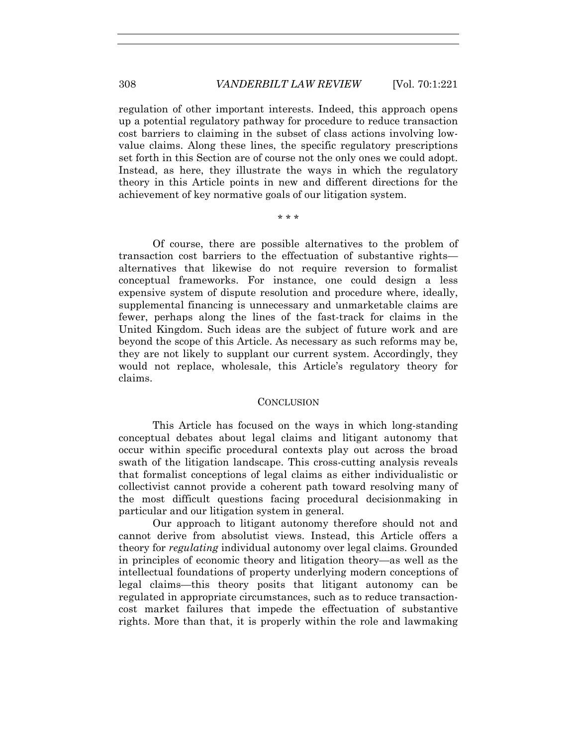regulation of other important interests. Indeed, this approach opens up a potential regulatory pathway for procedure to reduce transaction cost barriers to claiming in the subset of class actions involving lowvalue claims. Along these lines, the specific regulatory prescriptions set forth in this Section are of course not the only ones we could adopt. Instead, as here, they illustrate the ways in which the regulatory theory in this Article points in new and different directions for the achievement of key normative goals of our litigation system.

\* \* \*

Of course, there are possible alternatives to the problem of transaction cost barriers to the effectuation of substantive rights alternatives that likewise do not require reversion to formalist conceptual frameworks. For instance, one could design a less expensive system of dispute resolution and procedure where, ideally, supplemental financing is unnecessary and unmarketable claims are fewer, perhaps along the lines of the fast-track for claims in the United Kingdom. Such ideas are the subject of future work and are beyond the scope of this Article. As necessary as such reforms may be, they are not likely to supplant our current system. Accordingly, they would not replace, wholesale, this Article's regulatory theory for claims.

## **CONCLUSION**

This Article has focused on the ways in which long-standing conceptual debates about legal claims and litigant autonomy that occur within specific procedural contexts play out across the broad swath of the litigation landscape. This cross-cutting analysis reveals that formalist conceptions of legal claims as either individualistic or collectivist cannot provide a coherent path toward resolving many of the most difficult questions facing procedural decisionmaking in particular and our litigation system in general.

Our approach to litigant autonomy therefore should not and cannot derive from absolutist views. Instead, this Article offers a theory for *regulating* individual autonomy over legal claims. Grounded in principles of economic theory and litigation theory—as well as the intellectual foundations of property underlying modern conceptions of legal claims—this theory posits that litigant autonomy can be regulated in appropriate circumstances, such as to reduce transactioncost market failures that impede the effectuation of substantive rights. More than that, it is properly within the role and lawmaking